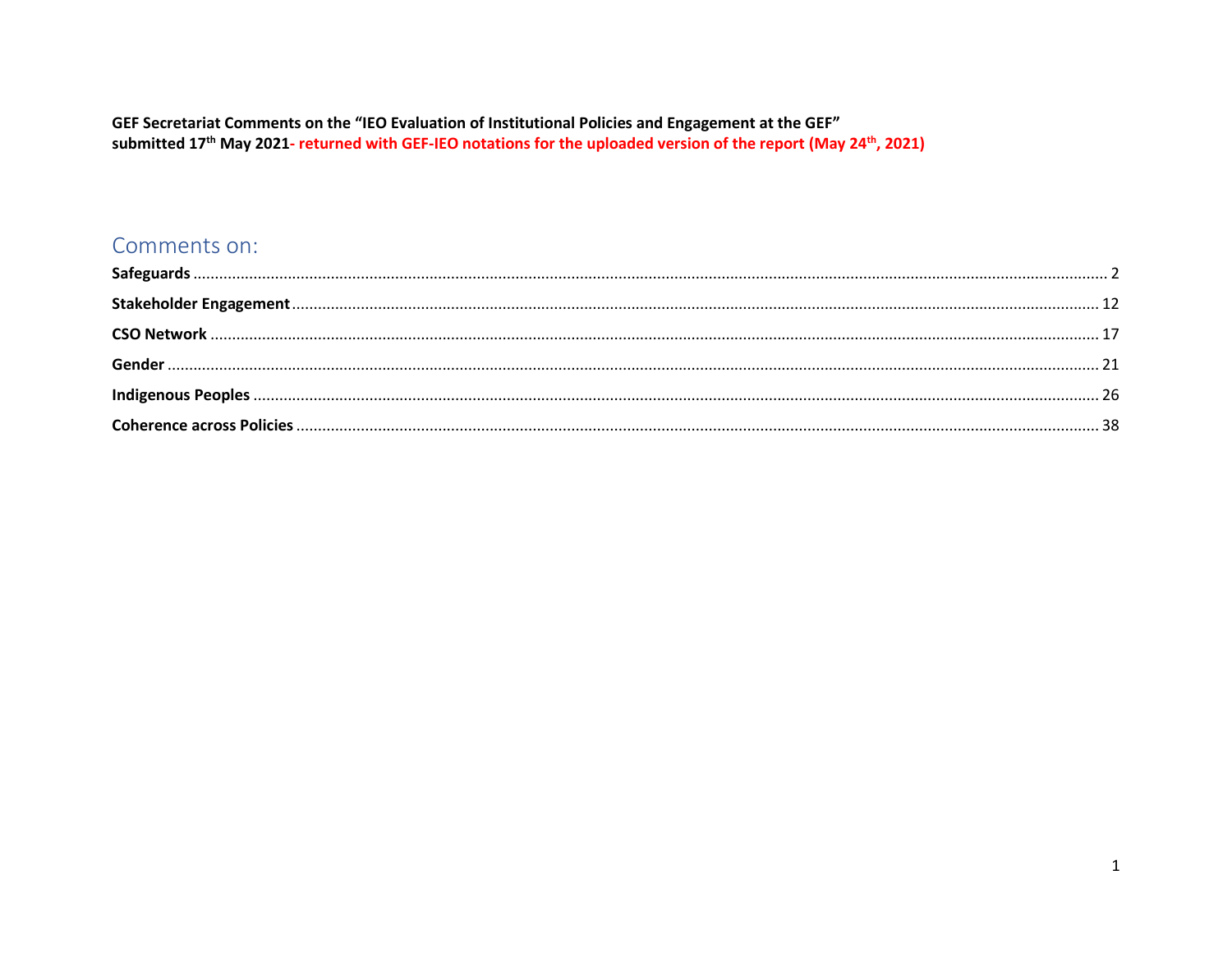#### GEF Secretariat Comments on the "IEO Evaluation of Institutional Policies and Engagement at the GEF" submitted 17<sup>th</sup> May 2021- returned with GEF-IEO notations for the uploaded version of the report (May 24<sup>th</sup>, 2021)

#### Comments on: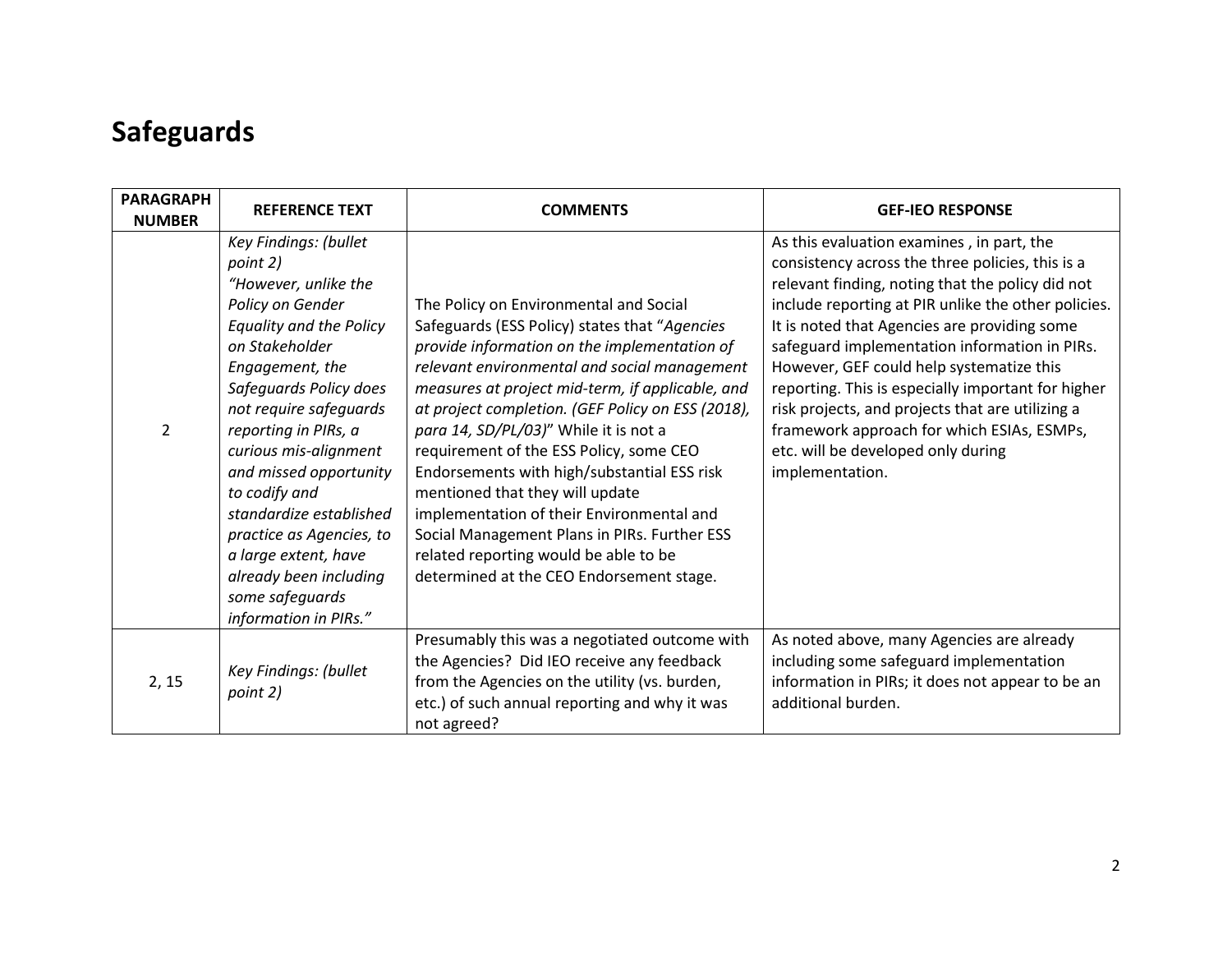## <span id="page-1-0"></span>**Safeguards**

| <b>PARAGRAPH</b><br><b>NUMBER</b> | <b>REFERENCE TEXT</b>                                                                                                                                                                                                                                                                                                                                                                                                                                     | <b>COMMENTS</b>                                                                                                                                                                                                                                                                                                                                                                                                                                                                                                                                                                                                                                          | <b>GEF-IEO RESPONSE</b>                                                                                                                                                                                                                                                                                                                                                                                                                                                                                                                                                |
|-----------------------------------|-----------------------------------------------------------------------------------------------------------------------------------------------------------------------------------------------------------------------------------------------------------------------------------------------------------------------------------------------------------------------------------------------------------------------------------------------------------|----------------------------------------------------------------------------------------------------------------------------------------------------------------------------------------------------------------------------------------------------------------------------------------------------------------------------------------------------------------------------------------------------------------------------------------------------------------------------------------------------------------------------------------------------------------------------------------------------------------------------------------------------------|------------------------------------------------------------------------------------------------------------------------------------------------------------------------------------------------------------------------------------------------------------------------------------------------------------------------------------------------------------------------------------------------------------------------------------------------------------------------------------------------------------------------------------------------------------------------|
| $\mathfrak{p}$                    | Key Findings: (bullet<br>point 2)<br>"However, unlike the<br>Policy on Gender<br><b>Equality and the Policy</b><br>on Stakeholder<br>Engagement, the<br>Safeguards Policy does<br>not require safeguards<br>reporting in PIRs, a<br>curious mis-alignment<br>and missed opportunity<br>to codify and<br>standardize established<br>practice as Agencies, to<br>a large extent, have<br>already been including<br>some safeguards<br>information in PIRs." | The Policy on Environmental and Social<br>Safeguards (ESS Policy) states that "Agencies<br>provide information on the implementation of<br>relevant environmental and social management<br>measures at project mid-term, if applicable, and<br>at project completion. (GEF Policy on ESS (2018),<br>para 14, SD/PL/03)" While it is not a<br>requirement of the ESS Policy, some CEO<br>Endorsements with high/substantial ESS risk<br>mentioned that they will update<br>implementation of their Environmental and<br>Social Management Plans in PIRs. Further ESS<br>related reporting would be able to be<br>determined at the CEO Endorsement stage. | As this evaluation examines, in part, the<br>consistency across the three policies, this is a<br>relevant finding, noting that the policy did not<br>include reporting at PIR unlike the other policies.<br>It is noted that Agencies are providing some<br>safeguard implementation information in PIRs.<br>However, GEF could help systematize this<br>reporting. This is especially important for higher<br>risk projects, and projects that are utilizing a<br>framework approach for which ESIAs, ESMPs,<br>etc. will be developed only during<br>implementation. |
| 2, 15                             | Key Findings: (bullet<br>point 2)                                                                                                                                                                                                                                                                                                                                                                                                                         | Presumably this was a negotiated outcome with<br>the Agencies? Did IEO receive any feedback<br>from the Agencies on the utility (vs. burden,<br>etc.) of such annual reporting and why it was<br>not agreed?                                                                                                                                                                                                                                                                                                                                                                                                                                             | As noted above, many Agencies are already<br>including some safeguard implementation<br>information in PIRs; it does not appear to be an<br>additional burden.                                                                                                                                                                                                                                                                                                                                                                                                         |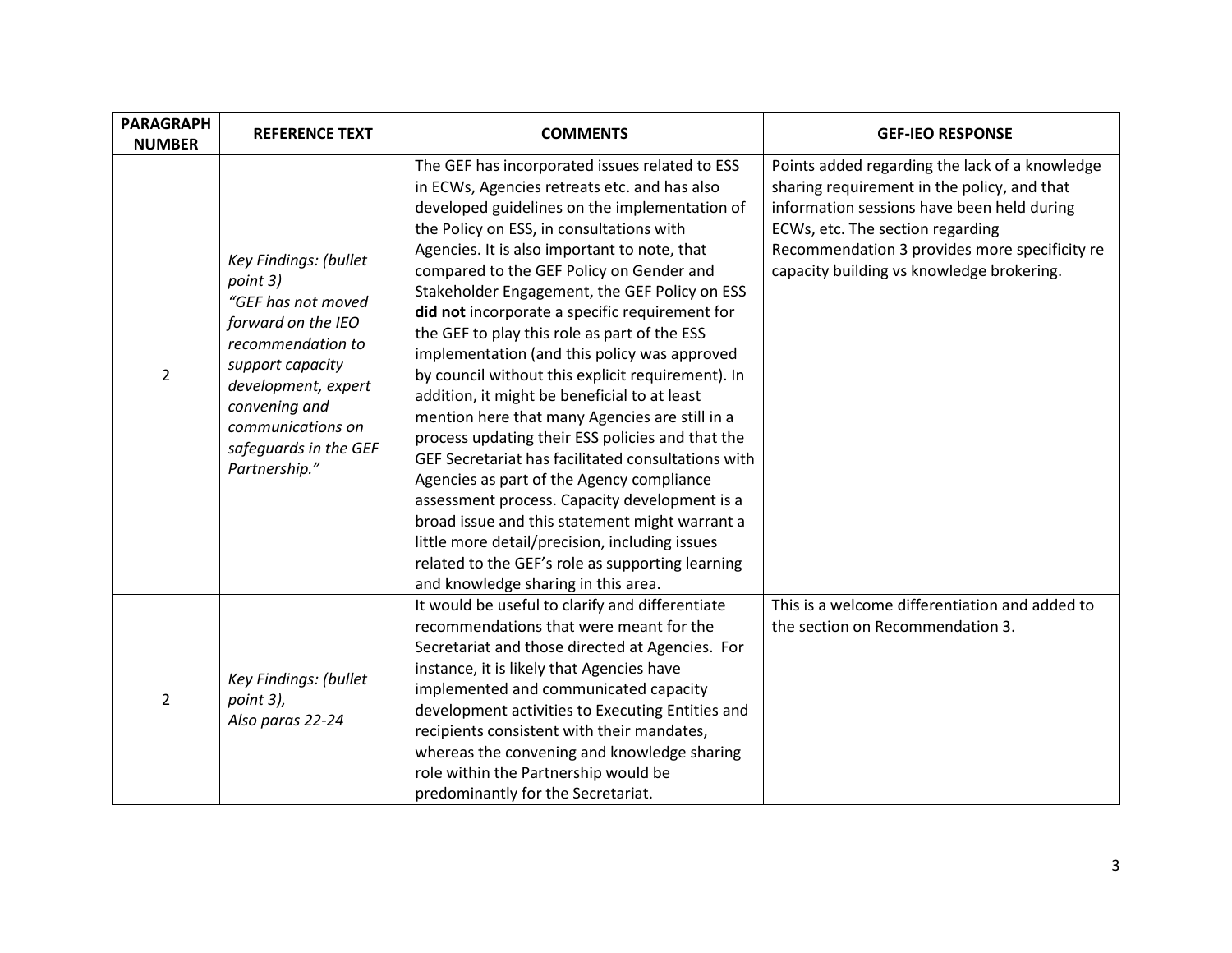| <b>PARAGRAPH</b><br><b>NUMBER</b> | <b>REFERENCE TEXT</b>                                                                                                                                                                                                         | <b>COMMENTS</b>                                                                                                                                                                                                                                                                                                                                                                                                                                                                                                                                                                                                                                                                                                                                                                                                                                                                                                                                                                                                                                          | <b>GEF-IEO RESPONSE</b>                                                                                                                                                                                                                                                       |
|-----------------------------------|-------------------------------------------------------------------------------------------------------------------------------------------------------------------------------------------------------------------------------|----------------------------------------------------------------------------------------------------------------------------------------------------------------------------------------------------------------------------------------------------------------------------------------------------------------------------------------------------------------------------------------------------------------------------------------------------------------------------------------------------------------------------------------------------------------------------------------------------------------------------------------------------------------------------------------------------------------------------------------------------------------------------------------------------------------------------------------------------------------------------------------------------------------------------------------------------------------------------------------------------------------------------------------------------------|-------------------------------------------------------------------------------------------------------------------------------------------------------------------------------------------------------------------------------------------------------------------------------|
| $\overline{2}$                    | Key Findings: (bullet<br>point 3)<br>"GEF has not moved<br>forward on the IEO<br>recommendation to<br>support capacity<br>development, expert<br>convening and<br>communications on<br>safeguards in the GEF<br>Partnership." | The GEF has incorporated issues related to ESS<br>in ECWs, Agencies retreats etc. and has also<br>developed guidelines on the implementation of<br>the Policy on ESS, in consultations with<br>Agencies. It is also important to note, that<br>compared to the GEF Policy on Gender and<br>Stakeholder Engagement, the GEF Policy on ESS<br>did not incorporate a specific requirement for<br>the GEF to play this role as part of the ESS<br>implementation (and this policy was approved<br>by council without this explicit requirement). In<br>addition, it might be beneficial to at least<br>mention here that many Agencies are still in a<br>process updating their ESS policies and that the<br>GEF Secretariat has facilitated consultations with<br>Agencies as part of the Agency compliance<br>assessment process. Capacity development is a<br>broad issue and this statement might warrant a<br>little more detail/precision, including issues<br>related to the GEF's role as supporting learning<br>and knowledge sharing in this area. | Points added regarding the lack of a knowledge<br>sharing requirement in the policy, and that<br>information sessions have been held during<br>ECWs, etc. The section regarding<br>Recommendation 3 provides more specificity re<br>capacity building vs knowledge brokering. |
| $\overline{2}$                    | Key Findings: (bullet<br>point 3),<br>Also paras 22-24                                                                                                                                                                        | It would be useful to clarify and differentiate<br>recommendations that were meant for the<br>Secretariat and those directed at Agencies. For<br>instance, it is likely that Agencies have<br>implemented and communicated capacity<br>development activities to Executing Entities and<br>recipients consistent with their mandates,<br>whereas the convening and knowledge sharing<br>role within the Partnership would be<br>predominantly for the Secretariat.                                                                                                                                                                                                                                                                                                                                                                                                                                                                                                                                                                                       | This is a welcome differentiation and added to<br>the section on Recommendation 3.                                                                                                                                                                                            |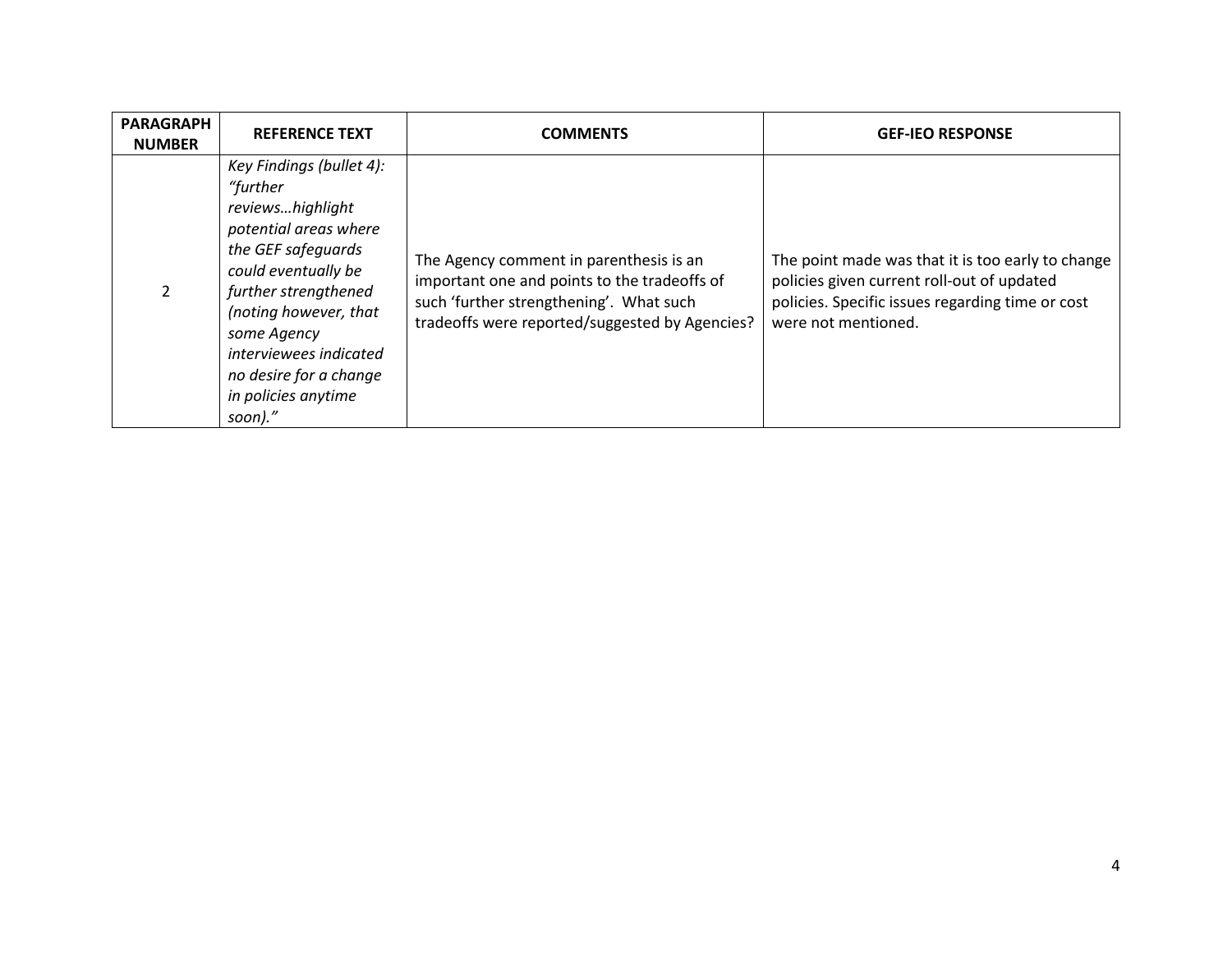| <b>PARAGRAPH</b><br><b>NUMBER</b> | <b>REFERENCE TEXT</b>                                                                                                                                                                                                                                                                | <b>COMMENTS</b>                                                                                                                                                                      | <b>GEF-IEO RESPONSE</b>                                                                                                                                                    |
|-----------------------------------|--------------------------------------------------------------------------------------------------------------------------------------------------------------------------------------------------------------------------------------------------------------------------------------|--------------------------------------------------------------------------------------------------------------------------------------------------------------------------------------|----------------------------------------------------------------------------------------------------------------------------------------------------------------------------|
|                                   | Key Findings (bullet 4):<br>"further<br>reviewshighlight<br>potential areas where<br>the GEF safeguards<br>could eventually be<br>further strengthened<br>(noting however, that<br>some Agency<br>interviewees indicated<br>no desire for a change<br>in policies anytime<br>soon)." | The Agency comment in parenthesis is an<br>important one and points to the tradeoffs of<br>such 'further strengthening'. What such<br>tradeoffs were reported/suggested by Agencies? | The point made was that it is too early to change<br>policies given current roll-out of updated<br>policies. Specific issues regarding time or cost<br>were not mentioned. |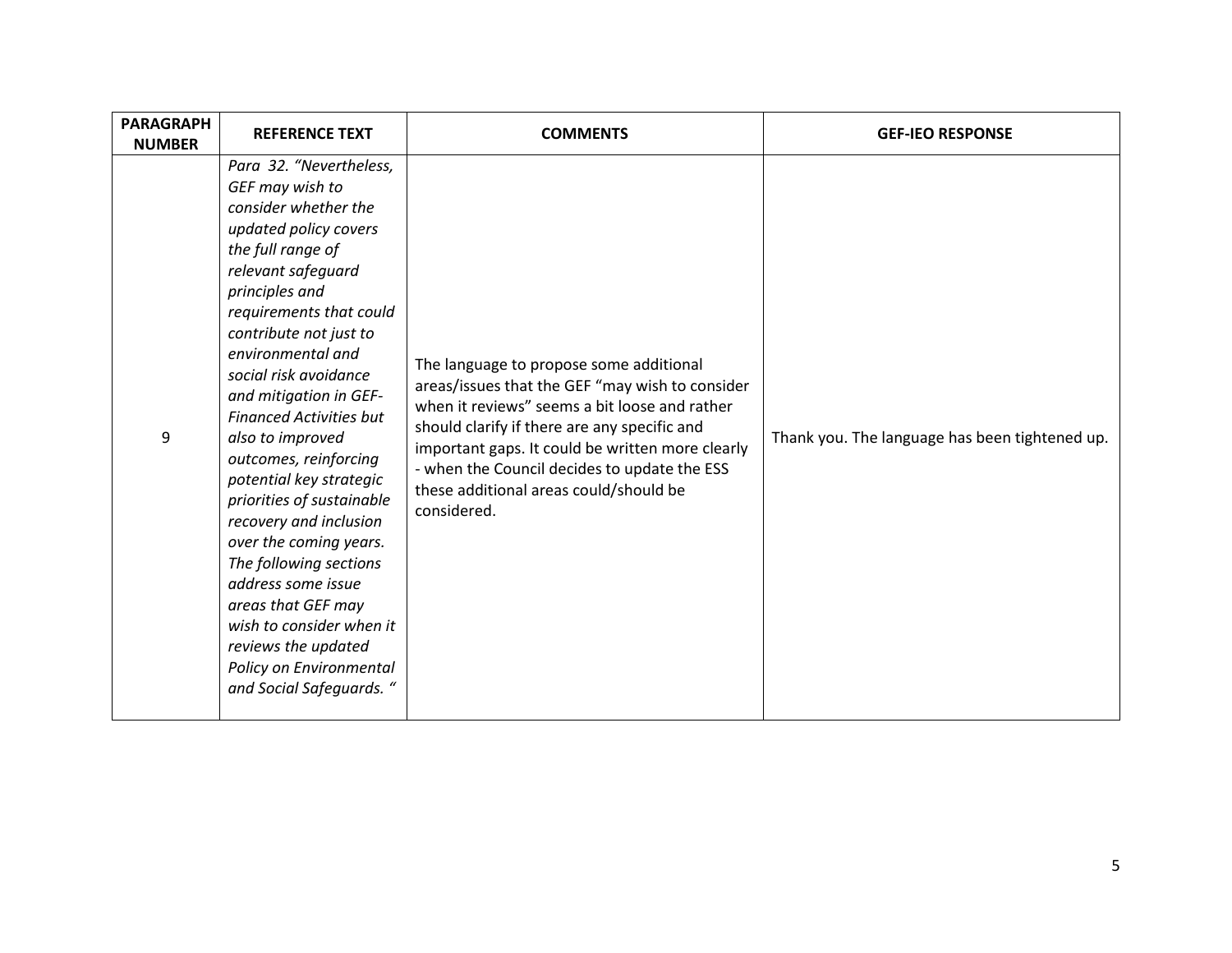| <b>PARAGRAPH</b><br><b>NUMBER</b> | <b>REFERENCE TEXT</b>                                                                                                                                                                                                                                                                                                                                                                                                                                                                                                                                                                                                                                            | <b>COMMENTS</b>                                                                                                                                                                                                                                                                                                                                          | <b>GEF-IEO RESPONSE</b>                        |
|-----------------------------------|------------------------------------------------------------------------------------------------------------------------------------------------------------------------------------------------------------------------------------------------------------------------------------------------------------------------------------------------------------------------------------------------------------------------------------------------------------------------------------------------------------------------------------------------------------------------------------------------------------------------------------------------------------------|----------------------------------------------------------------------------------------------------------------------------------------------------------------------------------------------------------------------------------------------------------------------------------------------------------------------------------------------------------|------------------------------------------------|
| 9                                 | Para 32. "Nevertheless,<br>GEF may wish to<br>consider whether the<br>updated policy covers<br>the full range of<br>relevant safeguard<br>principles and<br>requirements that could<br>contribute not just to<br>environmental and<br>social risk avoidance<br>and mitigation in GEF-<br><b>Financed Activities but</b><br>also to improved<br>outcomes, reinforcing<br>potential key strategic<br>priorities of sustainable<br>recovery and inclusion<br>over the coming years.<br>The following sections<br>address some issue<br>areas that GEF may<br>wish to consider when it<br>reviews the updated<br>Policy on Environmental<br>and Social Safeguards. " | The language to propose some additional<br>areas/issues that the GEF "may wish to consider<br>when it reviews" seems a bit loose and rather<br>should clarify if there are any specific and<br>important gaps. It could be written more clearly<br>- when the Council decides to update the ESS<br>these additional areas could/should be<br>considered. | Thank you. The language has been tightened up. |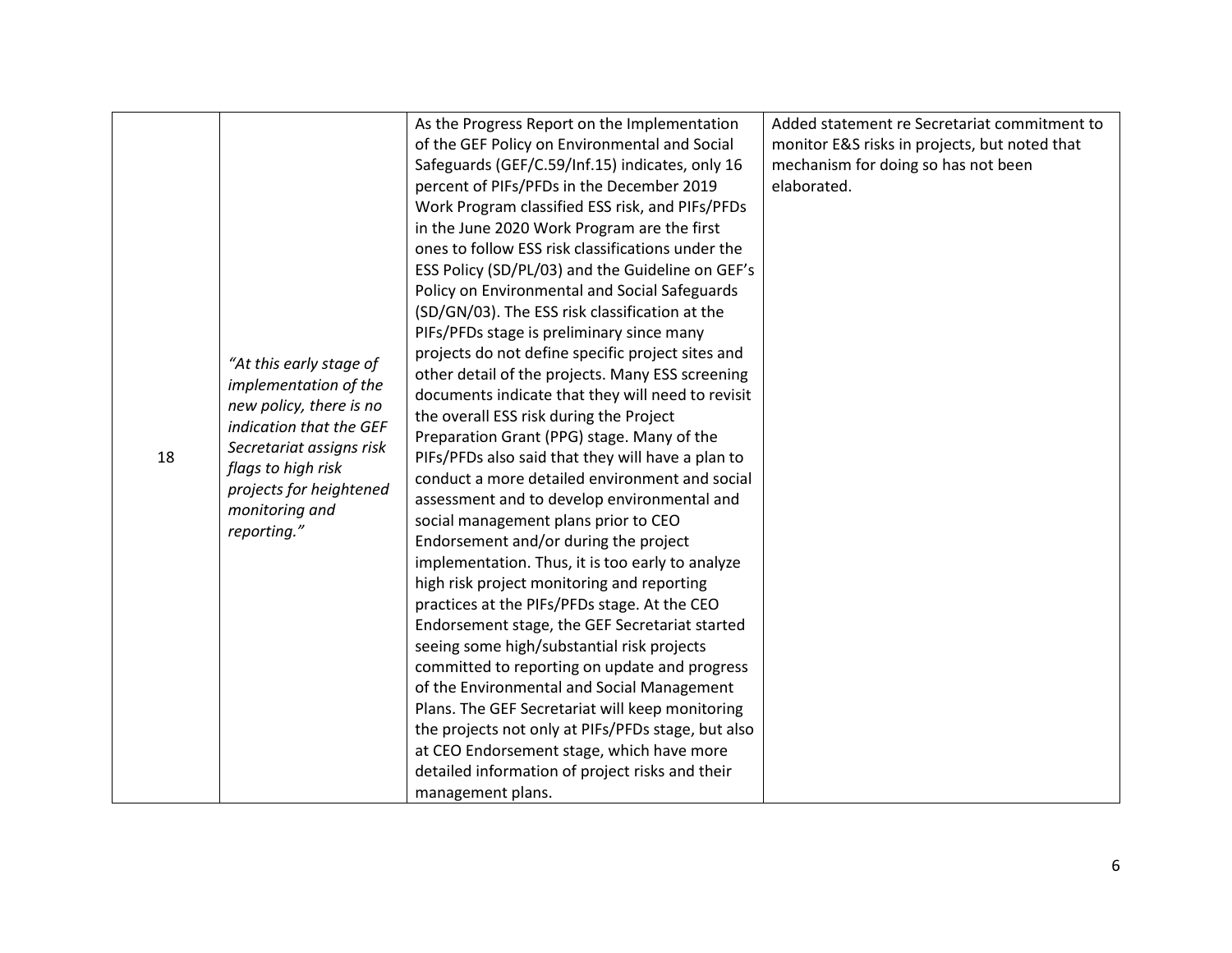|    |                                                                                                                                                                                                                      | As the Progress Report on the Implementation<br>of the GEF Policy on Environmental and Social<br>Safeguards (GEF/C.59/Inf.15) indicates, only 16<br>percent of PIFs/PFDs in the December 2019<br>Work Program classified ESS risk, and PIFs/PFDs<br>in the June 2020 Work Program are the first<br>ones to follow ESS risk classifications under the<br>ESS Policy (SD/PL/03) and the Guideline on GEF's<br>Policy on Environmental and Social Safeguards<br>(SD/GN/03). The ESS risk classification at the                                                                                                                                                                                                                                                                                                                                                                                                                                                                                                                                    | Added statement re Secretariat commitment to<br>monitor E&S risks in projects, but noted that<br>mechanism for doing so has not been<br>elaborated. |
|----|----------------------------------------------------------------------------------------------------------------------------------------------------------------------------------------------------------------------|------------------------------------------------------------------------------------------------------------------------------------------------------------------------------------------------------------------------------------------------------------------------------------------------------------------------------------------------------------------------------------------------------------------------------------------------------------------------------------------------------------------------------------------------------------------------------------------------------------------------------------------------------------------------------------------------------------------------------------------------------------------------------------------------------------------------------------------------------------------------------------------------------------------------------------------------------------------------------------------------------------------------------------------------|-----------------------------------------------------------------------------------------------------------------------------------------------------|
| 18 | "At this early stage of<br>implementation of the<br>new policy, there is no<br>indication that the GEF<br>Secretariat assigns risk<br>flags to high risk<br>projects for heightened<br>monitoring and<br>reporting." | PIFs/PFDs stage is preliminary since many<br>projects do not define specific project sites and<br>other detail of the projects. Many ESS screening<br>documents indicate that they will need to revisit<br>the overall ESS risk during the Project<br>Preparation Grant (PPG) stage. Many of the<br>PIFs/PFDs also said that they will have a plan to<br>conduct a more detailed environment and social<br>assessment and to develop environmental and<br>social management plans prior to CEO<br>Endorsement and/or during the project<br>implementation. Thus, it is too early to analyze<br>high risk project monitoring and reporting<br>practices at the PIFs/PFDs stage. At the CEO<br>Endorsement stage, the GEF Secretariat started<br>seeing some high/substantial risk projects<br>committed to reporting on update and progress<br>of the Environmental and Social Management<br>Plans. The GEF Secretariat will keep monitoring<br>the projects not only at PIFs/PFDs stage, but also<br>at CEO Endorsement stage, which have more |                                                                                                                                                     |
|    |                                                                                                                                                                                                                      | detailed information of project risks and their                                                                                                                                                                                                                                                                                                                                                                                                                                                                                                                                                                                                                                                                                                                                                                                                                                                                                                                                                                                                |                                                                                                                                                     |
|    |                                                                                                                                                                                                                      | management plans.                                                                                                                                                                                                                                                                                                                                                                                                                                                                                                                                                                                                                                                                                                                                                                                                                                                                                                                                                                                                                              |                                                                                                                                                     |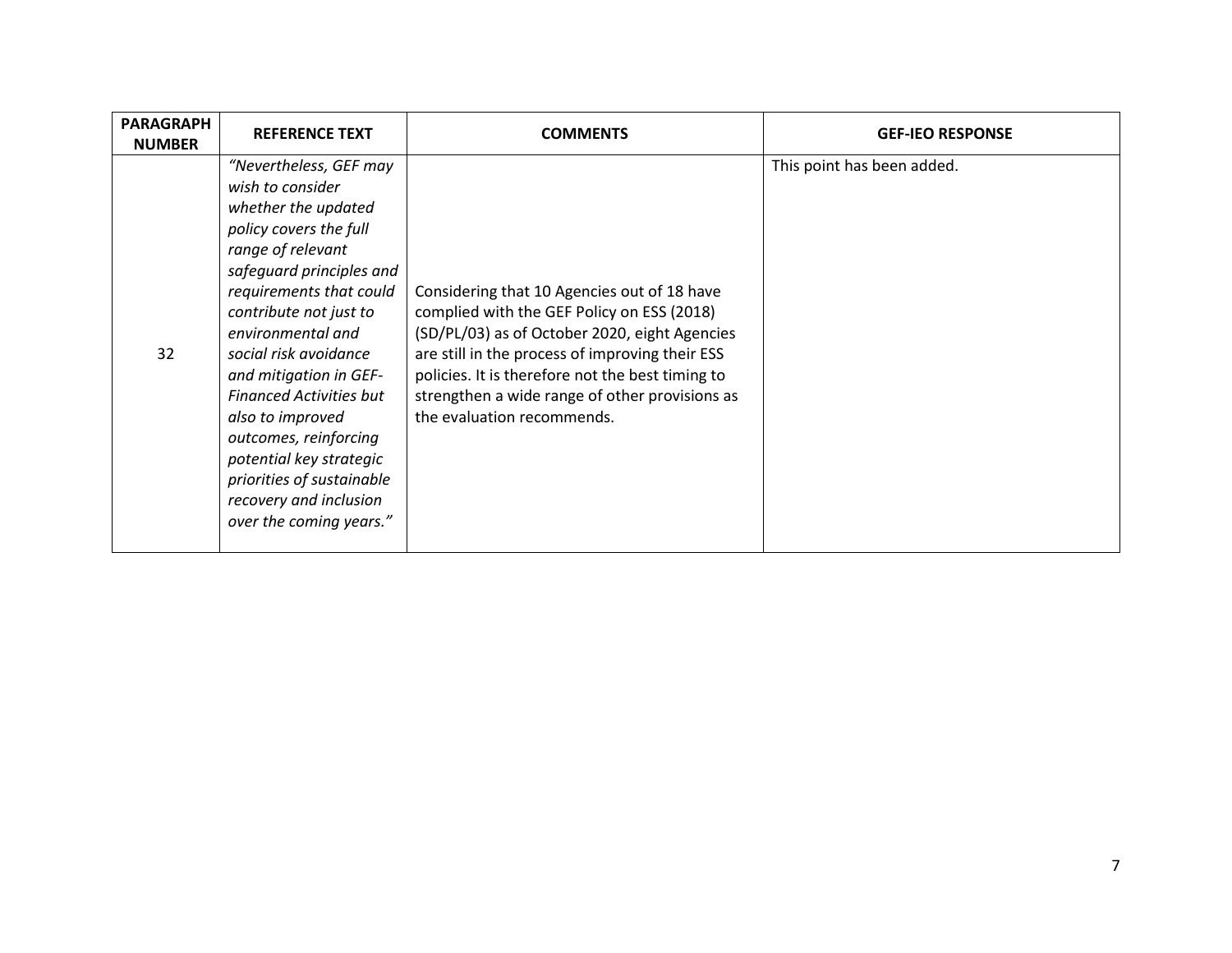| <b>PARAGRAPH</b><br><b>NUMBER</b> | <b>REFERENCE TEXT</b>                                                                                                                                                                                                                                                                                                                                                                                                                                                 | <b>COMMENTS</b>                                                                                                                                                                                                                                                                                                                   | <b>GEF-IEO RESPONSE</b>    |
|-----------------------------------|-----------------------------------------------------------------------------------------------------------------------------------------------------------------------------------------------------------------------------------------------------------------------------------------------------------------------------------------------------------------------------------------------------------------------------------------------------------------------|-----------------------------------------------------------------------------------------------------------------------------------------------------------------------------------------------------------------------------------------------------------------------------------------------------------------------------------|----------------------------|
| 32                                | "Nevertheless, GEF may<br>wish to consider<br>whether the updated<br>policy covers the full<br>range of relevant<br>safeguard principles and<br>requirements that could<br>contribute not just to<br>environmental and<br>social risk avoidance<br>and mitigation in GEF-<br><b>Financed Activities but</b><br>also to improved<br>outcomes, reinforcing<br>potential key strategic<br>priorities of sustainable<br>recovery and inclusion<br>over the coming years." | Considering that 10 Agencies out of 18 have<br>complied with the GEF Policy on ESS (2018)<br>(SD/PL/03) as of October 2020, eight Agencies<br>are still in the process of improving their ESS<br>policies. It is therefore not the best timing to<br>strengthen a wide range of other provisions as<br>the evaluation recommends. | This point has been added. |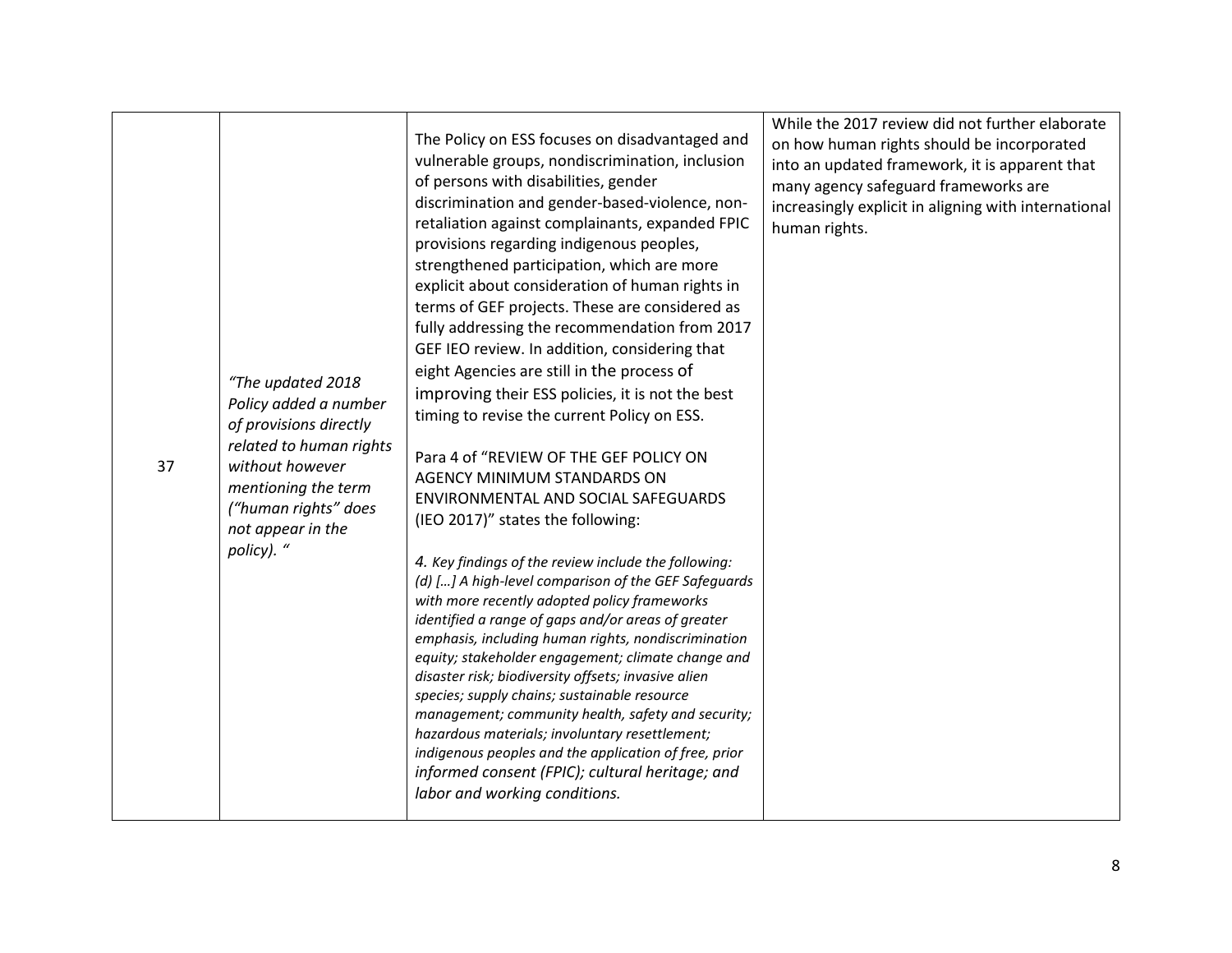| 37 | "The updated 2018<br>Policy added a number<br>of provisions directly<br>related to human rights<br>without however<br>mentioning the term<br>("human rights" does<br>not appear in the<br>policy). " | The Policy on ESS focuses on disadvantaged and<br>vulnerable groups, nondiscrimination, inclusion<br>of persons with disabilities, gender<br>discrimination and gender-based-violence, non-<br>retaliation against complainants, expanded FPIC<br>provisions regarding indigenous peoples,<br>strengthened participation, which are more<br>explicit about consideration of human rights in<br>terms of GEF projects. These are considered as<br>fully addressing the recommendation from 2017<br>GEF IEO review. In addition, considering that<br>eight Agencies are still in the process of<br>improving their ESS policies, it is not the best<br>timing to revise the current Policy on ESS.<br>Para 4 of "REVIEW OF THE GEF POLICY ON<br><b>AGENCY MINIMUM STANDARDS ON</b><br>ENVIRONMENTAL AND SOCIAL SAFEGUARDS<br>(IEO 2017)" states the following:<br>4. Key findings of the review include the following:<br>(d) [] A high-level comparison of the GEF Safeguards<br>with more recently adopted policy frameworks<br>identified a range of gaps and/or areas of greater<br>emphasis, including human rights, nondiscrimination<br>equity; stakeholder engagement; climate change and<br>disaster risk; biodiversity offsets; invasive alien<br>species; supply chains; sustainable resource<br>management; community health, safety and security;<br>hazardous materials; involuntary resettlement;<br>indigenous peoples and the application of free, prior<br>informed consent (FPIC); cultural heritage; and<br>labor and working conditions. | While the 2017 review did not further elaborate<br>on how human rights should be incorporated<br>into an updated framework, it is apparent that<br>many agency safeguard frameworks are<br>increasingly explicit in aligning with international<br>human rights. |
|----|------------------------------------------------------------------------------------------------------------------------------------------------------------------------------------------------------|-------------------------------------------------------------------------------------------------------------------------------------------------------------------------------------------------------------------------------------------------------------------------------------------------------------------------------------------------------------------------------------------------------------------------------------------------------------------------------------------------------------------------------------------------------------------------------------------------------------------------------------------------------------------------------------------------------------------------------------------------------------------------------------------------------------------------------------------------------------------------------------------------------------------------------------------------------------------------------------------------------------------------------------------------------------------------------------------------------------------------------------------------------------------------------------------------------------------------------------------------------------------------------------------------------------------------------------------------------------------------------------------------------------------------------------------------------------------------------------------------------------------------------------------------------------|------------------------------------------------------------------------------------------------------------------------------------------------------------------------------------------------------------------------------------------------------------------|
|----|------------------------------------------------------------------------------------------------------------------------------------------------------------------------------------------------------|-------------------------------------------------------------------------------------------------------------------------------------------------------------------------------------------------------------------------------------------------------------------------------------------------------------------------------------------------------------------------------------------------------------------------------------------------------------------------------------------------------------------------------------------------------------------------------------------------------------------------------------------------------------------------------------------------------------------------------------------------------------------------------------------------------------------------------------------------------------------------------------------------------------------------------------------------------------------------------------------------------------------------------------------------------------------------------------------------------------------------------------------------------------------------------------------------------------------------------------------------------------------------------------------------------------------------------------------------------------------------------------------------------------------------------------------------------------------------------------------------------------------------------------------------------------|------------------------------------------------------------------------------------------------------------------------------------------------------------------------------------------------------------------------------------------------------------------|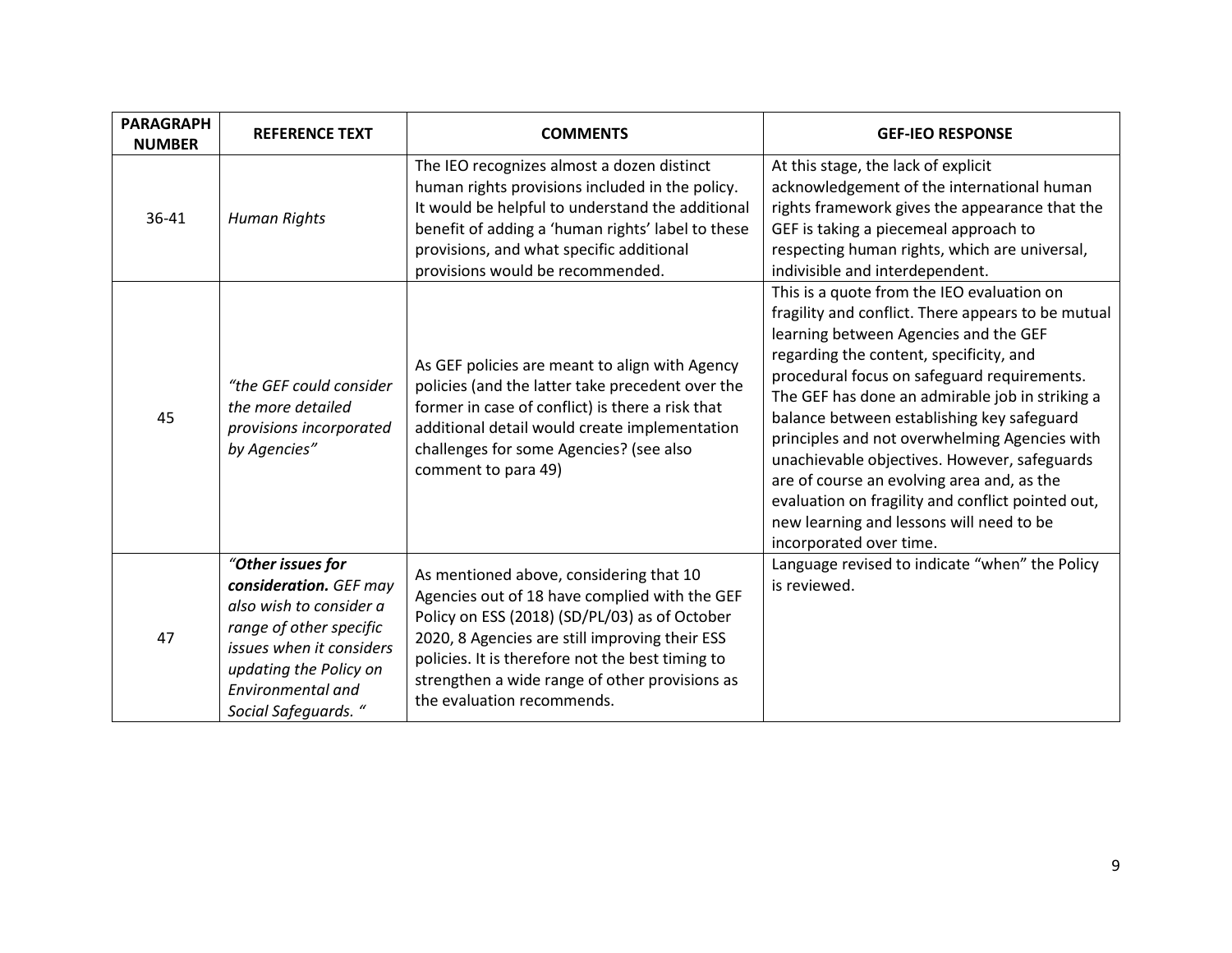| <b>PARAGRAPH</b><br><b>NUMBER</b> | <b>REFERENCE TEXT</b>                                                                                                                                                                                | <b>COMMENTS</b>                                                                                                                                                                                                                                                                                                                 | <b>GEF-IEO RESPONSE</b>                                                                                                                                                                                                                                                                                                                                                                                                                                                                                                                                                                                         |
|-----------------------------------|------------------------------------------------------------------------------------------------------------------------------------------------------------------------------------------------------|---------------------------------------------------------------------------------------------------------------------------------------------------------------------------------------------------------------------------------------------------------------------------------------------------------------------------------|-----------------------------------------------------------------------------------------------------------------------------------------------------------------------------------------------------------------------------------------------------------------------------------------------------------------------------------------------------------------------------------------------------------------------------------------------------------------------------------------------------------------------------------------------------------------------------------------------------------------|
| 36-41                             | <b>Human Rights</b>                                                                                                                                                                                  | The IEO recognizes almost a dozen distinct<br>human rights provisions included in the policy.<br>It would be helpful to understand the additional<br>benefit of adding a 'human rights' label to these<br>provisions, and what specific additional<br>provisions would be recommended.                                          | At this stage, the lack of explicit<br>acknowledgement of the international human<br>rights framework gives the appearance that the<br>GEF is taking a piecemeal approach to<br>respecting human rights, which are universal,<br>indivisible and interdependent.                                                                                                                                                                                                                                                                                                                                                |
| 45                                | "the GEF could consider<br>the more detailed<br>provisions incorporated<br>by Agencies"                                                                                                              | As GEF policies are meant to align with Agency<br>policies (and the latter take precedent over the<br>former in case of conflict) is there a risk that<br>additional detail would create implementation<br>challenges for some Agencies? (see also<br>comment to para 49)                                                       | This is a quote from the IEO evaluation on<br>fragility and conflict. There appears to be mutual<br>learning between Agencies and the GEF<br>regarding the content, specificity, and<br>procedural focus on safeguard requirements.<br>The GEF has done an admirable job in striking a<br>balance between establishing key safeguard<br>principles and not overwhelming Agencies with<br>unachievable objectives. However, safeguards<br>are of course an evolving area and, as the<br>evaluation on fragility and conflict pointed out,<br>new learning and lessons will need to be<br>incorporated over time. |
| 47                                | "Other issues for<br>consideration. GEF may<br>also wish to consider a<br>range of other specific<br>issues when it considers<br>updating the Policy on<br>Environmental and<br>Social Safeguards. " | As mentioned above, considering that 10<br>Agencies out of 18 have complied with the GEF<br>Policy on ESS (2018) (SD/PL/03) as of October<br>2020, 8 Agencies are still improving their ESS<br>policies. It is therefore not the best timing to<br>strengthen a wide range of other provisions as<br>the evaluation recommends. | Language revised to indicate "when" the Policy<br>is reviewed.                                                                                                                                                                                                                                                                                                                                                                                                                                                                                                                                                  |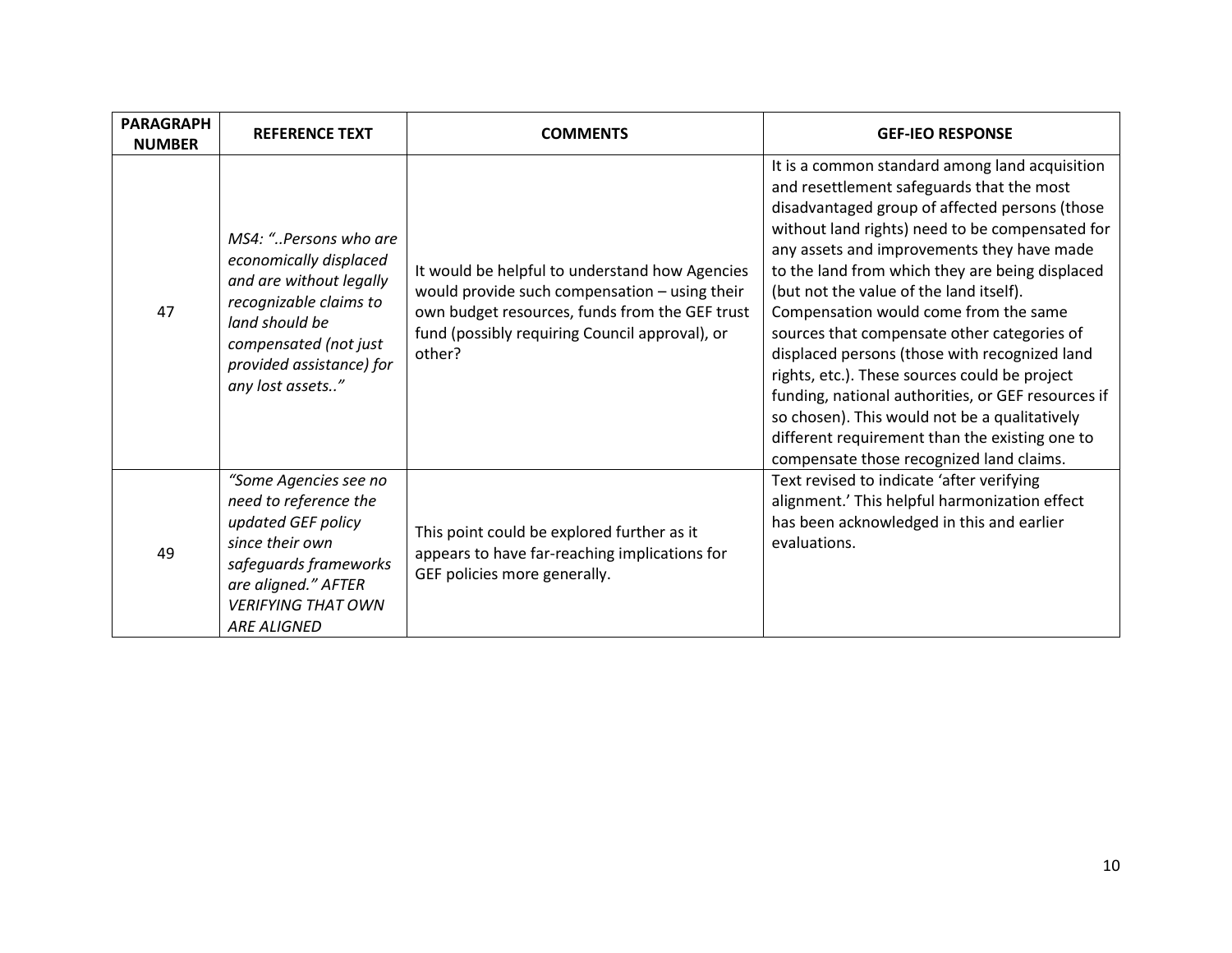| <b>PARAGRAPH</b><br><b>NUMBER</b> | <b>REFERENCE TEXT</b>                                                                                                                                                                           | <b>COMMENTS</b>                                                                                                                                                                                               | <b>GEF-IEO RESPONSE</b>                                                                                                                                                                                                                                                                                                                                                                                                                                                                                                                                                                                                                                                                                                                     |
|-----------------------------------|-------------------------------------------------------------------------------------------------------------------------------------------------------------------------------------------------|---------------------------------------------------------------------------------------------------------------------------------------------------------------------------------------------------------------|---------------------------------------------------------------------------------------------------------------------------------------------------------------------------------------------------------------------------------------------------------------------------------------------------------------------------------------------------------------------------------------------------------------------------------------------------------------------------------------------------------------------------------------------------------------------------------------------------------------------------------------------------------------------------------------------------------------------------------------------|
| 47                                | MS4: "Persons who are<br>economically displaced<br>and are without legally<br>recognizable claims to<br>land should be<br>compensated (not just<br>provided assistance) for<br>any lost assets" | It would be helpful to understand how Agencies<br>would provide such compensation - using their<br>own budget resources, funds from the GEF trust<br>fund (possibly requiring Council approval), or<br>other? | It is a common standard among land acquisition<br>and resettlement safeguards that the most<br>disadvantaged group of affected persons (those<br>without land rights) need to be compensated for<br>any assets and improvements they have made<br>to the land from which they are being displaced<br>(but not the value of the land itself).<br>Compensation would come from the same<br>sources that compensate other categories of<br>displaced persons (those with recognized land<br>rights, etc.). These sources could be project<br>funding, national authorities, or GEF resources if<br>so chosen). This would not be a qualitatively<br>different requirement than the existing one to<br>compensate those recognized land claims. |
| 49                                | "Some Agencies see no<br>need to reference the<br>updated GEF policy<br>since their own<br>safeguards frameworks<br>are aligned." AFTER<br><b>VERIFYING THAT OWN</b><br><b>ARE ALIGNED</b>      | This point could be explored further as it<br>appears to have far-reaching implications for<br>GEF policies more generally.                                                                                   | Text revised to indicate 'after verifying<br>alignment.' This helpful harmonization effect<br>has been acknowledged in this and earlier<br>evaluations.                                                                                                                                                                                                                                                                                                                                                                                                                                                                                                                                                                                     |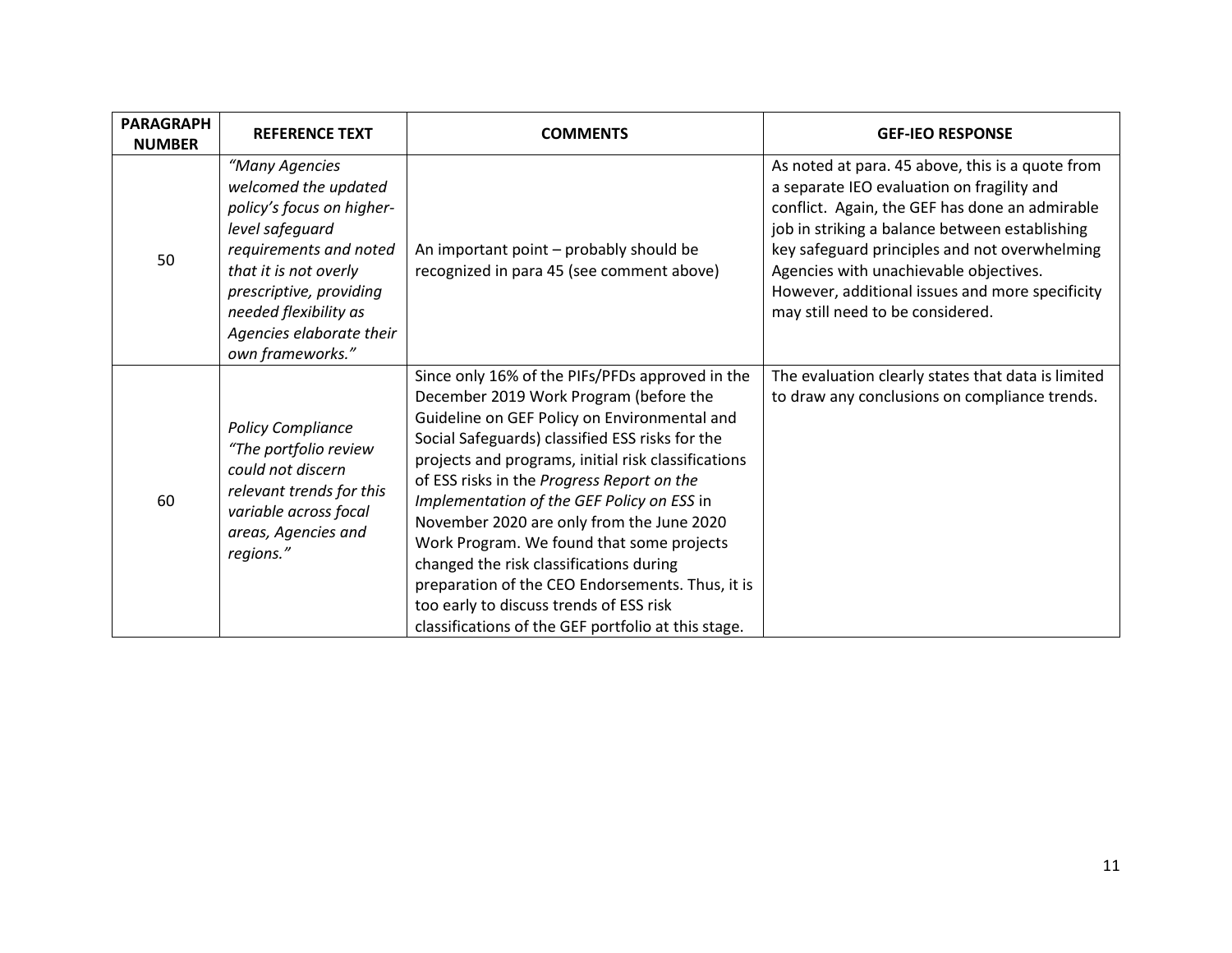| <b>PARAGRAPH</b><br><b>NUMBER</b> | <b>REFERENCE TEXT</b>                                                                                                                                                                                                                         | <b>COMMENTS</b>                                                                                                                                                                                                                                                                                                                                                                                                                                                                                                                                                                                                                            | <b>GEF-IEO RESPONSE</b>                                                                                                                                                                                                                                                                                                                                                              |
|-----------------------------------|-----------------------------------------------------------------------------------------------------------------------------------------------------------------------------------------------------------------------------------------------|--------------------------------------------------------------------------------------------------------------------------------------------------------------------------------------------------------------------------------------------------------------------------------------------------------------------------------------------------------------------------------------------------------------------------------------------------------------------------------------------------------------------------------------------------------------------------------------------------------------------------------------------|--------------------------------------------------------------------------------------------------------------------------------------------------------------------------------------------------------------------------------------------------------------------------------------------------------------------------------------------------------------------------------------|
| 50                                | "Many Agencies<br>welcomed the updated<br>policy's focus on higher-<br>level safeguard<br>requirements and noted<br>that it is not overly<br>prescriptive, providing<br>needed flexibility as<br>Agencies elaborate their<br>own frameworks." | An important point – probably should be<br>recognized in para 45 (see comment above)                                                                                                                                                                                                                                                                                                                                                                                                                                                                                                                                                       | As noted at para. 45 above, this is a quote from<br>a separate IEO evaluation on fragility and<br>conflict. Again, the GEF has done an admirable<br>job in striking a balance between establishing<br>key safeguard principles and not overwhelming<br>Agencies with unachievable objectives.<br>However, additional issues and more specificity<br>may still need to be considered. |
| 60                                | <b>Policy Compliance</b><br>"The portfolio review<br>could not discern<br>relevant trends for this<br>variable across focal<br>areas, Agencies and<br>regions."                                                                               | Since only 16% of the PIFs/PFDs approved in the<br>December 2019 Work Program (before the<br>Guideline on GEF Policy on Environmental and<br>Social Safeguards) classified ESS risks for the<br>projects and programs, initial risk classifications<br>of ESS risks in the Progress Report on the<br>Implementation of the GEF Policy on ESS in<br>November 2020 are only from the June 2020<br>Work Program. We found that some projects<br>changed the risk classifications during<br>preparation of the CEO Endorsements. Thus, it is<br>too early to discuss trends of ESS risk<br>classifications of the GEF portfolio at this stage. | The evaluation clearly states that data is limited<br>to draw any conclusions on compliance trends.                                                                                                                                                                                                                                                                                  |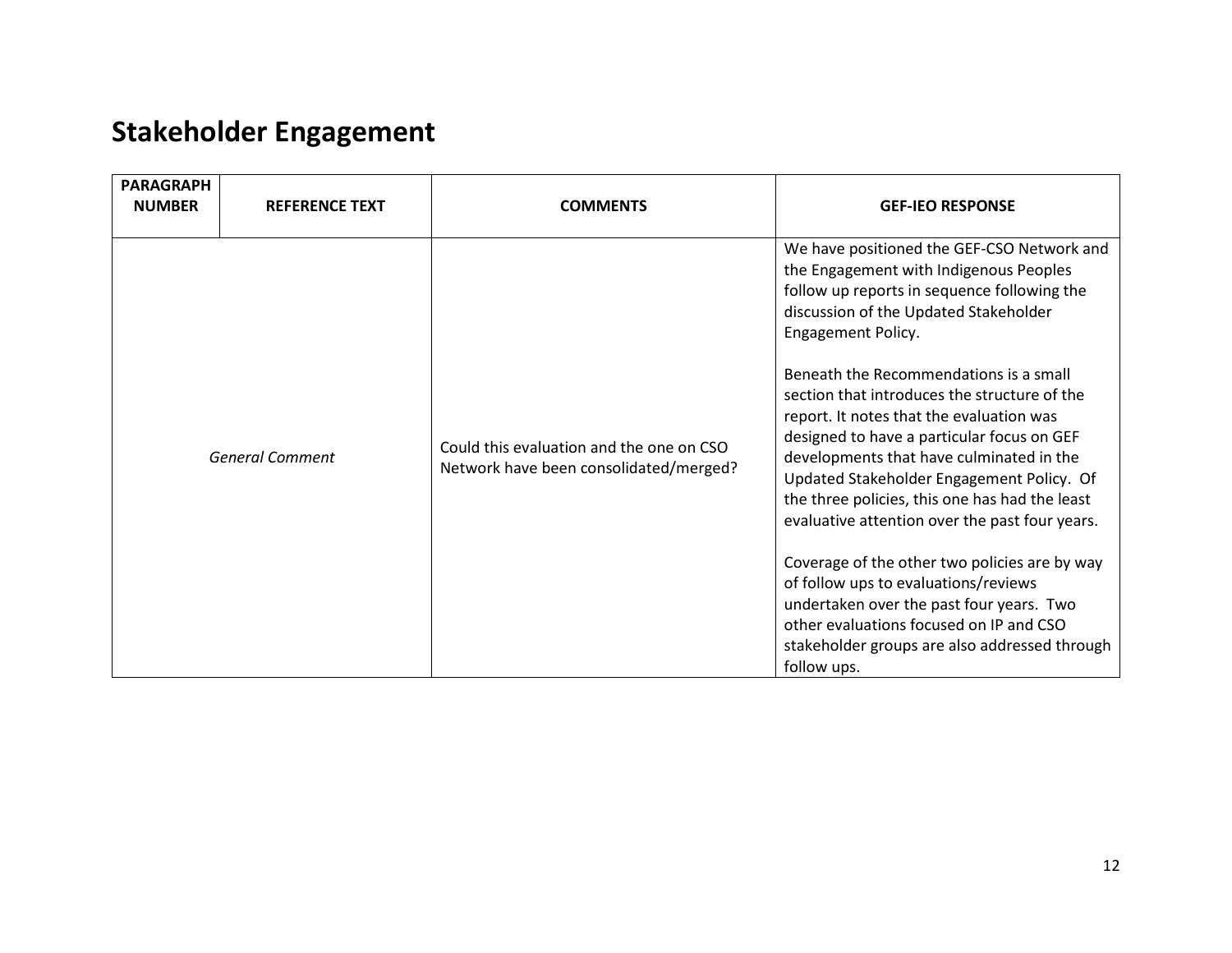# <span id="page-11-0"></span>**Stakeholder Engagement**

| <b>PARAGRAPH</b><br><b>NUMBER</b> | <b>REFERENCE TEXT</b>  | <b>COMMENTS</b>                                                                    | <b>GEF-IEO RESPONSE</b>                                                                                                                                                                                                                                                                                                                                                                                                                                                                                                                                                                                                                                                                                                                                                                                                             |
|-----------------------------------|------------------------|------------------------------------------------------------------------------------|-------------------------------------------------------------------------------------------------------------------------------------------------------------------------------------------------------------------------------------------------------------------------------------------------------------------------------------------------------------------------------------------------------------------------------------------------------------------------------------------------------------------------------------------------------------------------------------------------------------------------------------------------------------------------------------------------------------------------------------------------------------------------------------------------------------------------------------|
|                                   | <b>General Comment</b> | Could this evaluation and the one on CSO<br>Network have been consolidated/merged? | We have positioned the GEF-CSO Network and<br>the Engagement with Indigenous Peoples<br>follow up reports in sequence following the<br>discussion of the Updated Stakeholder<br>Engagement Policy.<br>Beneath the Recommendations is a small<br>section that introduces the structure of the<br>report. It notes that the evaluation was<br>designed to have a particular focus on GEF<br>developments that have culminated in the<br>Updated Stakeholder Engagement Policy. Of<br>the three policies, this one has had the least<br>evaluative attention over the past four years.<br>Coverage of the other two policies are by way<br>of follow ups to evaluations/reviews<br>undertaken over the past four years. Two<br>other evaluations focused on IP and CSO<br>stakeholder groups are also addressed through<br>follow ups. |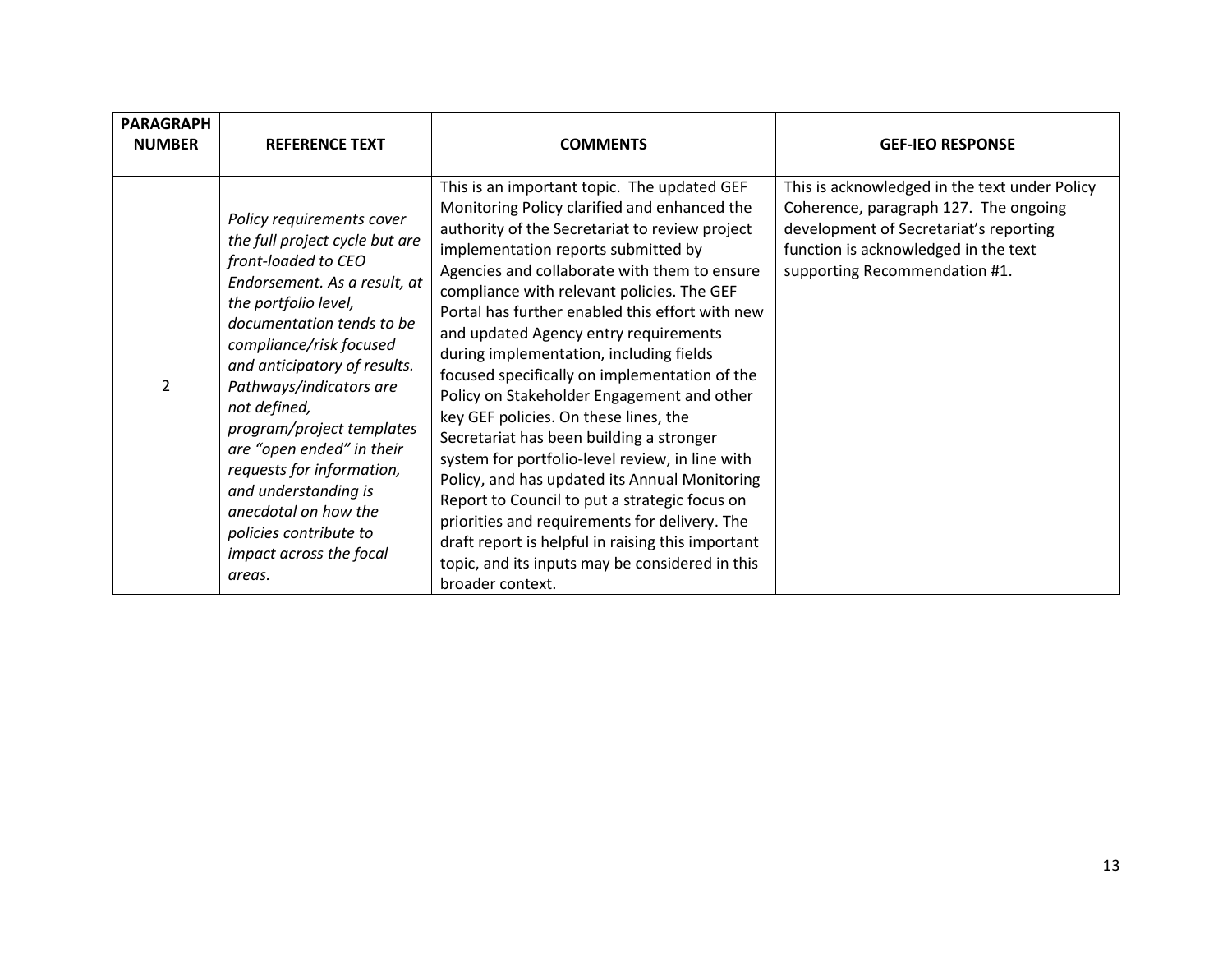| <b>PARAGRAPH</b><br><b>NUMBER</b> | <b>REFERENCE TEXT</b>                                                                                                                                                                                                                                                                                                                                                                                                                                                               | <b>COMMENTS</b>                                                                                                                                                                                                                                                                                                                                                                                                                                                                                                                                                                                                                                                                                                                                                                                                                                                                                                                                 | <b>GEF-IEO RESPONSE</b>                                                                                                                                                                                   |
|-----------------------------------|-------------------------------------------------------------------------------------------------------------------------------------------------------------------------------------------------------------------------------------------------------------------------------------------------------------------------------------------------------------------------------------------------------------------------------------------------------------------------------------|-------------------------------------------------------------------------------------------------------------------------------------------------------------------------------------------------------------------------------------------------------------------------------------------------------------------------------------------------------------------------------------------------------------------------------------------------------------------------------------------------------------------------------------------------------------------------------------------------------------------------------------------------------------------------------------------------------------------------------------------------------------------------------------------------------------------------------------------------------------------------------------------------------------------------------------------------|-----------------------------------------------------------------------------------------------------------------------------------------------------------------------------------------------------------|
| $\mathcal{P}$                     | Policy requirements cover<br>the full project cycle but are<br>front-loaded to CEO<br>Endorsement. As a result, at<br>the portfolio level,<br>documentation tends to be<br>compliance/risk focused<br>and anticipatory of results.<br>Pathways/indicators are<br>not defined,<br>program/project templates<br>are "open ended" in their<br>requests for information,<br>and understanding is<br>anecdotal on how the<br>policies contribute to<br>impact across the focal<br>areas. | This is an important topic. The updated GEF<br>Monitoring Policy clarified and enhanced the<br>authority of the Secretariat to review project<br>implementation reports submitted by<br>Agencies and collaborate with them to ensure<br>compliance with relevant policies. The GEF<br>Portal has further enabled this effort with new<br>and updated Agency entry requirements<br>during implementation, including fields<br>focused specifically on implementation of the<br>Policy on Stakeholder Engagement and other<br>key GEF policies. On these lines, the<br>Secretariat has been building a stronger<br>system for portfolio-level review, in line with<br>Policy, and has updated its Annual Monitoring<br>Report to Council to put a strategic focus on<br>priorities and requirements for delivery. The<br>draft report is helpful in raising this important<br>topic, and its inputs may be considered in this<br>broader context. | This is acknowledged in the text under Policy<br>Coherence, paragraph 127. The ongoing<br>development of Secretariat's reporting<br>function is acknowledged in the text<br>supporting Recommendation #1. |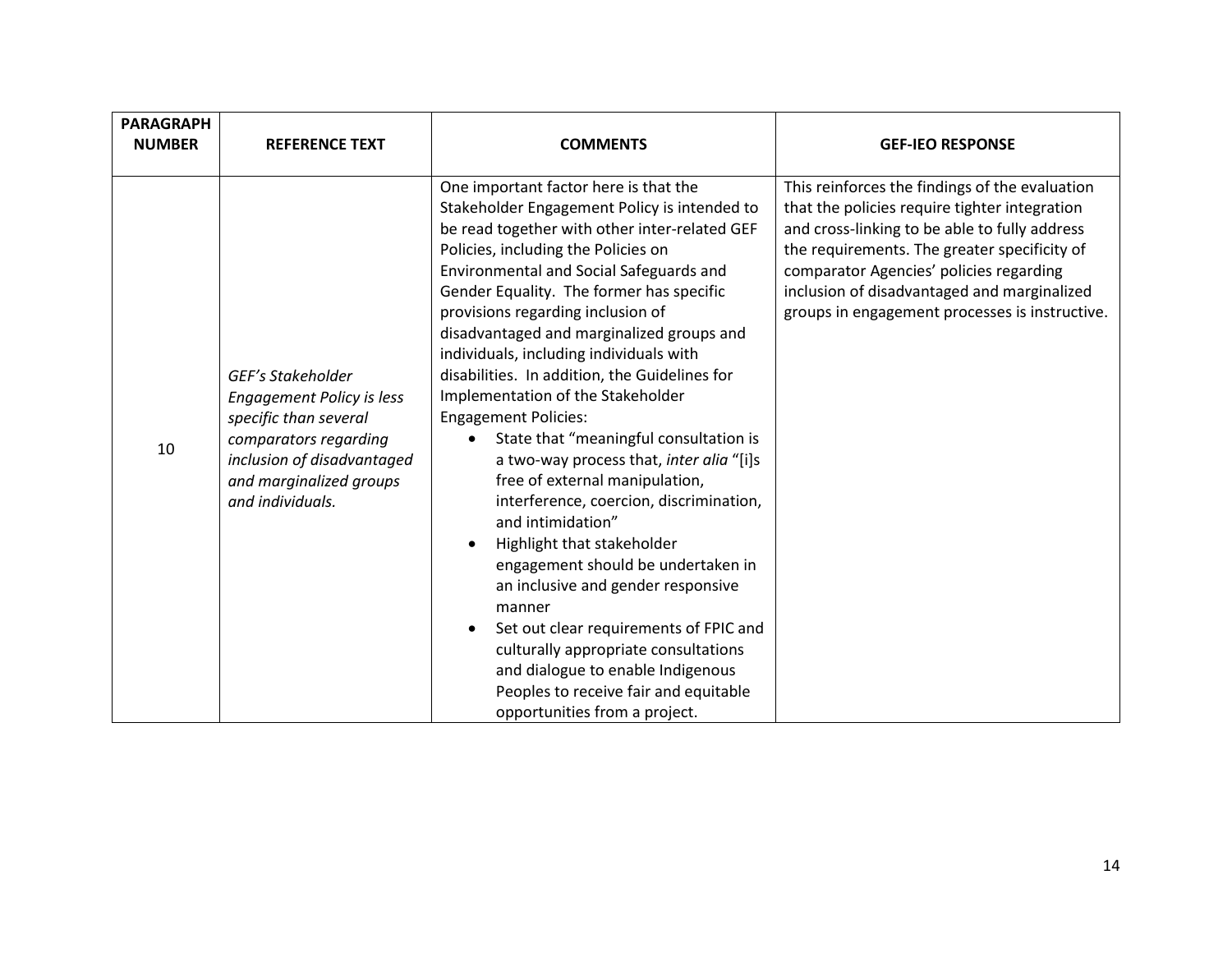| <b>PARAGRAPH</b><br><b>NUMBER</b> | <b>REFERENCE TEXT</b>                                                                                                                                                                | <b>COMMENTS</b>                                                                                                                                                                                                                                                                                                                                                                                                                                                                                                                                                                                                                                                                                                                                                                                                                                                                                                                                                                                                                                  | <b>GEF-IEO RESPONSE</b>                                                                                                                                                                                                                                                                                                                      |
|-----------------------------------|--------------------------------------------------------------------------------------------------------------------------------------------------------------------------------------|--------------------------------------------------------------------------------------------------------------------------------------------------------------------------------------------------------------------------------------------------------------------------------------------------------------------------------------------------------------------------------------------------------------------------------------------------------------------------------------------------------------------------------------------------------------------------------------------------------------------------------------------------------------------------------------------------------------------------------------------------------------------------------------------------------------------------------------------------------------------------------------------------------------------------------------------------------------------------------------------------------------------------------------------------|----------------------------------------------------------------------------------------------------------------------------------------------------------------------------------------------------------------------------------------------------------------------------------------------------------------------------------------------|
| 10                                | GEF's Stakeholder<br><b>Engagement Policy is less</b><br>specific than several<br>comparators regarding<br>inclusion of disadvantaged<br>and marginalized groups<br>and individuals. | One important factor here is that the<br>Stakeholder Engagement Policy is intended to<br>be read together with other inter-related GEF<br>Policies, including the Policies on<br>Environmental and Social Safeguards and<br>Gender Equality. The former has specific<br>provisions regarding inclusion of<br>disadvantaged and marginalized groups and<br>individuals, including individuals with<br>disabilities. In addition, the Guidelines for<br>Implementation of the Stakeholder<br><b>Engagement Policies:</b><br>State that "meaningful consultation is<br>a two-way process that, inter alia "[i]s<br>free of external manipulation,<br>interference, coercion, discrimination,<br>and intimidation"<br>Highlight that stakeholder<br>engagement should be undertaken in<br>an inclusive and gender responsive<br>manner<br>Set out clear requirements of FPIC and<br>$\bullet$<br>culturally appropriate consultations<br>and dialogue to enable Indigenous<br>Peoples to receive fair and equitable<br>opportunities from a project. | This reinforces the findings of the evaluation<br>that the policies require tighter integration<br>and cross-linking to be able to fully address<br>the requirements. The greater specificity of<br>comparator Agencies' policies regarding<br>inclusion of disadvantaged and marginalized<br>groups in engagement processes is instructive. |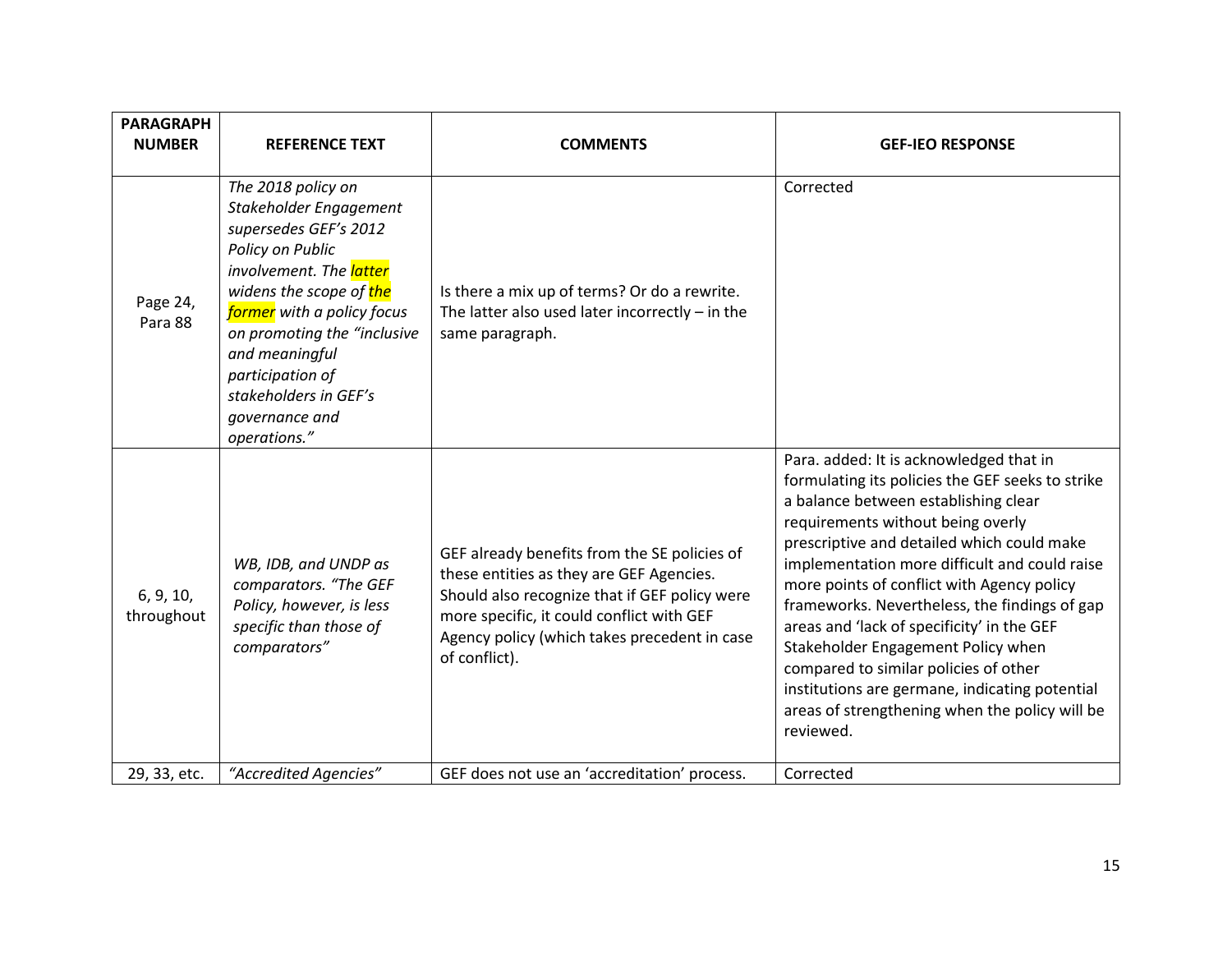| <b>PARAGRAPH</b><br><b>NUMBER</b> | <b>REFERENCE TEXT</b>                                                                                                                                                                                                                                                                                         | <b>COMMENTS</b>                                                                                                                                                                                                                                         | <b>GEF-IEO RESPONSE</b>                                                                                                                                                                                                                                                                                                                                                                                                                                                                                                                                                                                              |
|-----------------------------------|---------------------------------------------------------------------------------------------------------------------------------------------------------------------------------------------------------------------------------------------------------------------------------------------------------------|---------------------------------------------------------------------------------------------------------------------------------------------------------------------------------------------------------------------------------------------------------|----------------------------------------------------------------------------------------------------------------------------------------------------------------------------------------------------------------------------------------------------------------------------------------------------------------------------------------------------------------------------------------------------------------------------------------------------------------------------------------------------------------------------------------------------------------------------------------------------------------------|
| Page 24,<br>Para 88               | The 2018 policy on<br>Stakeholder Engagement<br>supersedes GEF's 2012<br>Policy on Public<br>involvement. The latter<br>widens the scope of the<br>former with a policy focus<br>on promoting the "inclusive<br>and meaningful<br>participation of<br>stakeholders in GEF's<br>governance and<br>operations." | Is there a mix up of terms? Or do a rewrite.<br>The latter also used later incorrectly $-$ in the<br>same paragraph.                                                                                                                                    | Corrected                                                                                                                                                                                                                                                                                                                                                                                                                                                                                                                                                                                                            |
| 6, 9, 10,<br>throughout           | WB, IDB, and UNDP as<br>comparators. "The GEF<br>Policy, however, is less<br>specific than those of<br>comparators"                                                                                                                                                                                           | GEF already benefits from the SE policies of<br>these entities as they are GEF Agencies.<br>Should also recognize that if GEF policy were<br>more specific, it could conflict with GEF<br>Agency policy (which takes precedent in case<br>of conflict). | Para. added: It is acknowledged that in<br>formulating its policies the GEF seeks to strike<br>a balance between establishing clear<br>requirements without being overly<br>prescriptive and detailed which could make<br>implementation more difficult and could raise<br>more points of conflict with Agency policy<br>frameworks. Nevertheless, the findings of gap<br>areas and 'lack of specificity' in the GEF<br>Stakeholder Engagement Policy when<br>compared to similar policies of other<br>institutions are germane, indicating potential<br>areas of strengthening when the policy will be<br>reviewed. |
| 29, 33, etc.                      | "Accredited Agencies"                                                                                                                                                                                                                                                                                         | GEF does not use an 'accreditation' process.                                                                                                                                                                                                            | Corrected                                                                                                                                                                                                                                                                                                                                                                                                                                                                                                                                                                                                            |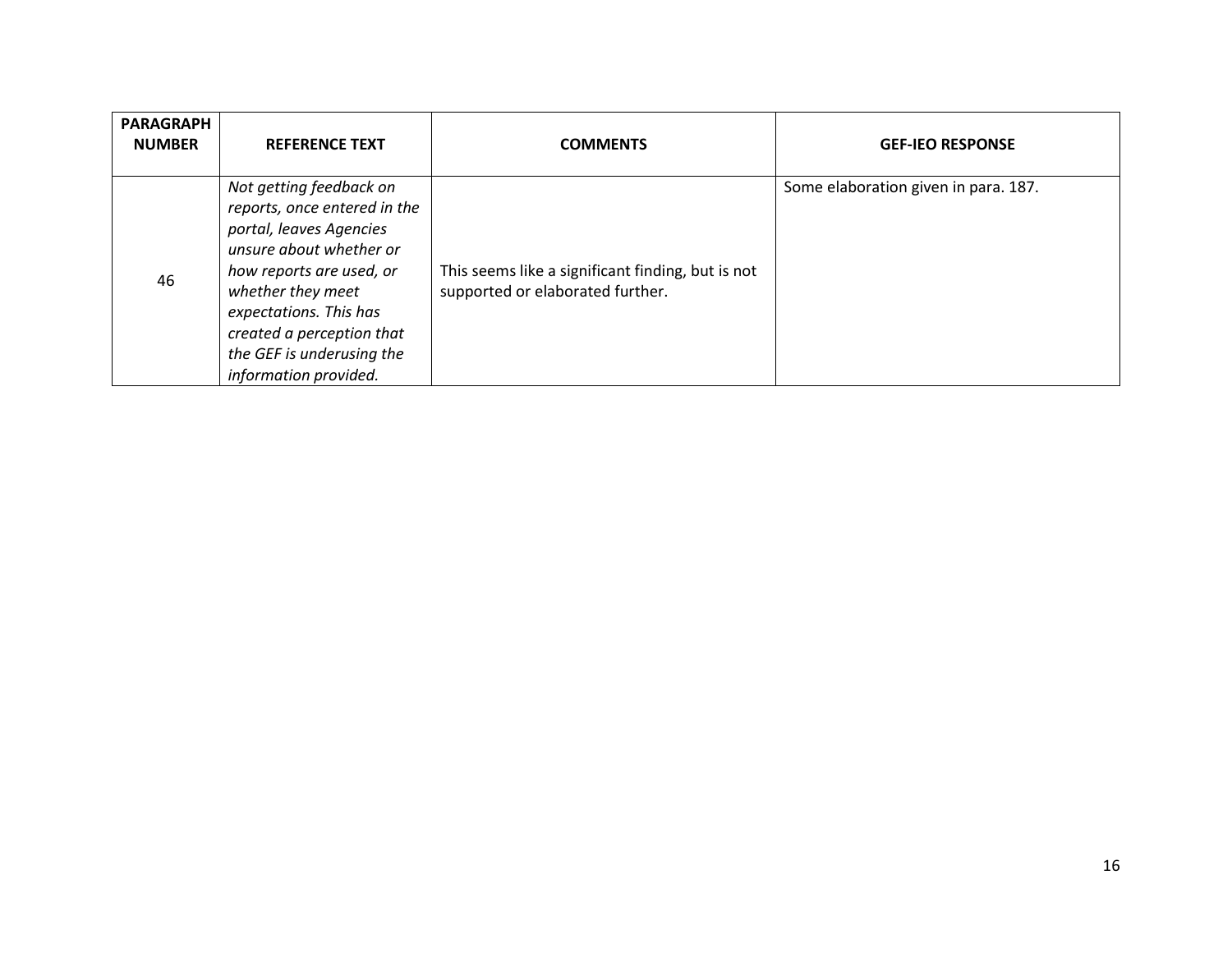| <b>PARAGRAPH</b><br><b>NUMBER</b> | <b>REFERENCE TEXT</b>                                                                                                                                                                                                                                                       | <b>COMMENTS</b>                                                                       | <b>GEF-IEO RESPONSE</b>              |
|-----------------------------------|-----------------------------------------------------------------------------------------------------------------------------------------------------------------------------------------------------------------------------------------------------------------------------|---------------------------------------------------------------------------------------|--------------------------------------|
| 46                                | Not getting feedback on<br>reports, once entered in the<br>portal, leaves Agencies<br>unsure about whether or<br>how reports are used, or<br>whether they meet<br>expectations. This has<br>created a perception that<br>the GEF is underusing the<br>information provided. | This seems like a significant finding, but is not<br>supported or elaborated further. | Some elaboration given in para. 187. |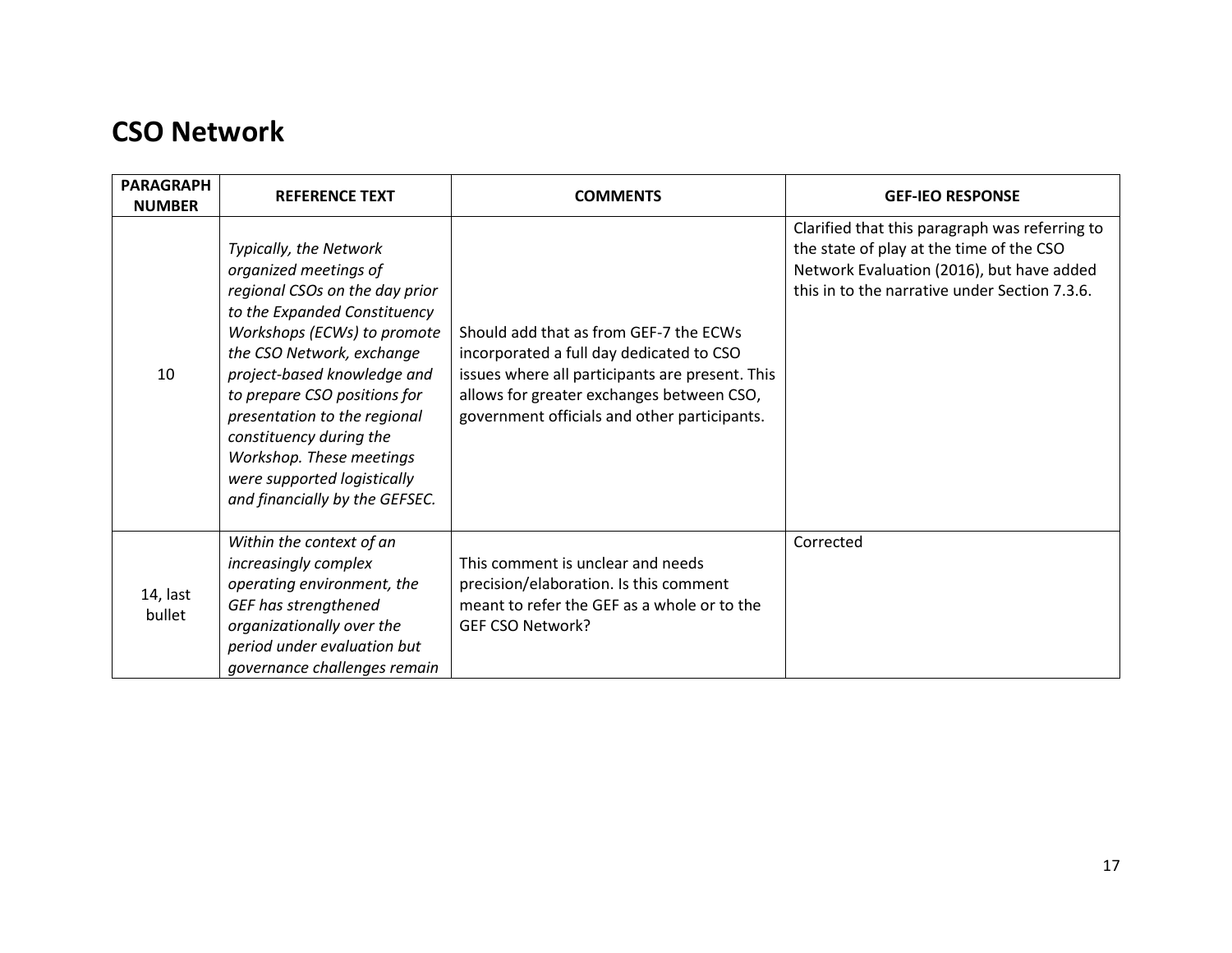## <span id="page-16-0"></span>**CSO Network**

| <b>PARAGRAPH</b><br><b>NUMBER</b> | <b>REFERENCE TEXT</b>                                                                                                                                                                                                                                                                                                                                                                                | <b>COMMENTS</b>                                                                                                                                                                                                                    | <b>GEF-IEO RESPONSE</b>                                                                                                                                                                  |
|-----------------------------------|------------------------------------------------------------------------------------------------------------------------------------------------------------------------------------------------------------------------------------------------------------------------------------------------------------------------------------------------------------------------------------------------------|------------------------------------------------------------------------------------------------------------------------------------------------------------------------------------------------------------------------------------|------------------------------------------------------------------------------------------------------------------------------------------------------------------------------------------|
| 10                                | Typically, the Network<br>organized meetings of<br>regional CSOs on the day prior<br>to the Expanded Constituency<br>Workshops (ECWs) to promote<br>the CSO Network, exchange<br>project-based knowledge and<br>to prepare CSO positions for<br>presentation to the regional<br>constituency during the<br>Workshop. These meetings<br>were supported logistically<br>and financially by the GEFSEC. | Should add that as from GEF-7 the ECWs<br>incorporated a full day dedicated to CSO<br>issues where all participants are present. This<br>allows for greater exchanges between CSO,<br>government officials and other participants. | Clarified that this paragraph was referring to<br>the state of play at the time of the CSO<br>Network Evaluation (2016), but have added<br>this in to the narrative under Section 7.3.6. |
| 14, last<br>bullet                | Within the context of an<br>increasingly complex<br>operating environment, the<br>GEF has strengthened<br>organizationally over the<br>period under evaluation but<br>governance challenges remain                                                                                                                                                                                                   | This comment is unclear and needs<br>precision/elaboration. Is this comment<br>meant to refer the GEF as a whole or to the<br>GEF CSO Network?                                                                                     | Corrected                                                                                                                                                                                |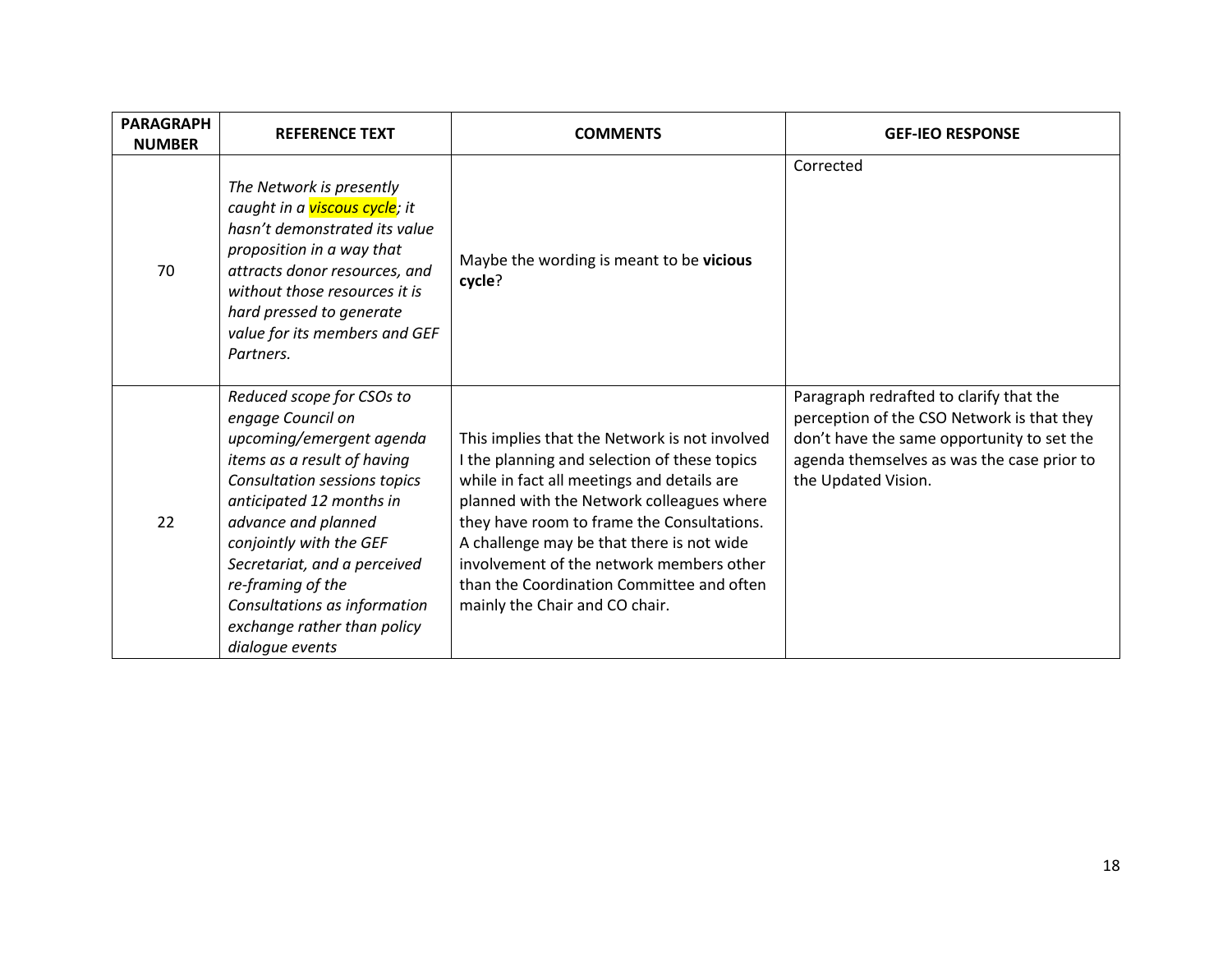| <b>PARAGRAPH</b><br><b>NUMBER</b> | <b>REFERENCE TEXT</b>                                                                                                                                                                                                                                                                                                                                          | <b>COMMENTS</b>                                                                                                                                                                                                                                                                                                                                                                                                | <b>GEF-IEO RESPONSE</b>                                                                                                                                                                                  |
|-----------------------------------|----------------------------------------------------------------------------------------------------------------------------------------------------------------------------------------------------------------------------------------------------------------------------------------------------------------------------------------------------------------|----------------------------------------------------------------------------------------------------------------------------------------------------------------------------------------------------------------------------------------------------------------------------------------------------------------------------------------------------------------------------------------------------------------|----------------------------------------------------------------------------------------------------------------------------------------------------------------------------------------------------------|
| 70                                | The Network is presently<br>caught in a <i>viscous cycle; it</i><br>hasn't demonstrated its value<br>proposition in a way that<br>attracts donor resources, and<br>without those resources it is<br>hard pressed to generate<br>value for its members and GEF<br>Partners.                                                                                     | Maybe the wording is meant to be vicious<br>cycle?                                                                                                                                                                                                                                                                                                                                                             | Corrected                                                                                                                                                                                                |
| 22                                | Reduced scope for CSOs to<br>engage Council on<br>upcoming/emergent agenda<br>items as a result of having<br>Consultation sessions topics<br>anticipated 12 months in<br>advance and planned<br>conjointly with the GEF<br>Secretariat, and a perceived<br>re-framing of the<br>Consultations as information<br>exchange rather than policy<br>dialogue events | This implies that the Network is not involved<br>I the planning and selection of these topics<br>while in fact all meetings and details are<br>planned with the Network colleagues where<br>they have room to frame the Consultations.<br>A challenge may be that there is not wide<br>involvement of the network members other<br>than the Coordination Committee and often<br>mainly the Chair and CO chair. | Paragraph redrafted to clarify that the<br>perception of the CSO Network is that they<br>don't have the same opportunity to set the<br>agenda themselves as was the case prior to<br>the Updated Vision. |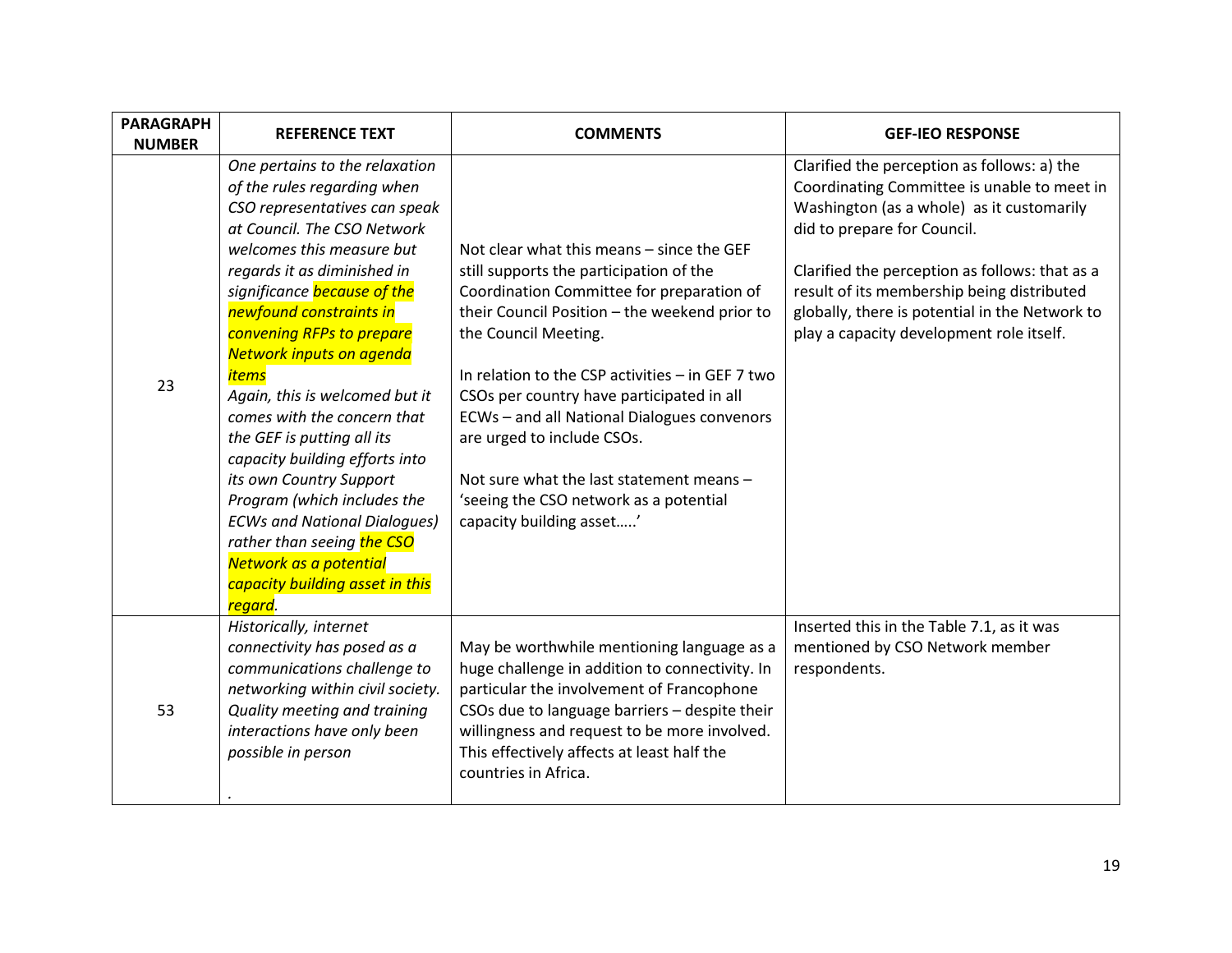| <b>PARAGRAPH</b><br><b>NUMBER</b> | <b>REFERENCE TEXT</b>                                                                                                                                                                                                                                                                                                                                                                                                                                                                                                                                                                                                                                                              | <b>COMMENTS</b>                                                                                                                                                                                                                                                                                                                                                                                                                                                                                            | <b>GEF-IEO RESPONSE</b>                                                                                                                                                                                                                                                                                                                                              |
|-----------------------------------|------------------------------------------------------------------------------------------------------------------------------------------------------------------------------------------------------------------------------------------------------------------------------------------------------------------------------------------------------------------------------------------------------------------------------------------------------------------------------------------------------------------------------------------------------------------------------------------------------------------------------------------------------------------------------------|------------------------------------------------------------------------------------------------------------------------------------------------------------------------------------------------------------------------------------------------------------------------------------------------------------------------------------------------------------------------------------------------------------------------------------------------------------------------------------------------------------|----------------------------------------------------------------------------------------------------------------------------------------------------------------------------------------------------------------------------------------------------------------------------------------------------------------------------------------------------------------------|
| 23                                | One pertains to the relaxation<br>of the rules regarding when<br>CSO representatives can speak<br>at Council. The CSO Network<br>welcomes this measure but<br>regards it as diminished in<br>significance because of the<br>newfound constraints in<br>convening RFPs to prepare<br>Network inputs on agenda<br><i>items</i><br>Again, this is welcomed but it<br>comes with the concern that<br>the GEF is putting all its<br>capacity building efforts into<br>its own Country Support<br>Program (which includes the<br><b>ECWs and National Dialogues)</b><br>rather than seeing the CSO<br>Network as a potential<br>capacity building asset in this<br><mark>regard</mark> . | Not clear what this means – since the GEF<br>still supports the participation of the<br>Coordination Committee for preparation of<br>their Council Position - the weekend prior to<br>the Council Meeting.<br>In relation to the CSP activities - in GEF 7 two<br>CSOs per country have participated in all<br>ECWs - and all National Dialogues convenors<br>are urged to include CSOs.<br>Not sure what the last statement means -<br>'seeing the CSO network as a potential<br>capacity building asset' | Clarified the perception as follows: a) the<br>Coordinating Committee is unable to meet in<br>Washington (as a whole) as it customarily<br>did to prepare for Council.<br>Clarified the perception as follows: that as a<br>result of its membership being distributed<br>globally, there is potential in the Network to<br>play a capacity development role itself. |
| 53                                | Historically, internet<br>connectivity has posed as a<br>communications challenge to<br>networking within civil society.<br>Quality meeting and training<br>interactions have only been<br>possible in person                                                                                                                                                                                                                                                                                                                                                                                                                                                                      | May be worthwhile mentioning language as a<br>huge challenge in addition to connectivity. In<br>particular the involvement of Francophone<br>CSOs due to language barriers - despite their<br>willingness and request to be more involved.<br>This effectively affects at least half the<br>countries in Africa.                                                                                                                                                                                           | Inserted this in the Table 7.1, as it was<br>mentioned by CSO Network member<br>respondents.                                                                                                                                                                                                                                                                         |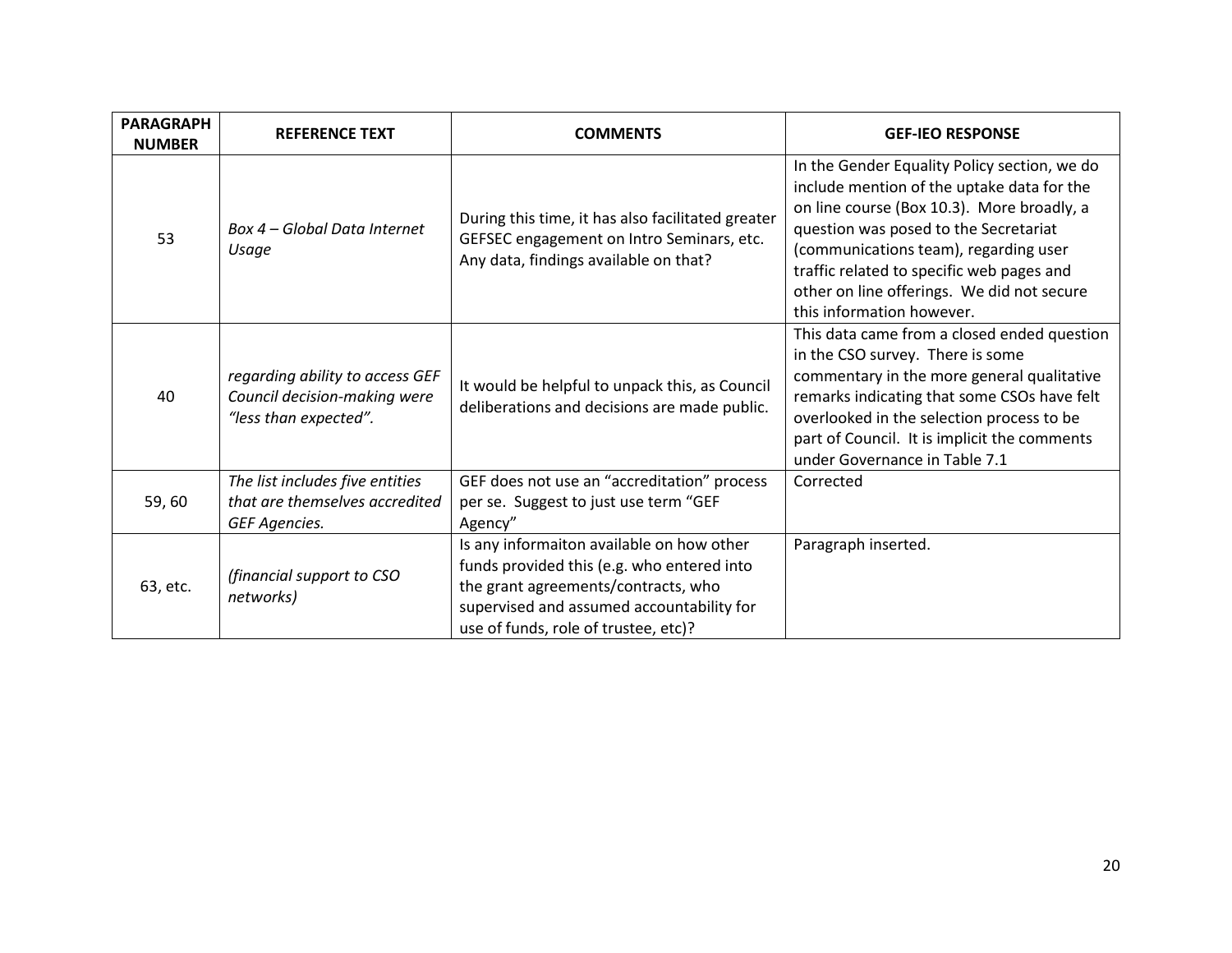| <b>PARAGRAPH</b><br><b>NUMBER</b> | <b>REFERENCE TEXT</b>                                                                    | <b>COMMENTS</b>                                                                                                                                                                                                     | <b>GEF-IEO RESPONSE</b>                                                                                                                                                                                                                                                                                                                            |
|-----------------------------------|------------------------------------------------------------------------------------------|---------------------------------------------------------------------------------------------------------------------------------------------------------------------------------------------------------------------|----------------------------------------------------------------------------------------------------------------------------------------------------------------------------------------------------------------------------------------------------------------------------------------------------------------------------------------------------|
| 53                                | Box 4 – Global Data Internet<br>Usage                                                    | During this time, it has also facilitated greater<br>GEFSEC engagement on Intro Seminars, etc.<br>Any data, findings available on that?                                                                             | In the Gender Equality Policy section, we do<br>include mention of the uptake data for the<br>on line course (Box 10.3). More broadly, a<br>question was posed to the Secretariat<br>(communications team), regarding user<br>traffic related to specific web pages and<br>other on line offerings. We did not secure<br>this information however. |
| 40                                | regarding ability to access GEF<br>Council decision-making were<br>"less than expected". | It would be helpful to unpack this, as Council<br>deliberations and decisions are made public.                                                                                                                      | This data came from a closed ended question<br>in the CSO survey. There is some<br>commentary in the more general qualitative<br>remarks indicating that some CSOs have felt<br>overlooked in the selection process to be<br>part of Council. It is implicit the comments<br>under Governance in Table 7.1                                         |
| 59,60                             | The list includes five entities<br>that are themselves accredited<br>GEF Agencies.       | GEF does not use an "accreditation" process<br>per se. Suggest to just use term "GEF<br>Agency"                                                                                                                     | Corrected                                                                                                                                                                                                                                                                                                                                          |
| 63, etc.                          | (financial support to CSO<br>networks)                                                   | Is any informaiton available on how other<br>funds provided this (e.g. who entered into<br>the grant agreements/contracts, who<br>supervised and assumed accountability for<br>use of funds, role of trustee, etc)? | Paragraph inserted.                                                                                                                                                                                                                                                                                                                                |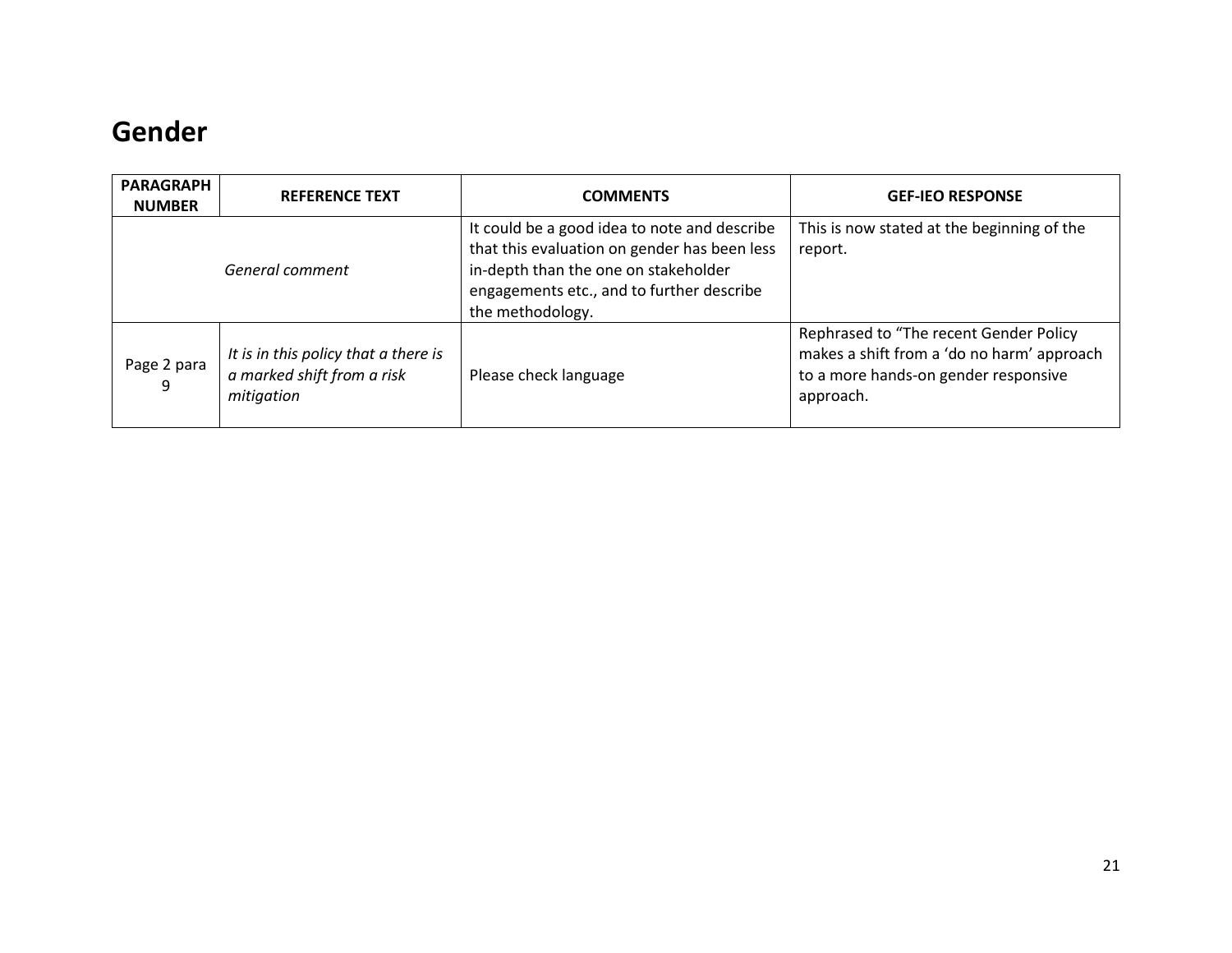#### <span id="page-20-0"></span>**Gender**

| <b>PARAGRAPH</b><br><b>NUMBER</b> | <b>REFERENCE TEXT</b>                                                            | <b>COMMENTS</b>                                                                                                                                                                                       | <b>GEF-IEO RESPONSE</b>                                                                                                                   |
|-----------------------------------|----------------------------------------------------------------------------------|-------------------------------------------------------------------------------------------------------------------------------------------------------------------------------------------------------|-------------------------------------------------------------------------------------------------------------------------------------------|
| General comment                   |                                                                                  | It could be a good idea to note and describe<br>that this evaluation on gender has been less<br>in-depth than the one on stakeholder<br>engagements etc., and to further describe<br>the methodology. | This is now stated at the beginning of the<br>report.                                                                                     |
| Page 2 para<br>9                  | It is in this policy that a there is<br>a marked shift from a risk<br>mitigation | Please check language                                                                                                                                                                                 | Rephrased to "The recent Gender Policy<br>makes a shift from a 'do no harm' approach<br>to a more hands-on gender responsive<br>approach. |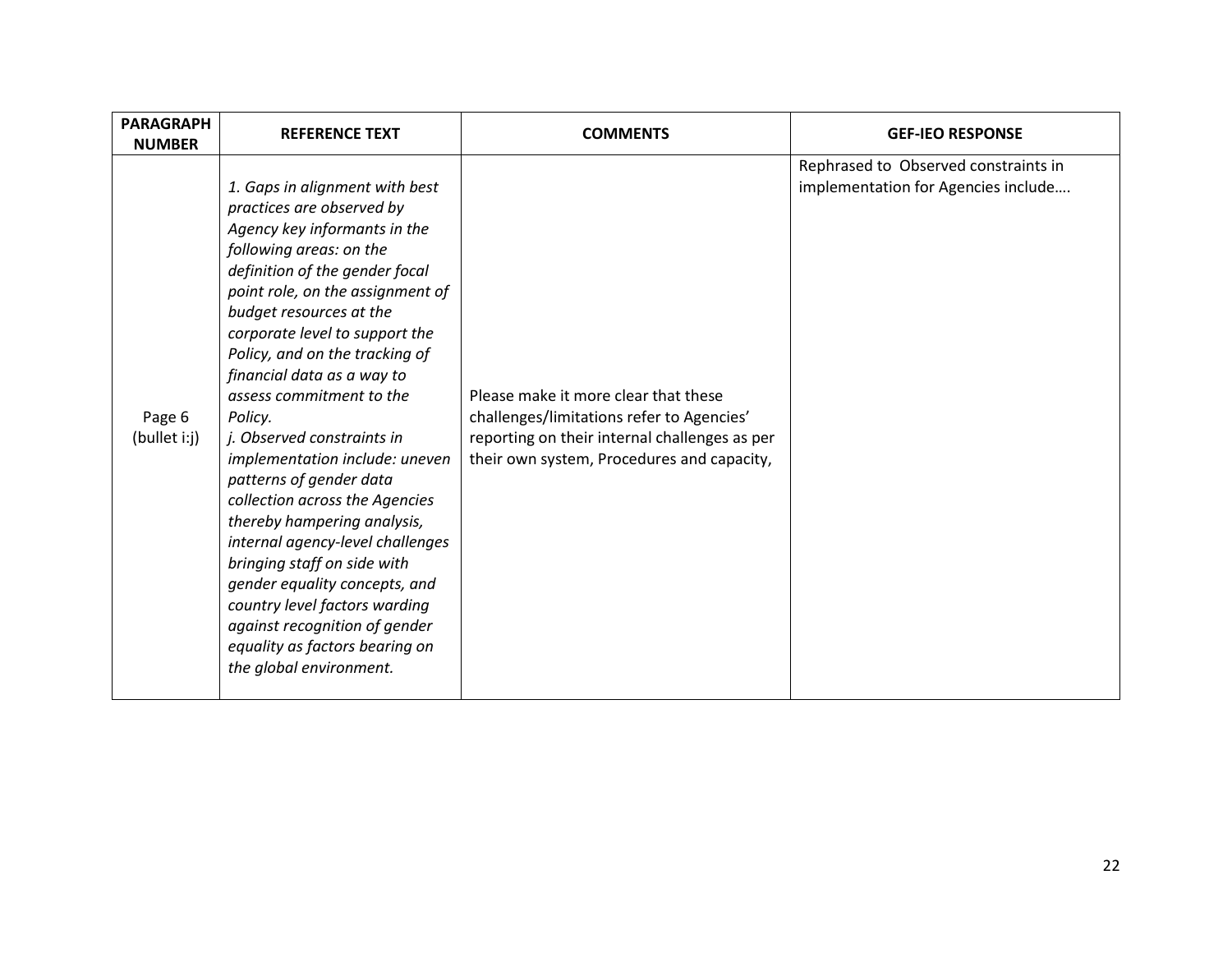| <b>PARAGRAPH</b><br><b>NUMBER</b> | <b>REFERENCE TEXT</b>                                                                                                                                                                                                                                                                                                                                                                                                                                                                                                                                                                                                                                                                                                                                           | <b>COMMENTS</b>                                                                                                                                                                  | <b>GEF-IEO RESPONSE</b>                                                     |
|-----------------------------------|-----------------------------------------------------------------------------------------------------------------------------------------------------------------------------------------------------------------------------------------------------------------------------------------------------------------------------------------------------------------------------------------------------------------------------------------------------------------------------------------------------------------------------------------------------------------------------------------------------------------------------------------------------------------------------------------------------------------------------------------------------------------|----------------------------------------------------------------------------------------------------------------------------------------------------------------------------------|-----------------------------------------------------------------------------|
| Page 6<br>(bullet i:j)            | 1. Gaps in alignment with best<br>practices are observed by<br>Agency key informants in the<br>following areas: on the<br>definition of the gender focal<br>point role, on the assignment of<br>budget resources at the<br>corporate level to support the<br>Policy, and on the tracking of<br>financial data as a way to<br>assess commitment to the<br>Policy.<br>j. Observed constraints in<br>implementation include: uneven<br>patterns of gender data<br>collection across the Agencies<br>thereby hampering analysis,<br>internal agency-level challenges<br>bringing staff on side with<br>gender equality concepts, and<br>country level factors warding<br>against recognition of gender<br>equality as factors bearing on<br>the global environment. | Please make it more clear that these<br>challenges/limitations refer to Agencies'<br>reporting on their internal challenges as per<br>their own system, Procedures and capacity, | Rephrased to Observed constraints in<br>implementation for Agencies include |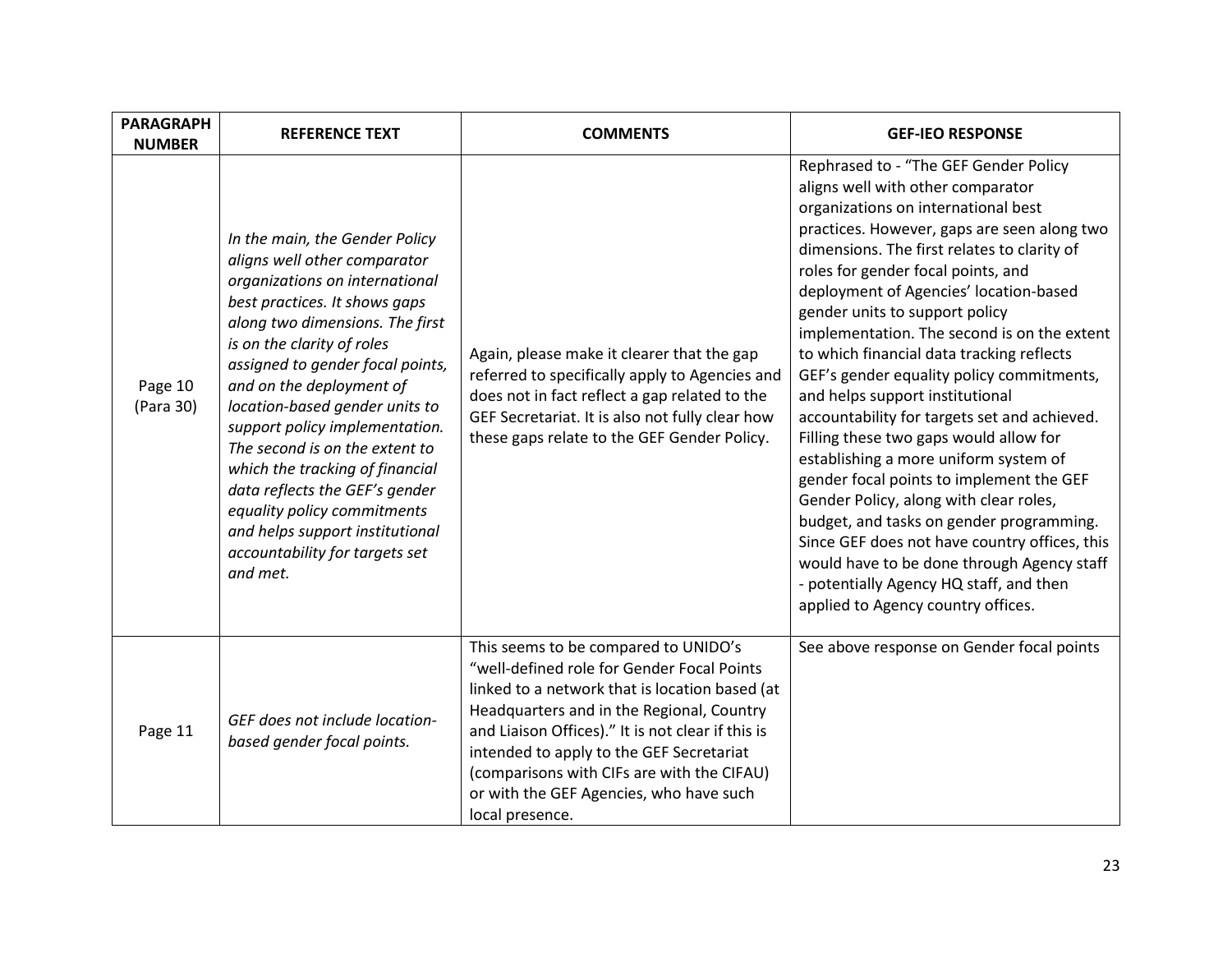| <b>PARAGRAPH</b><br><b>NUMBER</b> | <b>REFERENCE TEXT</b>                                                                                                                                                                                                                                                                                                                                                                                                                                                                                                                                         | <b>COMMENTS</b>                                                                                                                                                                                                                                                                                                                                                                                | <b>GEF-IEO RESPONSE</b>                                                                                                                                                                                                                                                                                                                                                                                                                                                                                                                                                                                                                                                                                                                                                                                                                                                                                                                                            |
|-----------------------------------|---------------------------------------------------------------------------------------------------------------------------------------------------------------------------------------------------------------------------------------------------------------------------------------------------------------------------------------------------------------------------------------------------------------------------------------------------------------------------------------------------------------------------------------------------------------|------------------------------------------------------------------------------------------------------------------------------------------------------------------------------------------------------------------------------------------------------------------------------------------------------------------------------------------------------------------------------------------------|--------------------------------------------------------------------------------------------------------------------------------------------------------------------------------------------------------------------------------------------------------------------------------------------------------------------------------------------------------------------------------------------------------------------------------------------------------------------------------------------------------------------------------------------------------------------------------------------------------------------------------------------------------------------------------------------------------------------------------------------------------------------------------------------------------------------------------------------------------------------------------------------------------------------------------------------------------------------|
| Page 10<br>(Para 30)              | In the main, the Gender Policy<br>aligns well other comparator<br>organizations on international<br>best practices. It shows gaps<br>along two dimensions. The first<br>is on the clarity of roles<br>assigned to gender focal points,<br>and on the deployment of<br>location-based gender units to<br>support policy implementation.<br>The second is on the extent to<br>which the tracking of financial<br>data reflects the GEF's gender<br>equality policy commitments<br>and helps support institutional<br>accountability for targets set<br>and met. | Again, please make it clearer that the gap<br>referred to specifically apply to Agencies and<br>does not in fact reflect a gap related to the<br>GEF Secretariat. It is also not fully clear how<br>these gaps relate to the GEF Gender Policy.                                                                                                                                                | Rephrased to - "The GEF Gender Policy<br>aligns well with other comparator<br>organizations on international best<br>practices. However, gaps are seen along two<br>dimensions. The first relates to clarity of<br>roles for gender focal points, and<br>deployment of Agencies' location-based<br>gender units to support policy<br>implementation. The second is on the extent<br>to which financial data tracking reflects<br>GEF's gender equality policy commitments,<br>and helps support institutional<br>accountability for targets set and achieved.<br>Filling these two gaps would allow for<br>establishing a more uniform system of<br>gender focal points to implement the GEF<br>Gender Policy, along with clear roles,<br>budget, and tasks on gender programming.<br>Since GEF does not have country offices, this<br>would have to be done through Agency staff<br>- potentially Agency HQ staff, and then<br>applied to Agency country offices. |
| Page 11                           | GEF does not include location-<br>based gender focal points.                                                                                                                                                                                                                                                                                                                                                                                                                                                                                                  | This seems to be compared to UNIDO's<br>"well-defined role for Gender Focal Points<br>linked to a network that is location based (at<br>Headquarters and in the Regional, Country<br>and Liaison Offices)." It is not clear if this is<br>intended to apply to the GEF Secretariat<br>(comparisons with CIFs are with the CIFAU)<br>or with the GEF Agencies, who have such<br>local presence. | See above response on Gender focal points                                                                                                                                                                                                                                                                                                                                                                                                                                                                                                                                                                                                                                                                                                                                                                                                                                                                                                                          |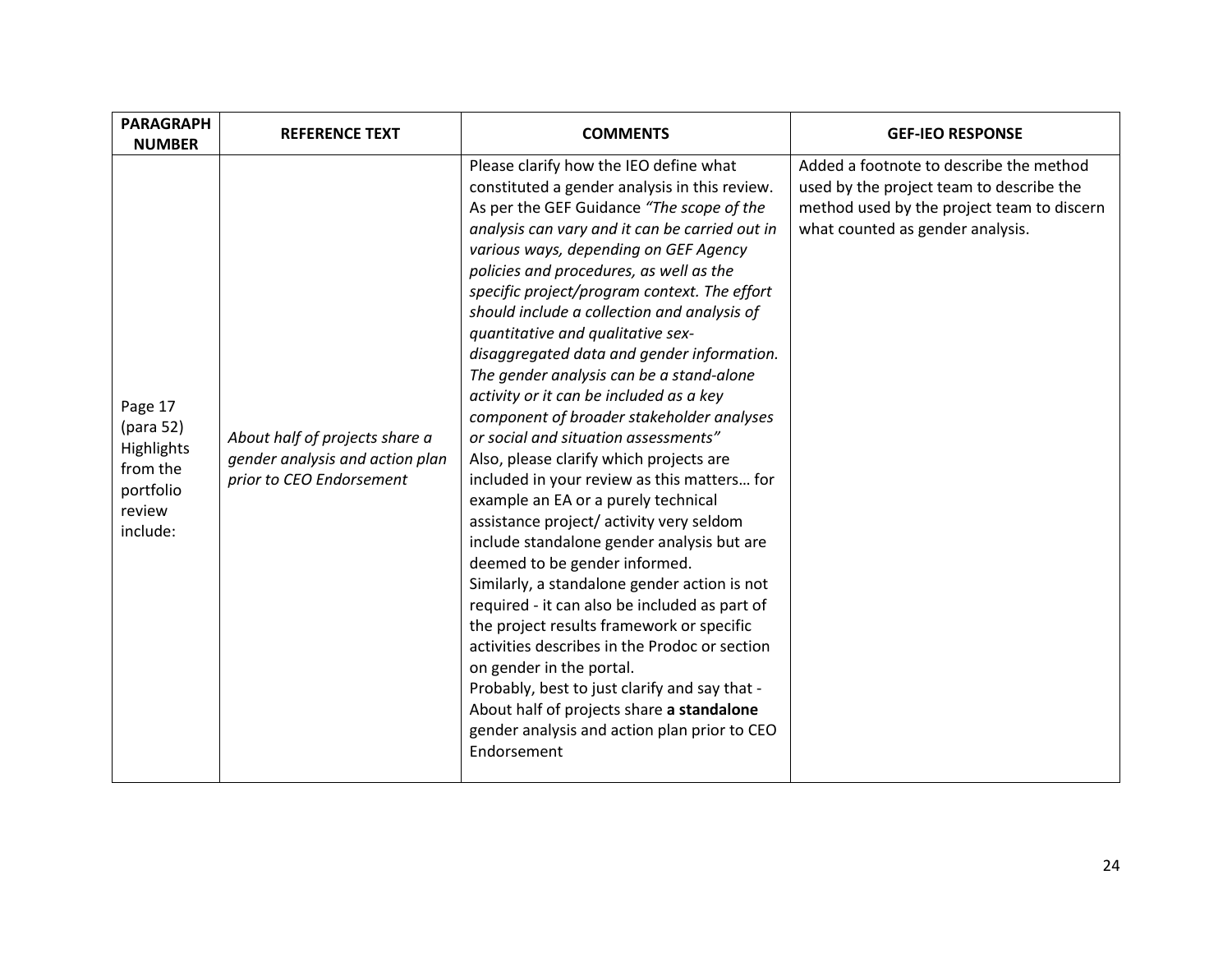| <b>PARAGRAPH</b><br><b>NUMBER</b>                                                 | <b>REFERENCE TEXT</b>                                                                         | <b>COMMENTS</b>                                                                                                                                                                                                                                                                                                                                                                                                                                                                                                                                                                                                                                                                                                                                                                                                                                                                                                                                                                                                                                                                                                                                                                                                                                                                              | <b>GEF-IEO RESPONSE</b>                                                                                                                                               |
|-----------------------------------------------------------------------------------|-----------------------------------------------------------------------------------------------|----------------------------------------------------------------------------------------------------------------------------------------------------------------------------------------------------------------------------------------------------------------------------------------------------------------------------------------------------------------------------------------------------------------------------------------------------------------------------------------------------------------------------------------------------------------------------------------------------------------------------------------------------------------------------------------------------------------------------------------------------------------------------------------------------------------------------------------------------------------------------------------------------------------------------------------------------------------------------------------------------------------------------------------------------------------------------------------------------------------------------------------------------------------------------------------------------------------------------------------------------------------------------------------------|-----------------------------------------------------------------------------------------------------------------------------------------------------------------------|
| Page 17<br>(para 52)<br>Highlights<br>from the<br>portfolio<br>review<br>include: | About half of projects share a<br>gender analysis and action plan<br>prior to CEO Endorsement | Please clarify how the IEO define what<br>constituted a gender analysis in this review.<br>As per the GEF Guidance "The scope of the<br>analysis can vary and it can be carried out in<br>various ways, depending on GEF Agency<br>policies and procedures, as well as the<br>specific project/program context. The effort<br>should include a collection and analysis of<br>quantitative and qualitative sex-<br>disaggregated data and gender information.<br>The gender analysis can be a stand-alone<br>activity or it can be included as a key<br>component of broader stakeholder analyses<br>or social and situation assessments"<br>Also, please clarify which projects are<br>included in your review as this matters for<br>example an EA or a purely technical<br>assistance project/ activity very seldom<br>include standalone gender analysis but are<br>deemed to be gender informed.<br>Similarly, a standalone gender action is not<br>required - it can also be included as part of<br>the project results framework or specific<br>activities describes in the Prodoc or section<br>on gender in the portal.<br>Probably, best to just clarify and say that -<br>About half of projects share a standalone<br>gender analysis and action plan prior to CEO<br>Endorsement | Added a footnote to describe the method<br>used by the project team to describe the<br>method used by the project team to discern<br>what counted as gender analysis. |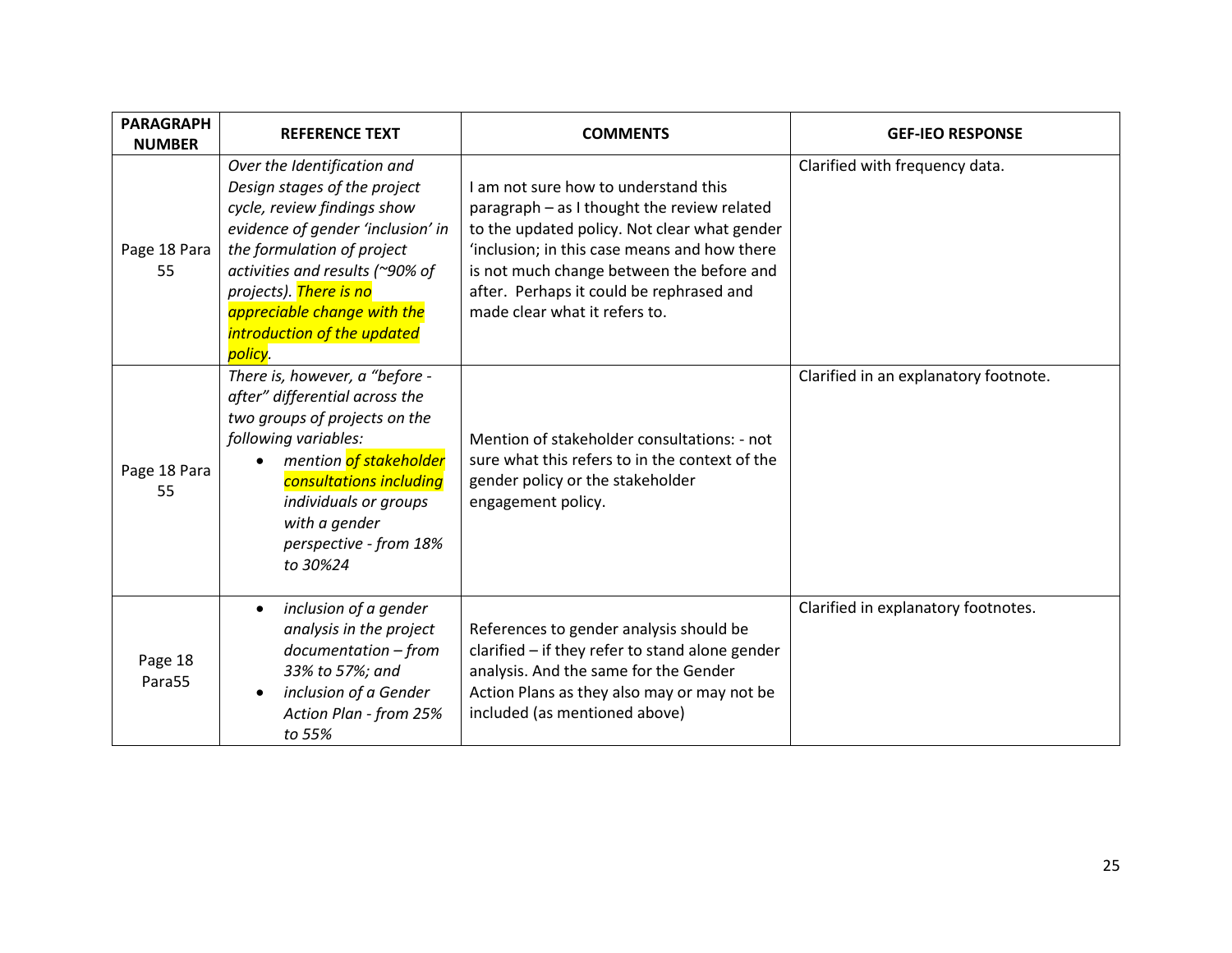| <b>PARAGRAPH</b><br><b>NUMBER</b> | <b>REFERENCE TEXT</b>                                                                                                                                                                                                                                                                                                                                                                                                                                                                                                                                                                                                | <b>COMMENTS</b>                                                                                                                                                                                                     | <b>GEF-IEO RESPONSE</b>               |
|-----------------------------------|----------------------------------------------------------------------------------------------------------------------------------------------------------------------------------------------------------------------------------------------------------------------------------------------------------------------------------------------------------------------------------------------------------------------------------------------------------------------------------------------------------------------------------------------------------------------------------------------------------------------|---------------------------------------------------------------------------------------------------------------------------------------------------------------------------------------------------------------------|---------------------------------------|
| Page 18 Para<br>55                | Over the Identification and<br>Design stages of the project<br>I am not sure how to understand this<br>cycle, review findings show<br>paragraph - as I thought the review related<br>evidence of gender 'inclusion' in<br>to the updated policy. Not clear what gender<br>the formulation of project<br>'inclusion; in this case means and how there<br>activities and results (~90% of<br>is not much change between the before and<br>projects). There is no<br>after. Perhaps it could be rephrased and<br>appreciable change with the<br>made clear what it refers to.<br>introduction of the updated<br>policy. |                                                                                                                                                                                                                     | Clarified with frequency data.        |
| Page 18 Para<br>55                | There is, however, a "before -<br>after" differential across the<br>two groups of projects on the<br>following variables:<br>mention of stakeholder<br>consultations including<br>individuals or groups<br>with a gender<br>perspective - from 18%<br>to 30%24                                                                                                                                                                                                                                                                                                                                                       | Mention of stakeholder consultations: - not<br>sure what this refers to in the context of the<br>gender policy or the stakeholder<br>engagement policy.                                                             | Clarified in an explanatory footnote. |
| Page 18<br>Para55                 | inclusion of a gender<br>$\bullet$<br>analysis in the project<br>$documentation - from$<br>33% to 57%; and<br>inclusion of a Gender<br>Action Plan - from 25%<br>to 55%                                                                                                                                                                                                                                                                                                                                                                                                                                              | References to gender analysis should be<br>clarified - if they refer to stand alone gender<br>analysis. And the same for the Gender<br>Action Plans as they also may or may not be<br>included (as mentioned above) | Clarified in explanatory footnotes.   |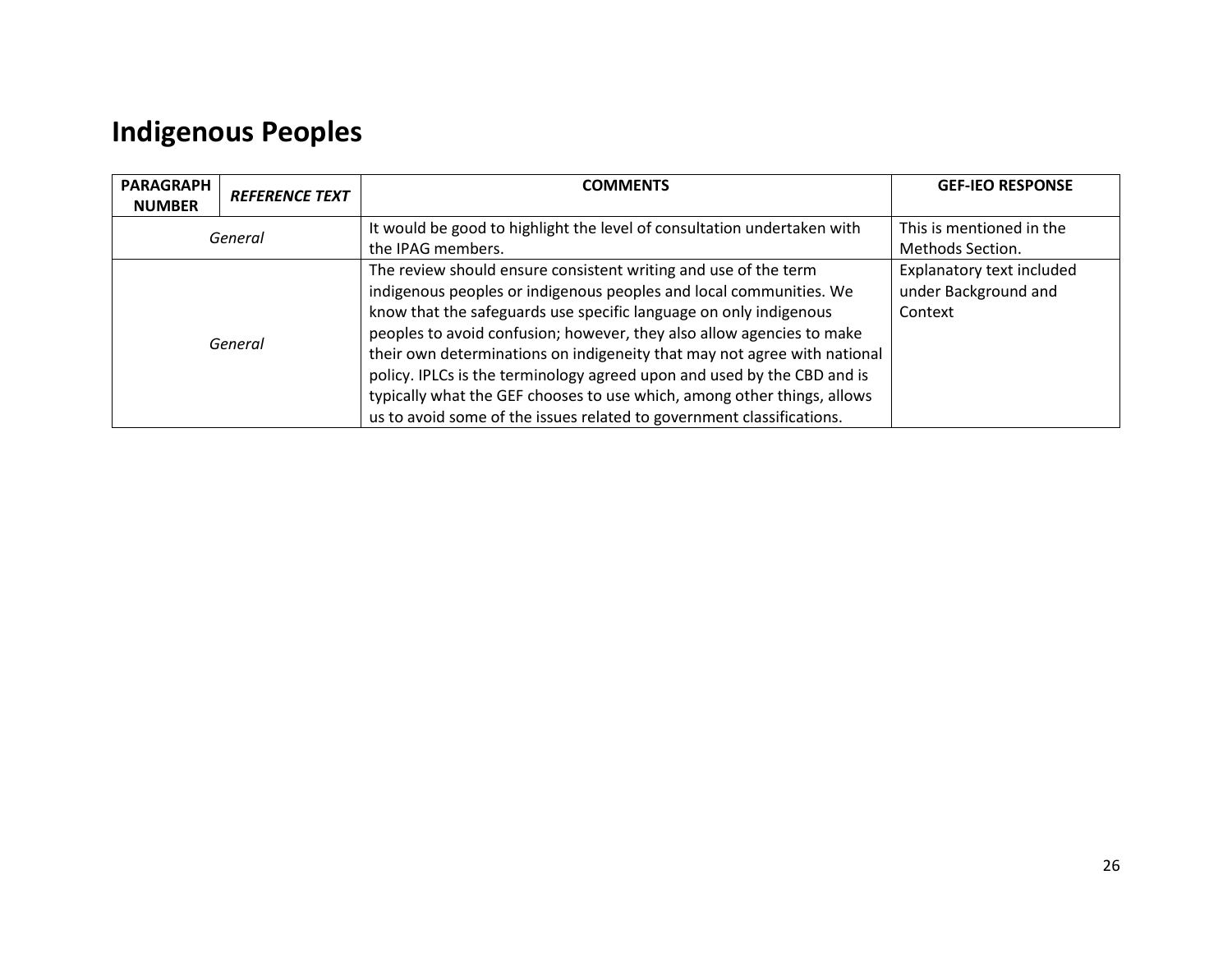## <span id="page-25-0"></span>**Indigenous Peoples**

| <b>PARAGRAPH</b><br><b>NUMBER</b> | <b>REFERENCE TEXT</b>                                                    | <b>COMMENTS</b>                                                         | <b>GEF-IEO RESPONSE</b>   |
|-----------------------------------|--------------------------------------------------------------------------|-------------------------------------------------------------------------|---------------------------|
| General                           |                                                                          | It would be good to highlight the level of consultation undertaken with | This is mentioned in the  |
|                                   |                                                                          | the IPAG members.                                                       | Methods Section.          |
|                                   |                                                                          | The review should ensure consistent writing and use of the term         | Explanatory text included |
|                                   |                                                                          | indigenous peoples or indigenous peoples and local communities. We      | under Background and      |
|                                   |                                                                          | know that the safeguards use specific language on only indigenous       | Context                   |
|                                   |                                                                          | peoples to avoid confusion; however, they also allow agencies to make   |                           |
| General                           | their own determinations on indigeneity that may not agree with national |                                                                         |                           |
|                                   |                                                                          | policy. IPLCs is the terminology agreed upon and used by the CBD and is |                           |
|                                   |                                                                          | typically what the GEF chooses to use which, among other things, allows |                           |
|                                   |                                                                          | us to avoid some of the issues related to government classifications.   |                           |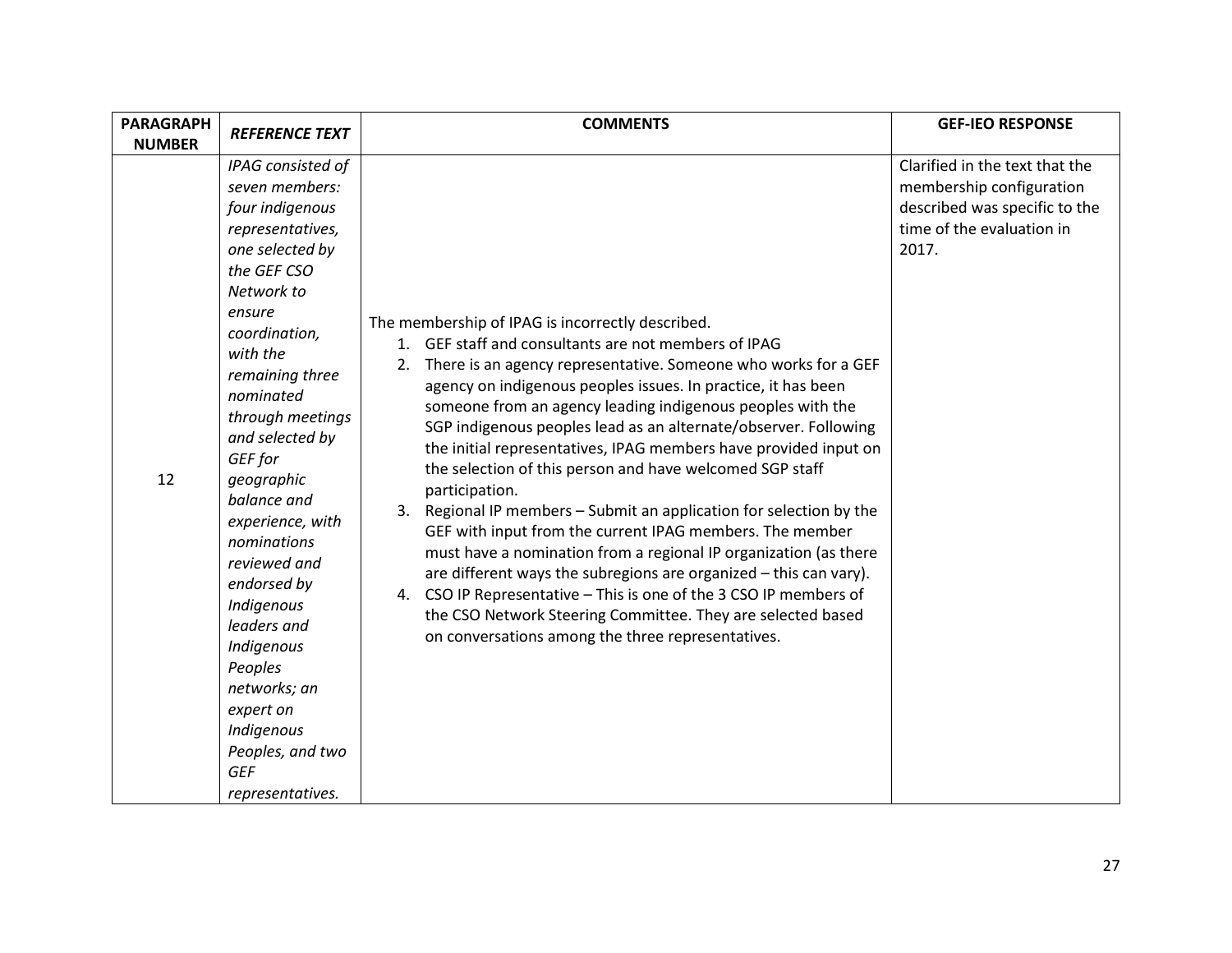| <b>PARAGRAPH</b> | <b>REFERENCE TEXT</b>                                                                                                                                                                                                                                                                                                                                                                                                                                                                                     | <b>COMMENTS</b>                                                                                                                                                                                                                                                                                                                                                                                                                                                                                                                                                                                                                                                                                                                                                                                                                                                                                                                                                                                        | <b>GEF-IEO RESPONSE</b>                                                                                                           |
|------------------|-----------------------------------------------------------------------------------------------------------------------------------------------------------------------------------------------------------------------------------------------------------------------------------------------------------------------------------------------------------------------------------------------------------------------------------------------------------------------------------------------------------|--------------------------------------------------------------------------------------------------------------------------------------------------------------------------------------------------------------------------------------------------------------------------------------------------------------------------------------------------------------------------------------------------------------------------------------------------------------------------------------------------------------------------------------------------------------------------------------------------------------------------------------------------------------------------------------------------------------------------------------------------------------------------------------------------------------------------------------------------------------------------------------------------------------------------------------------------------------------------------------------------------|-----------------------------------------------------------------------------------------------------------------------------------|
| <b>NUMBER</b>    |                                                                                                                                                                                                                                                                                                                                                                                                                                                                                                           |                                                                                                                                                                                                                                                                                                                                                                                                                                                                                                                                                                                                                                                                                                                                                                                                                                                                                                                                                                                                        |                                                                                                                                   |
| 12               | IPAG consisted of<br>seven members:<br>four indigenous<br>representatives,<br>one selected by<br>the GEF CSO<br>Network to<br>ensure<br>coordination,<br>with the<br>remaining three<br>nominated<br>through meetings<br>and selected by<br>GEF for<br>geographic<br>balance and<br>experience, with<br>nominations<br>reviewed and<br>endorsed by<br>Indigenous<br>leaders and<br>Indigenous<br>Peoples<br>networks; an<br>expert on<br>Indigenous<br>Peoples, and two<br><b>GEF</b><br>representatives. | The membership of IPAG is incorrectly described.<br>1. GEF staff and consultants are not members of IPAG<br>2. There is an agency representative. Someone who works for a GEF<br>agency on indigenous peoples issues. In practice, it has been<br>someone from an agency leading indigenous peoples with the<br>SGP indigenous peoples lead as an alternate/observer. Following<br>the initial representatives, IPAG members have provided input on<br>the selection of this person and have welcomed SGP staff<br>participation.<br>3. Regional IP members - Submit an application for selection by the<br>GEF with input from the current IPAG members. The member<br>must have a nomination from a regional IP organization (as there<br>are different ways the subregions are organized - this can vary).<br>4. CSO IP Representative - This is one of the 3 CSO IP members of<br>the CSO Network Steering Committee. They are selected based<br>on conversations among the three representatives. | Clarified in the text that the<br>membership configuration<br>described was specific to the<br>time of the evaluation in<br>2017. |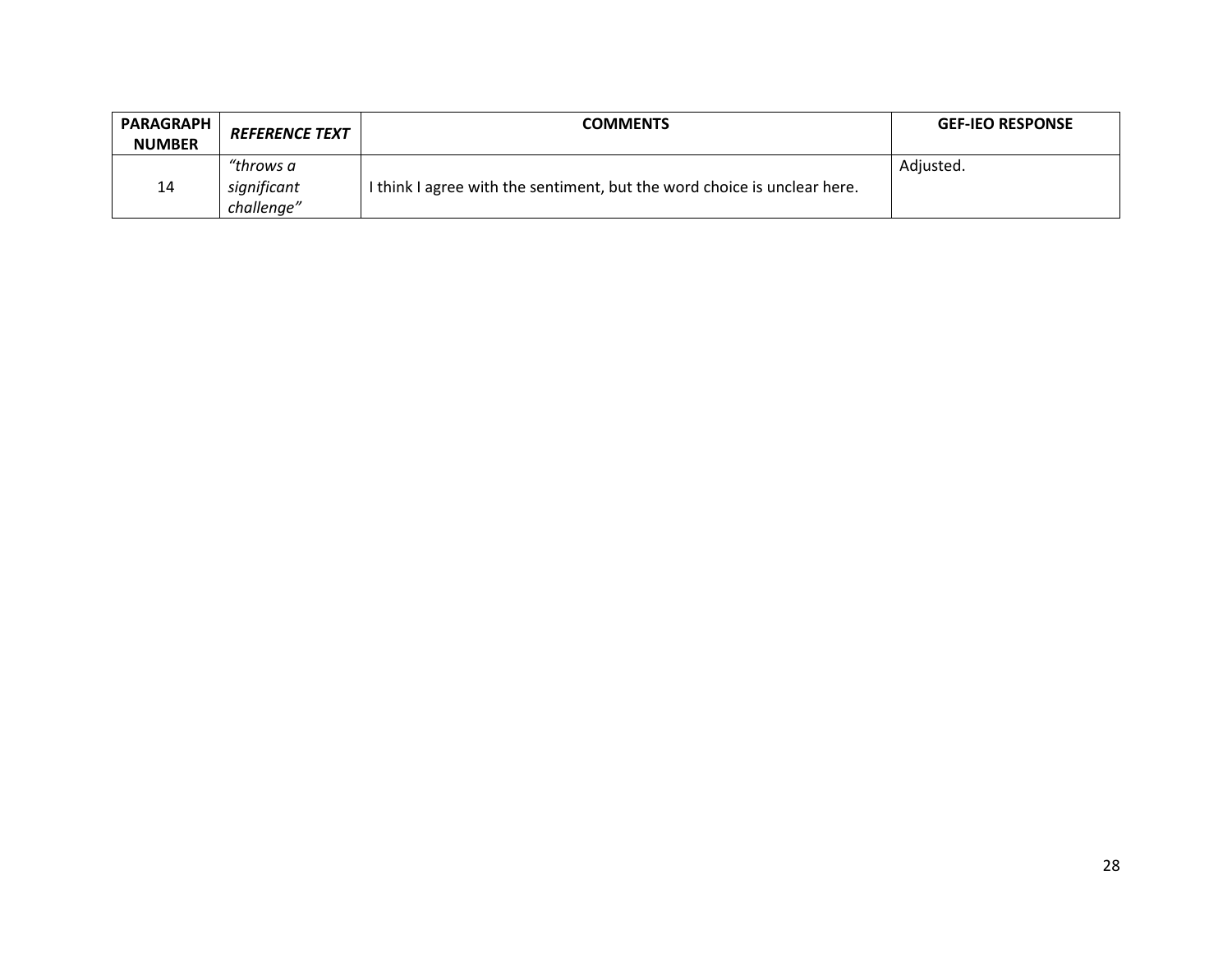| <b>PARAGRAPH</b><br><b>NUMBER</b> | <b>REFERENCE TEXT</b> | COMMENTS                                                                 | <b>GEF-IEO RESPONSE</b> |
|-----------------------------------|-----------------------|--------------------------------------------------------------------------|-------------------------|
|                                   | "throws a             |                                                                          | Adjusted.               |
| 14                                | significant           | I think I agree with the sentiment, but the word choice is unclear here. |                         |
|                                   | challenge"            |                                                                          |                         |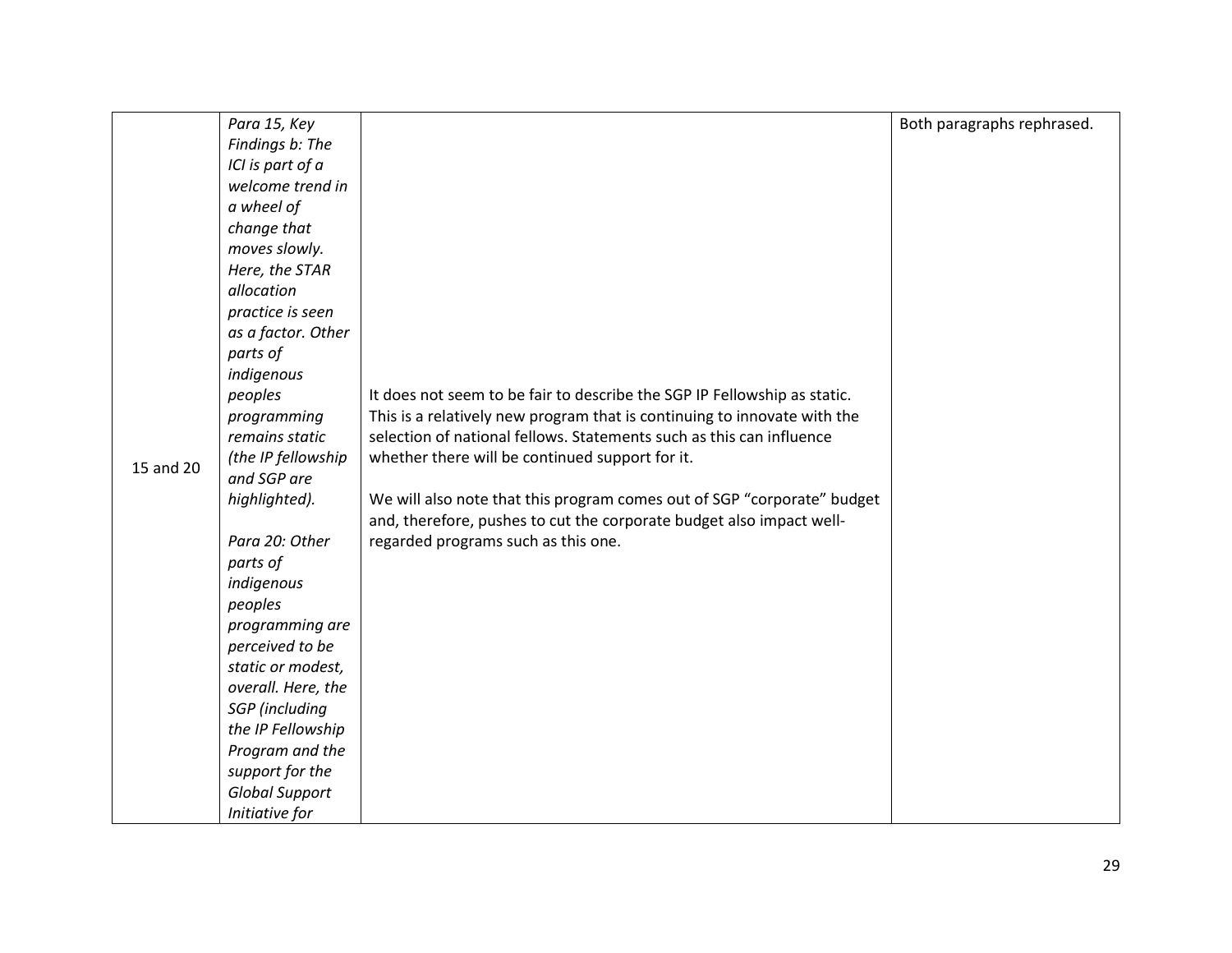|           | Para 15, Key          |                                                                          | Both paragraphs rephrased. |
|-----------|-----------------------|--------------------------------------------------------------------------|----------------------------|
|           | Findings b: The       |                                                                          |                            |
|           | ICI is part of a      |                                                                          |                            |
|           | welcome trend in      |                                                                          |                            |
|           | a wheel of            |                                                                          |                            |
|           | change that           |                                                                          |                            |
|           | moves slowly.         |                                                                          |                            |
|           | Here, the STAR        |                                                                          |                            |
|           | allocation            |                                                                          |                            |
|           | practice is seen      |                                                                          |                            |
|           | as a factor. Other    |                                                                          |                            |
|           | parts of              |                                                                          |                            |
|           | indigenous            |                                                                          |                            |
|           | peoples               | It does not seem to be fair to describe the SGP IP Fellowship as static. |                            |
|           | programming           | This is a relatively new program that is continuing to innovate with the |                            |
|           | remains static        | selection of national fellows. Statements such as this can influence     |                            |
| 15 and 20 | (the IP fellowship    | whether there will be continued support for it.                          |                            |
|           | and SGP are           |                                                                          |                            |
|           | highlighted).         | We will also note that this program comes out of SGP "corporate" budget  |                            |
|           |                       | and, therefore, pushes to cut the corporate budget also impact well-     |                            |
|           | Para 20: Other        | regarded programs such as this one.                                      |                            |
|           | parts of              |                                                                          |                            |
|           | indigenous            |                                                                          |                            |
|           | peoples               |                                                                          |                            |
|           | programming are       |                                                                          |                            |
|           | perceived to be       |                                                                          |                            |
|           | static or modest,     |                                                                          |                            |
|           | overall. Here, the    |                                                                          |                            |
|           | <b>SGP</b> (including |                                                                          |                            |
|           | the IP Fellowship     |                                                                          |                            |
|           | Program and the       |                                                                          |                            |
|           | support for the       |                                                                          |                            |
|           | <b>Global Support</b> |                                                                          |                            |
|           | Initiative for        |                                                                          |                            |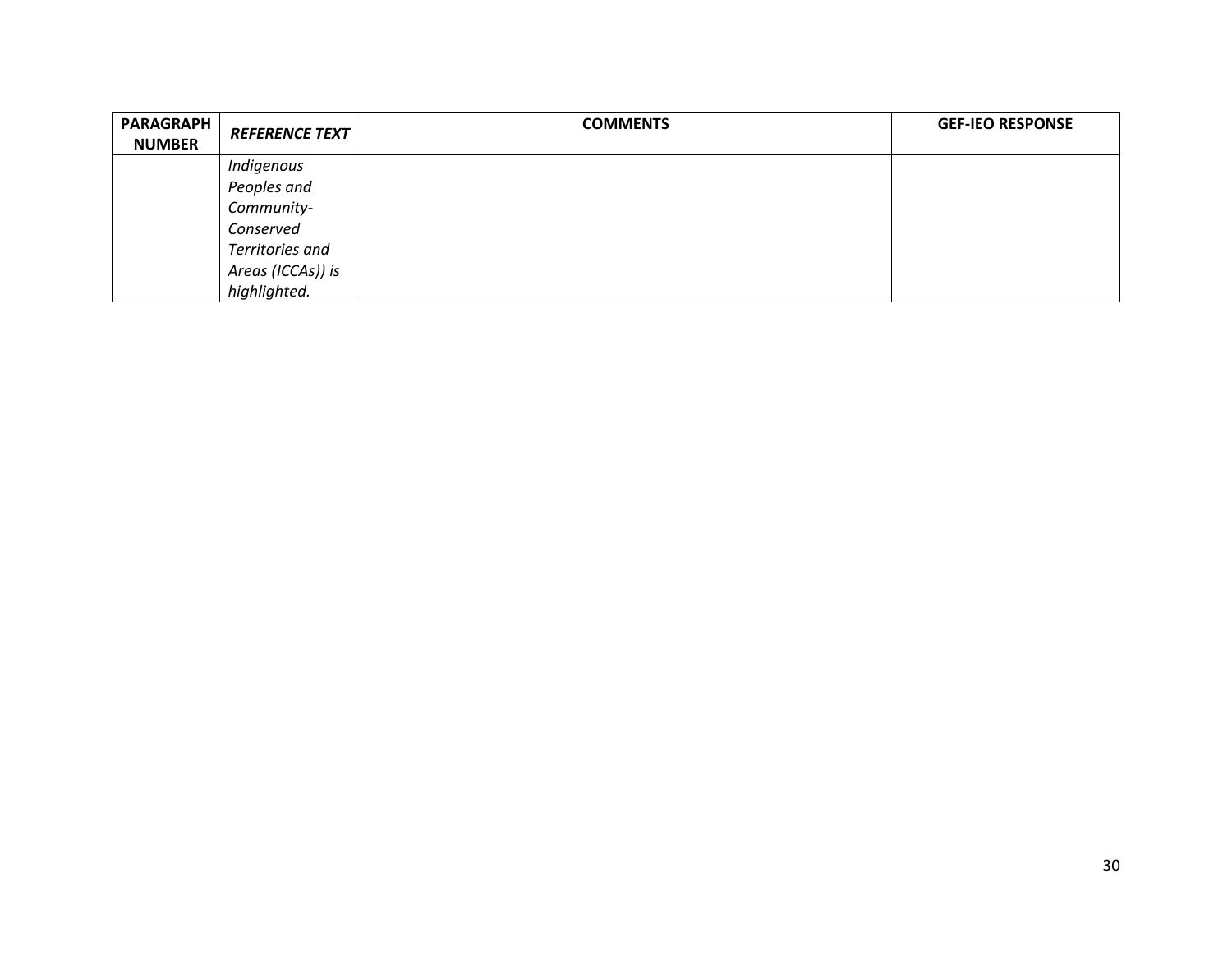| <b>PARAGRAPH</b><br><b>NUMBER</b> | <b>REFERENCE TEXT</b> | <b>COMMENTS</b> | <b>GEF-IEO RESPONSE</b> |
|-----------------------------------|-----------------------|-----------------|-------------------------|
|                                   | Indigenous            |                 |                         |
|                                   | Peoples and           |                 |                         |
|                                   | Community-            |                 |                         |
|                                   | Conserved             |                 |                         |
|                                   | Territories and       |                 |                         |
|                                   | Areas (ICCAs)) is     |                 |                         |
|                                   | highlighted.          |                 |                         |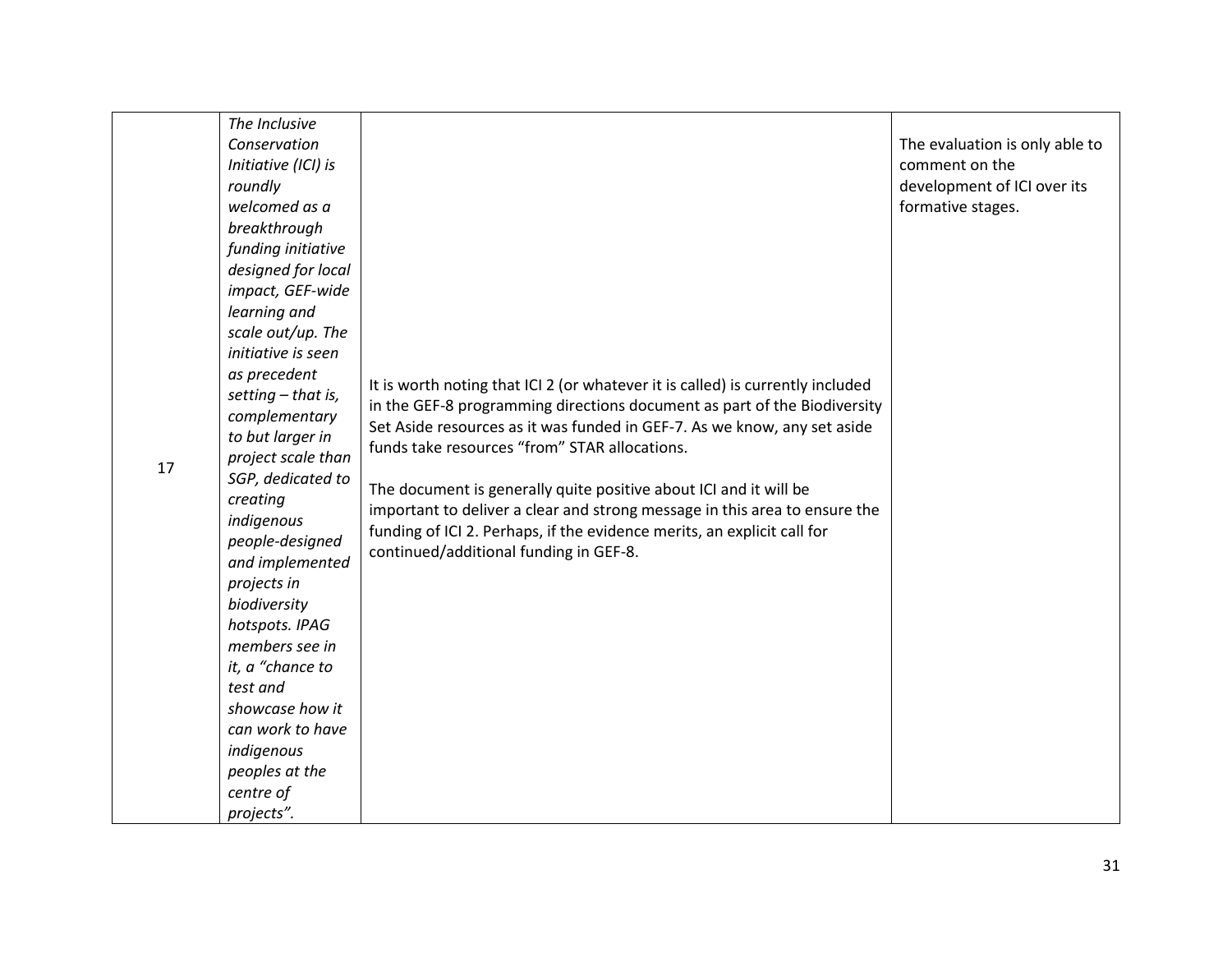| 17 | The Inclusive<br>Conservation<br>Initiative (ICI) is<br>roundly<br>welcomed as a<br>breakthrough<br>funding initiative<br>designed for local<br>impact, GEF-wide<br>learning and<br>scale out/up. The<br>initiative is seen<br>as precedent<br>setting $-$ that is,<br>complementary<br>to but larger in<br>project scale than<br>SGP, dedicated to<br>creating<br>indigenous<br>people-designed<br>and implemented<br>projects in<br>biodiversity<br>hotspots. IPAG<br>members see in<br>it, a "chance to<br>test and<br>showcase how it<br>can work to have<br>indigenous<br>peoples at the<br>centre of<br>projects". | It is worth noting that ICI 2 (or whatever it is called) is currently included<br>in the GEF-8 programming directions document as part of the Biodiversity<br>Set Aside resources as it was funded in GEF-7. As we know, any set aside<br>funds take resources "from" STAR allocations.<br>The document is generally quite positive about ICI and it will be<br>important to deliver a clear and strong message in this area to ensure the<br>funding of ICI 2. Perhaps, if the evidence merits, an explicit call for<br>continued/additional funding in GEF-8. | The evaluation is only able to<br>comment on the<br>development of ICI over its<br>formative stages. |
|----|--------------------------------------------------------------------------------------------------------------------------------------------------------------------------------------------------------------------------------------------------------------------------------------------------------------------------------------------------------------------------------------------------------------------------------------------------------------------------------------------------------------------------------------------------------------------------------------------------------------------------|-----------------------------------------------------------------------------------------------------------------------------------------------------------------------------------------------------------------------------------------------------------------------------------------------------------------------------------------------------------------------------------------------------------------------------------------------------------------------------------------------------------------------------------------------------------------|------------------------------------------------------------------------------------------------------|
|----|--------------------------------------------------------------------------------------------------------------------------------------------------------------------------------------------------------------------------------------------------------------------------------------------------------------------------------------------------------------------------------------------------------------------------------------------------------------------------------------------------------------------------------------------------------------------------------------------------------------------------|-----------------------------------------------------------------------------------------------------------------------------------------------------------------------------------------------------------------------------------------------------------------------------------------------------------------------------------------------------------------------------------------------------------------------------------------------------------------------------------------------------------------------------------------------------------------|------------------------------------------------------------------------------------------------------|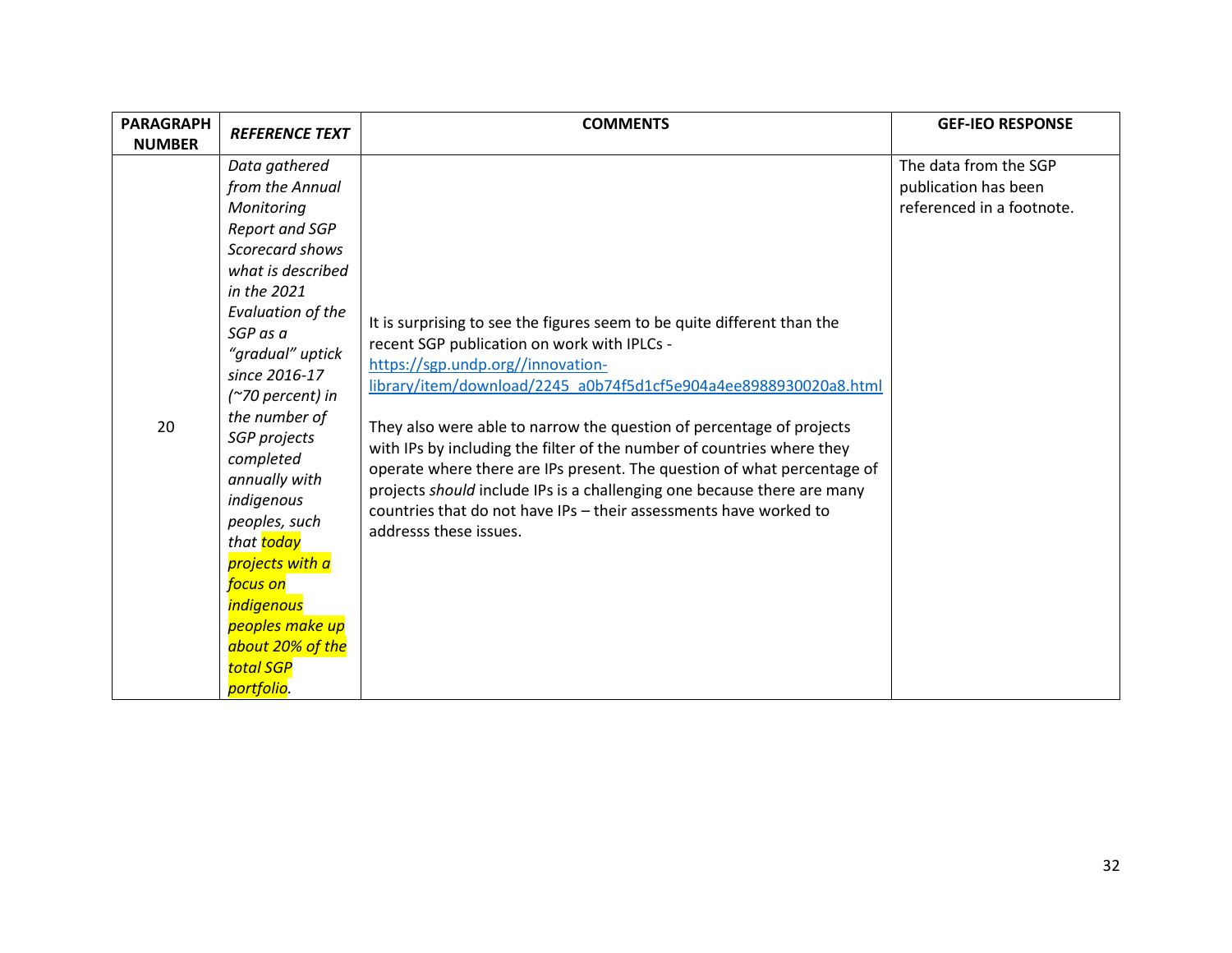| <b>PARAGRAPH</b><br><b>NUMBER</b> | <b>REFERENCE TEXT</b>                                                                                                                                                                                                                                                                                                                                                                                                                                                   | <b>COMMENTS</b>                                                                                                                                                                                                                                                                                                                                                                                                                                                                                                                                                                                                                        | <b>GEF-IEO RESPONSE</b>                                                    |
|-----------------------------------|-------------------------------------------------------------------------------------------------------------------------------------------------------------------------------------------------------------------------------------------------------------------------------------------------------------------------------------------------------------------------------------------------------------------------------------------------------------------------|----------------------------------------------------------------------------------------------------------------------------------------------------------------------------------------------------------------------------------------------------------------------------------------------------------------------------------------------------------------------------------------------------------------------------------------------------------------------------------------------------------------------------------------------------------------------------------------------------------------------------------------|----------------------------------------------------------------------------|
| 20                                | Data gathered<br>from the Annual<br>Monitoring<br>Report and SGP<br>Scorecard shows<br>what is described<br>in the 2021<br>Evaluation of the<br>SGP as a<br>"gradual" uptick<br>since 2016-17<br>(~70 percent) in<br>the number of<br>SGP projects<br>completed<br>annually with<br>indigenous<br>peoples, such<br>that <mark>today</mark><br>projects with a<br>focus on<br><i>indigenous</i><br>peoples make up<br>about 20% of the<br><b>total SGP</b><br>portfolio. | It is surprising to see the figures seem to be quite different than the<br>recent SGP publication on work with IPLCs -<br>https://sgp.undp.org//innovation-<br>library/item/download/2245 a0b74f5d1cf5e904a4ee8988930020a8.html<br>They also were able to narrow the question of percentage of projects<br>with IPs by including the filter of the number of countries where they<br>operate where there are IPs present. The question of what percentage of<br>projects should include IPs is a challenging one because there are many<br>countries that do not have IPs - their assessments have worked to<br>addresss these issues. | The data from the SGP<br>publication has been<br>referenced in a footnote. |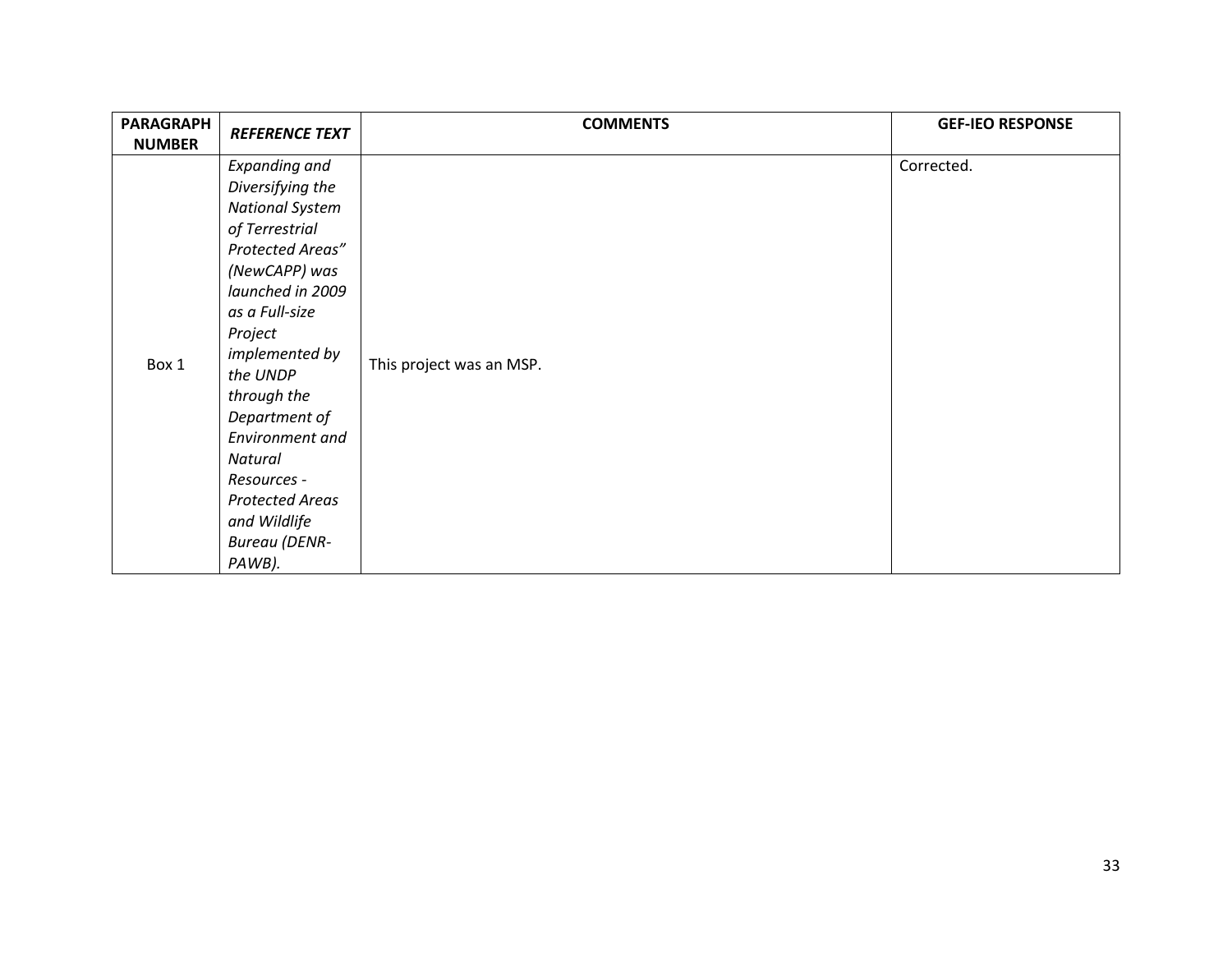| <b>PARAGRAPH</b><br><b>NUMBER</b> | <b>REFERENCE TEXT</b>                                                                                                                                                                                                                                                                                                                                             | <b>COMMENTS</b>          | <b>GEF-IEO RESPONSE</b> |
|-----------------------------------|-------------------------------------------------------------------------------------------------------------------------------------------------------------------------------------------------------------------------------------------------------------------------------------------------------------------------------------------------------------------|--------------------------|-------------------------|
| Box 1                             | <b>Expanding and</b><br>Diversifying the<br><b>National System</b><br>of Terrestrial<br>Protected Areas"<br>(NewCAPP) was<br>launched in 2009<br>as a Full-size<br>Project<br>implemented by<br>the UNDP<br>through the<br>Department of<br>Environment and<br>Natural<br>Resources -<br><b>Protected Areas</b><br>and Wildlife<br><b>Bureau</b> (DENR-<br>PAWB). | This project was an MSP. | Corrected.              |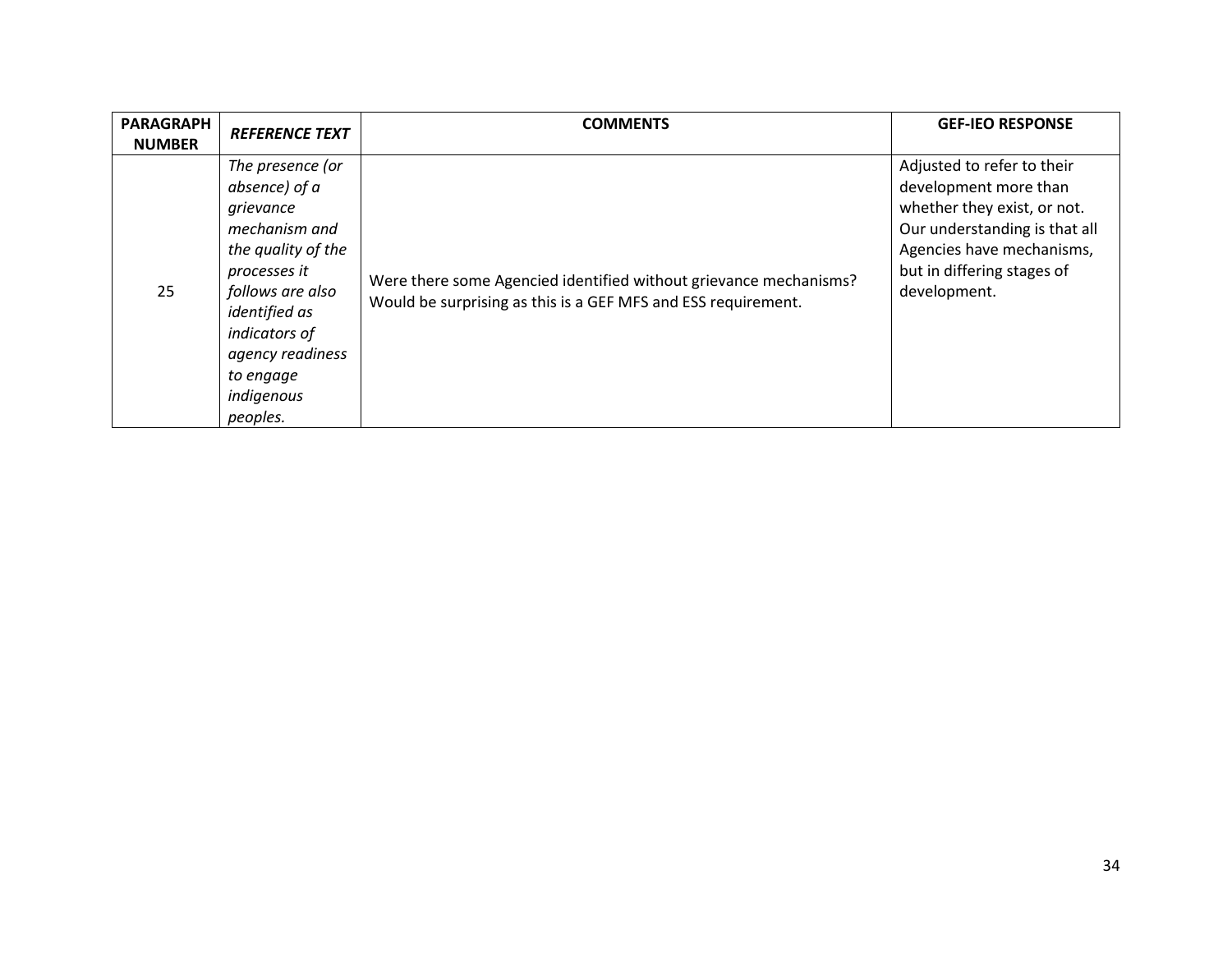| <b>PARAGRAPH</b><br><b>NUMBER</b> | <b>REFERENCE TEXT</b>                                                                                                                                                                                                         | <b>COMMENTS</b>                                                                                                                    | <b>GEF-IEO RESPONSE</b>                                                                                                                                                                        |
|-----------------------------------|-------------------------------------------------------------------------------------------------------------------------------------------------------------------------------------------------------------------------------|------------------------------------------------------------------------------------------------------------------------------------|------------------------------------------------------------------------------------------------------------------------------------------------------------------------------------------------|
| 25                                | The presence (or<br>absence) of a<br>grievance<br>mechanism and<br>the quality of the<br>processes it<br>follows are also<br><i>identified</i> as<br>indicators of<br>agency readiness<br>to engage<br>indigenous<br>peoples. | Were there some Agencied identified without grievance mechanisms?<br>Would be surprising as this is a GEF MFS and ESS requirement. | Adjusted to refer to their<br>development more than<br>whether they exist, or not.<br>Our understanding is that all<br>Agencies have mechanisms,<br>but in differing stages of<br>development. |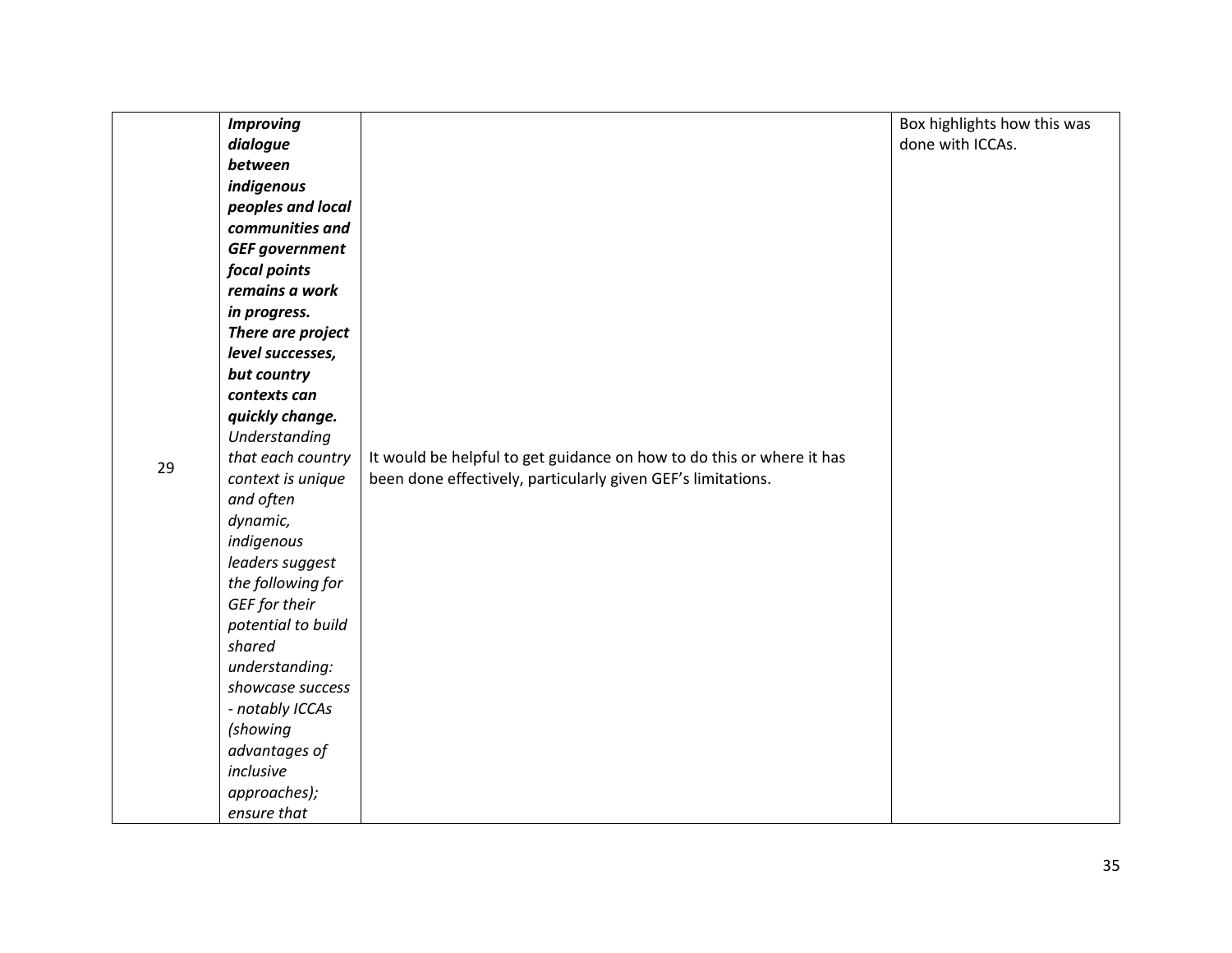|    | <b>Improving</b>      |                                                                       | Box highlights how this was |
|----|-----------------------|-----------------------------------------------------------------------|-----------------------------|
|    | dialogue              |                                                                       | done with ICCAs.            |
|    | between               |                                                                       |                             |
|    | indigenous            |                                                                       |                             |
|    | peoples and local     |                                                                       |                             |
|    | communities and       |                                                                       |                             |
|    | <b>GEF government</b> |                                                                       |                             |
|    | focal points          |                                                                       |                             |
|    | remains a work        |                                                                       |                             |
|    | in progress.          |                                                                       |                             |
|    | There are project     |                                                                       |                             |
|    | level successes,      |                                                                       |                             |
|    | but country           |                                                                       |                             |
|    | contexts can          |                                                                       |                             |
|    | quickly change.       |                                                                       |                             |
|    | Understanding         |                                                                       |                             |
| 29 | that each country     | It would be helpful to get guidance on how to do this or where it has |                             |
|    | context is unique     | been done effectively, particularly given GEF's limitations.          |                             |
|    | and often             |                                                                       |                             |
|    | dynamic,              |                                                                       |                             |
|    | indigenous            |                                                                       |                             |
|    | leaders suggest       |                                                                       |                             |
|    | the following for     |                                                                       |                             |
|    | GEF for their         |                                                                       |                             |
|    | potential to build    |                                                                       |                             |
|    | shared                |                                                                       |                             |
|    | understanding:        |                                                                       |                             |
|    | showcase success      |                                                                       |                             |
|    | - notably ICCAs       |                                                                       |                             |
|    | (showing              |                                                                       |                             |
|    | advantages of         |                                                                       |                             |
|    | inclusive             |                                                                       |                             |
|    | approaches);          |                                                                       |                             |
|    | ensure that           |                                                                       |                             |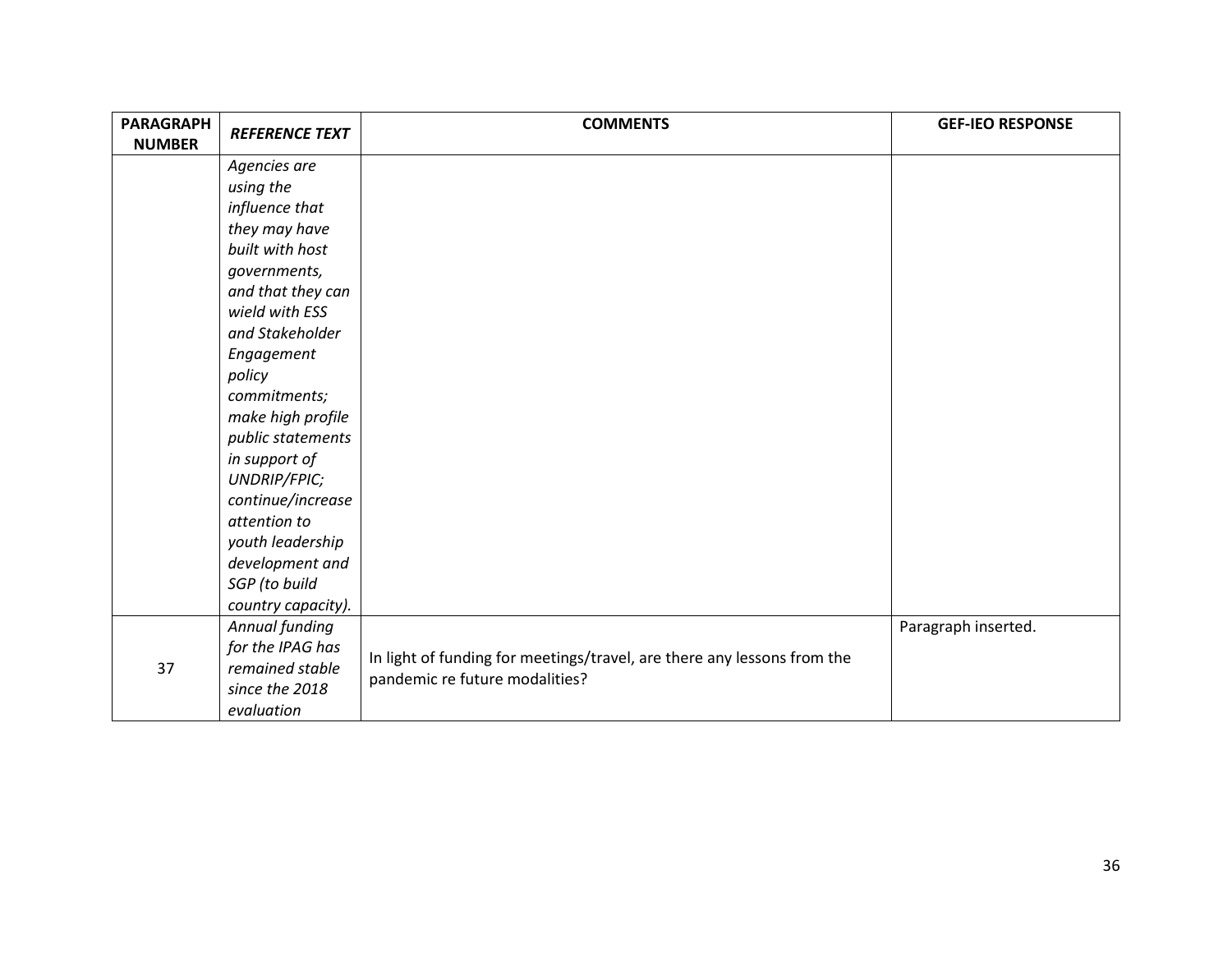| <b>PARAGRAPH</b><br><b>NUMBER</b> | <b>REFERENCE TEXT</b> | <b>COMMENTS</b>                                                         | <b>GEF-IEO RESPONSE</b> |
|-----------------------------------|-----------------------|-------------------------------------------------------------------------|-------------------------|
|                                   | Agencies are          |                                                                         |                         |
|                                   | using the             |                                                                         |                         |
|                                   | influence that        |                                                                         |                         |
|                                   | they may have         |                                                                         |                         |
|                                   | built with host       |                                                                         |                         |
|                                   | governments,          |                                                                         |                         |
|                                   | and that they can     |                                                                         |                         |
|                                   | wield with ESS        |                                                                         |                         |
|                                   | and Stakeholder       |                                                                         |                         |
|                                   | Engagement            |                                                                         |                         |
|                                   | policy                |                                                                         |                         |
|                                   | commitments;          |                                                                         |                         |
|                                   | make high profile     |                                                                         |                         |
|                                   | public statements     |                                                                         |                         |
|                                   | in support of         |                                                                         |                         |
|                                   | UNDRIP/FPIC;          |                                                                         |                         |
|                                   | continue/increase     |                                                                         |                         |
|                                   | attention to          |                                                                         |                         |
|                                   | youth leadership      |                                                                         |                         |
|                                   | development and       |                                                                         |                         |
|                                   | SGP (to build         |                                                                         |                         |
|                                   | country capacity).    |                                                                         |                         |
|                                   | Annual funding        |                                                                         | Paragraph inserted.     |
|                                   | for the IPAG has      | In light of funding for meetings/travel, are there any lessons from the |                         |
| 37                                | remained stable       | pandemic re future modalities?                                          |                         |
|                                   | since the 2018        |                                                                         |                         |
|                                   | evaluation            |                                                                         |                         |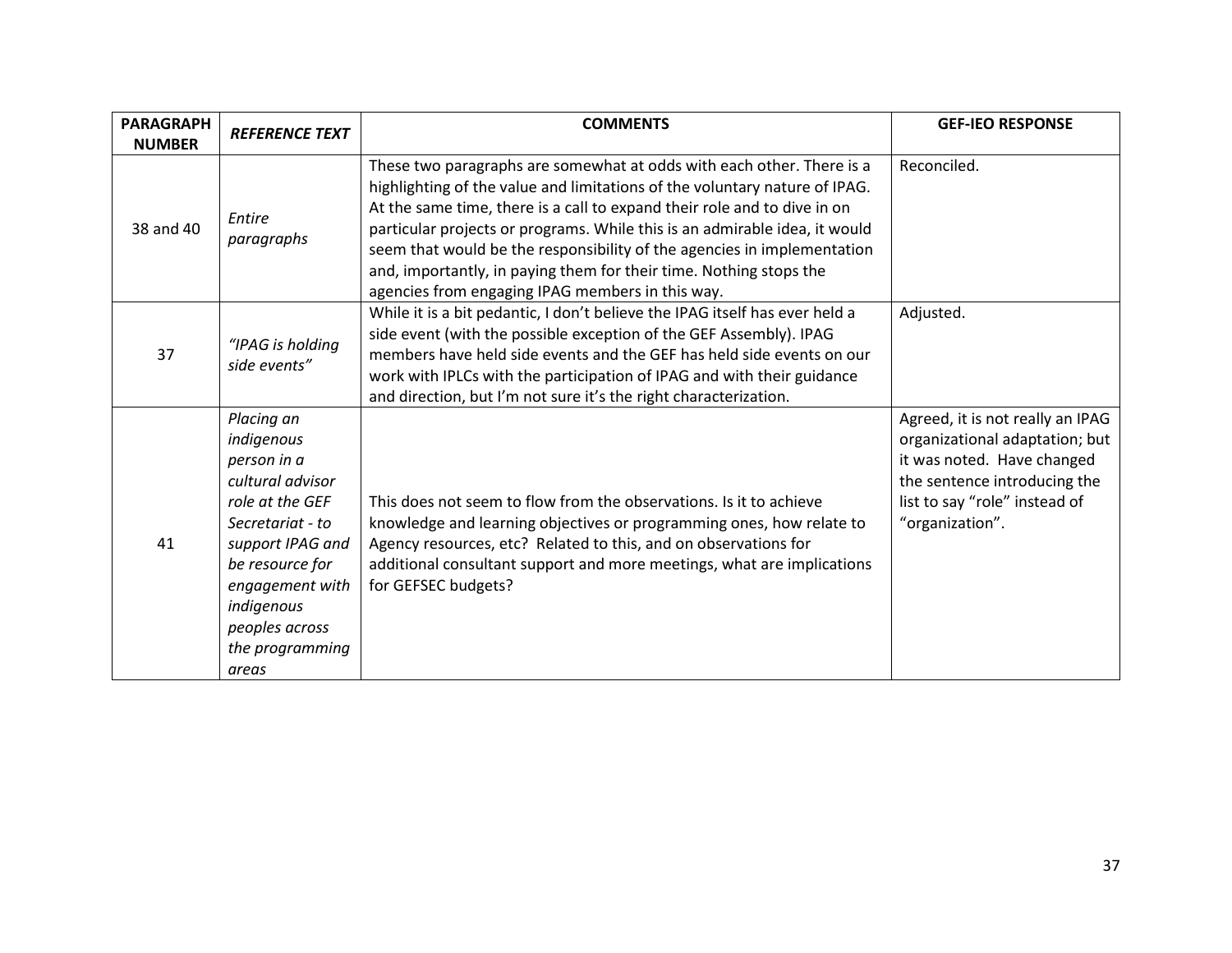| <b>PARAGRAPH</b><br><b>NUMBER</b> | <b>REFERENCE TEXT</b>                                                                                                                                                                                                    | <b>COMMENTS</b>                                                                                                                                                                                                                                                                                                                                                                                                                                                                                                    | <b>GEF-IEO RESPONSE</b>                                                                                                                                                              |
|-----------------------------------|--------------------------------------------------------------------------------------------------------------------------------------------------------------------------------------------------------------------------|--------------------------------------------------------------------------------------------------------------------------------------------------------------------------------------------------------------------------------------------------------------------------------------------------------------------------------------------------------------------------------------------------------------------------------------------------------------------------------------------------------------------|--------------------------------------------------------------------------------------------------------------------------------------------------------------------------------------|
| 38 and 40                         | Entire<br>paragraphs                                                                                                                                                                                                     | These two paragraphs are somewhat at odds with each other. There is a<br>highlighting of the value and limitations of the voluntary nature of IPAG.<br>At the same time, there is a call to expand their role and to dive in on<br>particular projects or programs. While this is an admirable idea, it would<br>seem that would be the responsibility of the agencies in implementation<br>and, importantly, in paying them for their time. Nothing stops the<br>agencies from engaging IPAG members in this way. | Reconciled.                                                                                                                                                                          |
| 37                                | "IPAG is holding<br>side events"                                                                                                                                                                                         | While it is a bit pedantic, I don't believe the IPAG itself has ever held a<br>side event (with the possible exception of the GEF Assembly). IPAG<br>members have held side events and the GEF has held side events on our<br>work with IPLCs with the participation of IPAG and with their guidance<br>and direction, but I'm not sure it's the right characterization.                                                                                                                                           | Adjusted.                                                                                                                                                                            |
| 41                                | Placing an<br>indigenous<br>person in a<br>cultural advisor<br>role at the GEF<br>Secretariat - to<br>support IPAG and<br>be resource for<br>engagement with<br>indigenous<br>peoples across<br>the programming<br>areas | This does not seem to flow from the observations. Is it to achieve<br>knowledge and learning objectives or programming ones, how relate to<br>Agency resources, etc? Related to this, and on observations for<br>additional consultant support and more meetings, what are implications<br>for GEFSEC budgets?                                                                                                                                                                                                     | Agreed, it is not really an IPAG<br>organizational adaptation; but<br>it was noted. Have changed<br>the sentence introducing the<br>list to say "role" instead of<br>"organization". |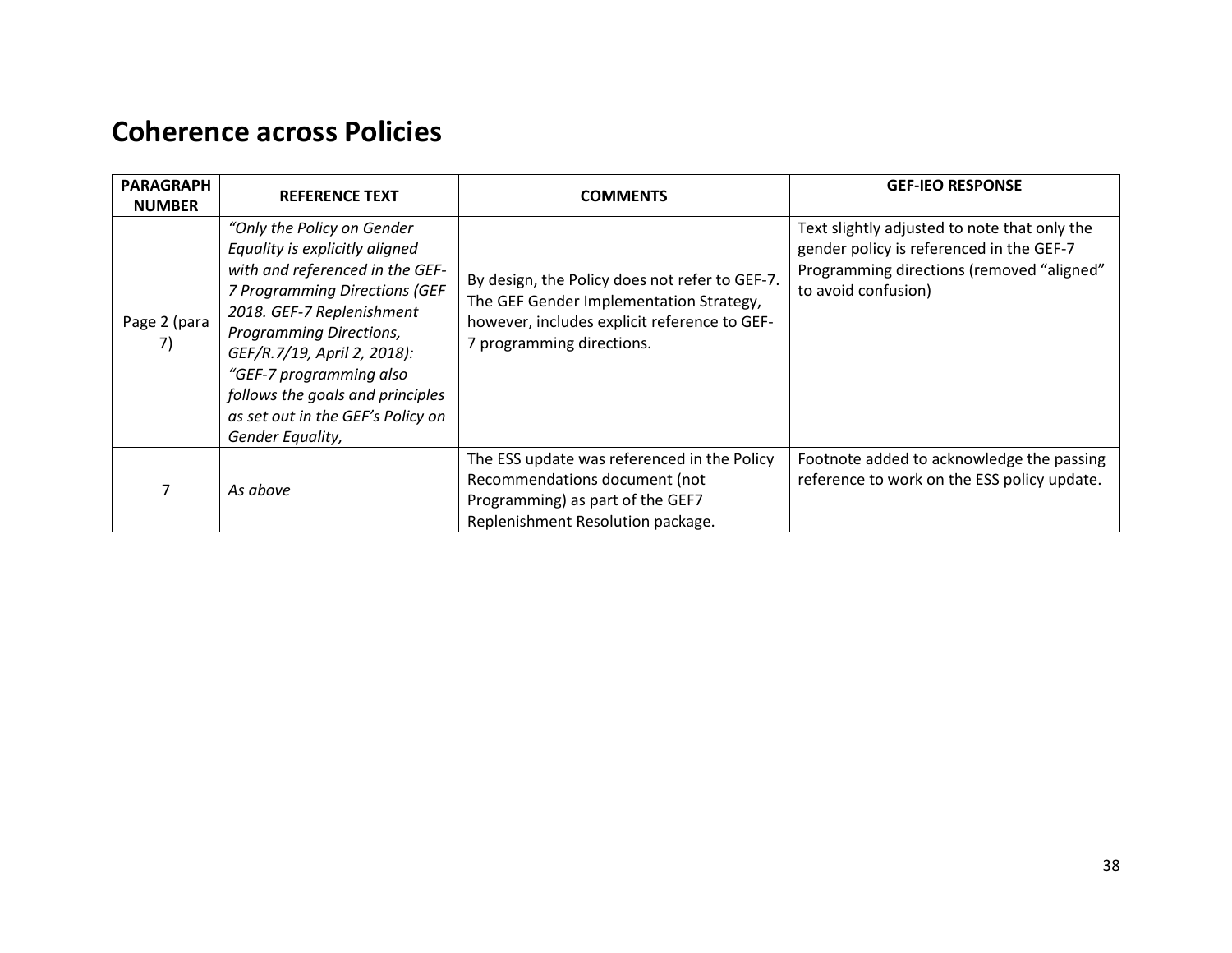### <span id="page-37-0"></span>**Coherence across Policies**

| <b>PARAGRAPH</b><br><b>NUMBER</b> | <b>REFERENCE TEXT</b>                                                                                                                                                                                                                                                                                                                            | <b>COMMENTS</b>                                                                                                                                                        | <b>GEF-IEO RESPONSE</b>                                                                                                                                      |
|-----------------------------------|--------------------------------------------------------------------------------------------------------------------------------------------------------------------------------------------------------------------------------------------------------------------------------------------------------------------------------------------------|------------------------------------------------------------------------------------------------------------------------------------------------------------------------|--------------------------------------------------------------------------------------------------------------------------------------------------------------|
| Page 2 (para<br>7)                | "Only the Policy on Gender"<br>Equality is explicitly aligned<br>with and referenced in the GEF-<br>7 Programming Directions (GEF<br>2018. GEF-7 Replenishment<br>Programming Directions,<br>GEF/R.7/19, April 2, 2018):<br>"GEF-7 programming also<br>follows the goals and principles<br>as set out in the GEF's Policy on<br>Gender Equality, | By design, the Policy does not refer to GEF-7.<br>The GEF Gender Implementation Strategy,<br>however, includes explicit reference to GEF-<br>7 programming directions. | Text slightly adjusted to note that only the<br>gender policy is referenced in the GEF-7<br>Programming directions (removed "aligned"<br>to avoid confusion) |
|                                   | As above                                                                                                                                                                                                                                                                                                                                         | The ESS update was referenced in the Policy<br>Recommendations document (not<br>Programming) as part of the GEF7<br>Replenishment Resolution package.                  | Footnote added to acknowledge the passing<br>reference to work on the ESS policy update.                                                                     |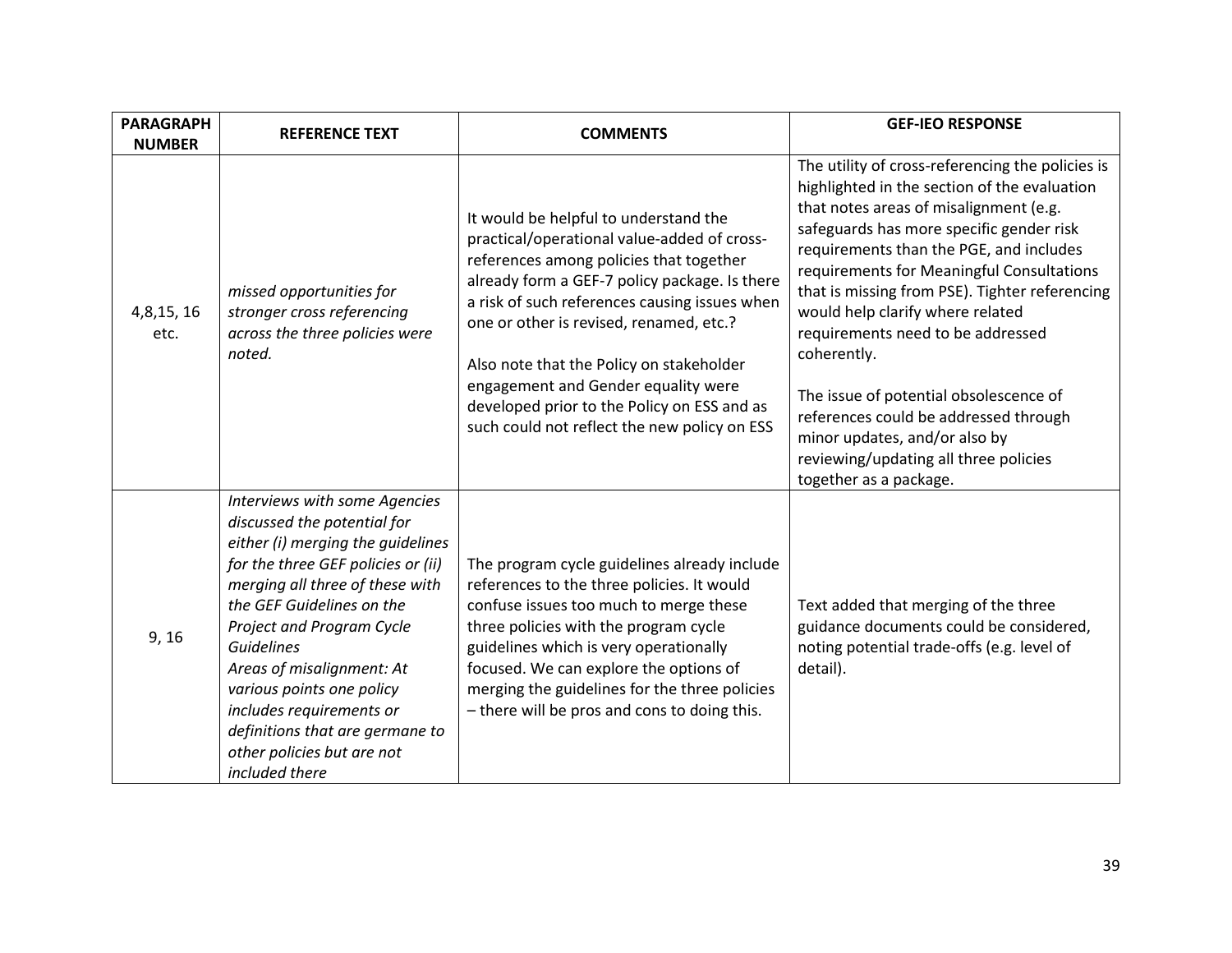| <b>PARAGRAPH</b>                    | <b>REFERENCE TEXT</b>                                                                                                                                                                                                                                                                                                                                                                                                              | <b>COMMENTS</b>                                                                                                                                                                                                                                                                                                                                                                                                                                                | <b>GEF-IEO RESPONSE</b>                                                                                                                                                                                                                                                                                                                                                                                                                                                                                                                                                                                         |
|-------------------------------------|------------------------------------------------------------------------------------------------------------------------------------------------------------------------------------------------------------------------------------------------------------------------------------------------------------------------------------------------------------------------------------------------------------------------------------|----------------------------------------------------------------------------------------------------------------------------------------------------------------------------------------------------------------------------------------------------------------------------------------------------------------------------------------------------------------------------------------------------------------------------------------------------------------|-----------------------------------------------------------------------------------------------------------------------------------------------------------------------------------------------------------------------------------------------------------------------------------------------------------------------------------------------------------------------------------------------------------------------------------------------------------------------------------------------------------------------------------------------------------------------------------------------------------------|
| <b>NUMBER</b><br>4,8,15, 16<br>etc. | missed opportunities for<br>stronger cross referencing<br>across the three policies were<br>noted.                                                                                                                                                                                                                                                                                                                                 | It would be helpful to understand the<br>practical/operational value-added of cross-<br>references among policies that together<br>already form a GEF-7 policy package. Is there<br>a risk of such references causing issues when<br>one or other is revised, renamed, etc.?<br>Also note that the Policy on stakeholder<br>engagement and Gender equality were<br>developed prior to the Policy on ESS and as<br>such could not reflect the new policy on ESS | The utility of cross-referencing the policies is<br>highlighted in the section of the evaluation<br>that notes areas of misalignment (e.g.<br>safeguards has more specific gender risk<br>requirements than the PGE, and includes<br>requirements for Meaningful Consultations<br>that is missing from PSE). Tighter referencing<br>would help clarify where related<br>requirements need to be addressed<br>coherently.<br>The issue of potential obsolescence of<br>references could be addressed through<br>minor updates, and/or also by<br>reviewing/updating all three policies<br>together as a package. |
| 9, 16                               | Interviews with some Agencies<br>discussed the potential for<br>either (i) merging the guidelines<br>for the three GEF policies or (ii)<br>merging all three of these with<br>the GEF Guidelines on the<br>Project and Program Cycle<br><b>Guidelines</b><br>Areas of misalignment: At<br>various points one policy<br>includes requirements or<br>definitions that are germane to<br>other policies but are not<br>included there | The program cycle guidelines already include<br>references to the three policies. It would<br>confuse issues too much to merge these<br>three policies with the program cycle<br>guidelines which is very operationally<br>focused. We can explore the options of<br>merging the guidelines for the three policies<br>- there will be pros and cons to doing this.                                                                                             | Text added that merging of the three<br>guidance documents could be considered,<br>noting potential trade-offs (e.g. level of<br>detail).                                                                                                                                                                                                                                                                                                                                                                                                                                                                       |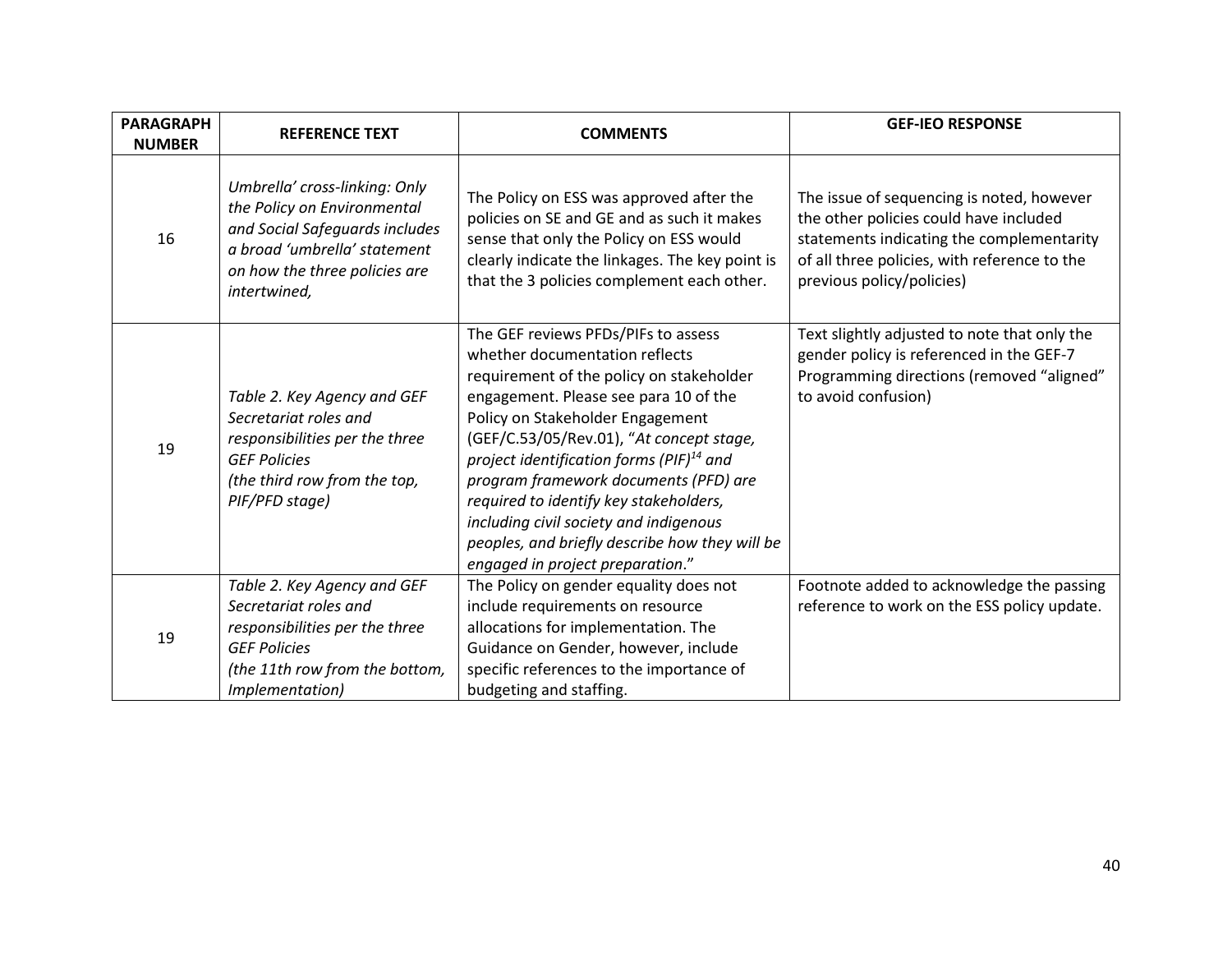| <b>PARAGRAPH</b><br><b>NUMBER</b> | <b>REFERENCE TEXT</b>                                                                                                                                                           | <b>COMMENTS</b>                                                                                                                                                                                                                                                                                                                                                                                                                                                                                                 | <b>GEF-IEO RESPONSE</b>                                                                                                                                                                                       |
|-----------------------------------|---------------------------------------------------------------------------------------------------------------------------------------------------------------------------------|-----------------------------------------------------------------------------------------------------------------------------------------------------------------------------------------------------------------------------------------------------------------------------------------------------------------------------------------------------------------------------------------------------------------------------------------------------------------------------------------------------------------|---------------------------------------------------------------------------------------------------------------------------------------------------------------------------------------------------------------|
| 16                                | Umbrella' cross-linking: Only<br>the Policy on Environmental<br>and Social Safeguards includes<br>a broad 'umbrella' statement<br>on how the three policies are<br>intertwined, | The Policy on ESS was approved after the<br>policies on SE and GE and as such it makes<br>sense that only the Policy on ESS would<br>clearly indicate the linkages. The key point is<br>that the 3 policies complement each other.                                                                                                                                                                                                                                                                              | The issue of sequencing is noted, however<br>the other policies could have included<br>statements indicating the complementarity<br>of all three policies, with reference to the<br>previous policy/policies) |
| 19                                | Table 2. Key Agency and GEF<br>Secretariat roles and<br>responsibilities per the three<br><b>GEF Policies</b><br>(the third row from the top,<br>PIF/PFD stage)                 | The GEF reviews PFDs/PIFs to assess<br>whether documentation reflects<br>requirement of the policy on stakeholder<br>engagement. Please see para 10 of the<br>Policy on Stakeholder Engagement<br>(GEF/C.53/05/Rev.01), "At concept stage,<br>project identification forms (PIF) $^{14}$ and<br>program framework documents (PFD) are<br>required to identify key stakeholders,<br>including civil society and indigenous<br>peoples, and briefly describe how they will be<br>engaged in project preparation." | Text slightly adjusted to note that only the<br>gender policy is referenced in the GEF-7<br>Programming directions (removed "aligned"<br>to avoid confusion)                                                  |
| 19                                | Table 2. Key Agency and GEF<br>Secretariat roles and<br>responsibilities per the three<br><b>GEF Policies</b><br>(the 11th row from the bottom,<br>Implementation)              | The Policy on gender equality does not<br>include requirements on resource<br>allocations for implementation. The<br>Guidance on Gender, however, include<br>specific references to the importance of<br>budgeting and staffing.                                                                                                                                                                                                                                                                                | Footnote added to acknowledge the passing<br>reference to work on the ESS policy update.                                                                                                                      |